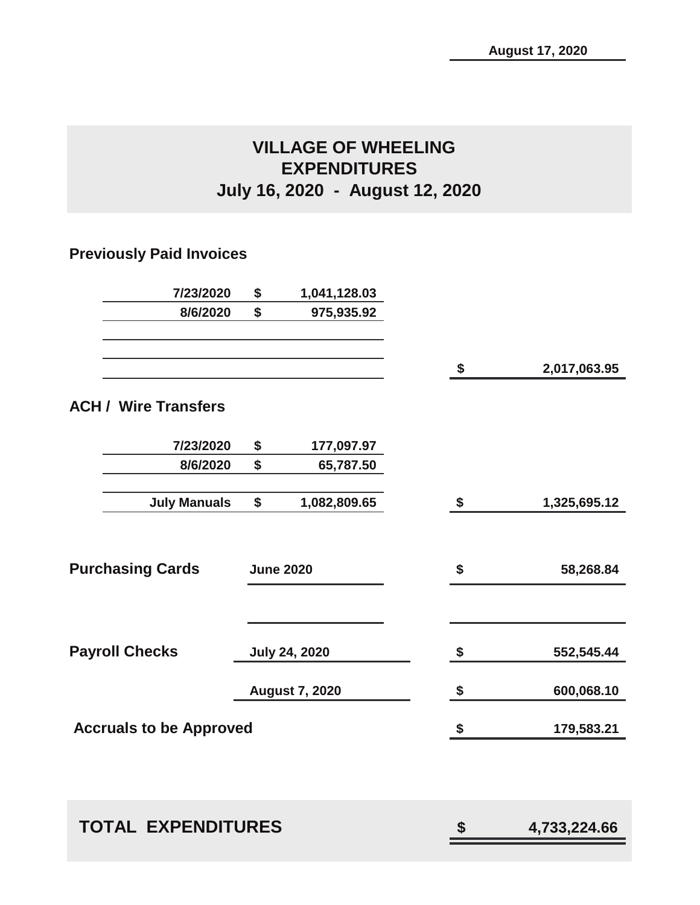# **VILLAGE OF WHEELING EXPENDITURES July 16, 2020 - August 12, 2020**

# **Previously Paid Invoices**

| 7/23/2020                      | \$                        | 1,041,128.03          |                         |              |
|--------------------------------|---------------------------|-----------------------|-------------------------|--------------|
| 8/6/2020                       | \$                        | 975,935.92            |                         |              |
|                                |                           |                       |                         |              |
|                                |                           |                       | $\sqrt[6]{\frac{1}{2}}$ | 2,017,063.95 |
|                                |                           |                       |                         |              |
| <b>ACH / Wire Transfers</b>    |                           |                       |                         |              |
| 7/23/2020                      | \$                        | 177,097.97            |                         |              |
| 8/6/2020                       | $\boldsymbol{\mathsf{s}}$ | 65,787.50             |                         |              |
| <b>July Manuals</b>            | \$                        | 1,082,809.65          | $\boldsymbol{\$}$       | 1,325,695.12 |
|                                |                           |                       |                         |              |
|                                |                           |                       |                         |              |
| <b>Purchasing Cards</b>        |                           | <b>June 2020</b>      | \$                      | 58,268.84    |
|                                |                           |                       |                         |              |
|                                |                           |                       |                         |              |
| <b>Payroll Checks</b>          |                           | <b>July 24, 2020</b>  | $\boldsymbol{\hat{z}}$  | 552,545.44   |
|                                |                           |                       |                         |              |
|                                |                           | <b>August 7, 2020</b> | \$                      | 600,068.10   |
| <b>Accruals to be Approved</b> |                           |                       | \$                      | 179,583.21   |
|                                |                           |                       |                         |              |
|                                |                           |                       |                         |              |
|                                |                           |                       |                         |              |
| <b>TOTAL EXPENDITURES</b>      |                           |                       | \$                      | 4,733,224.66 |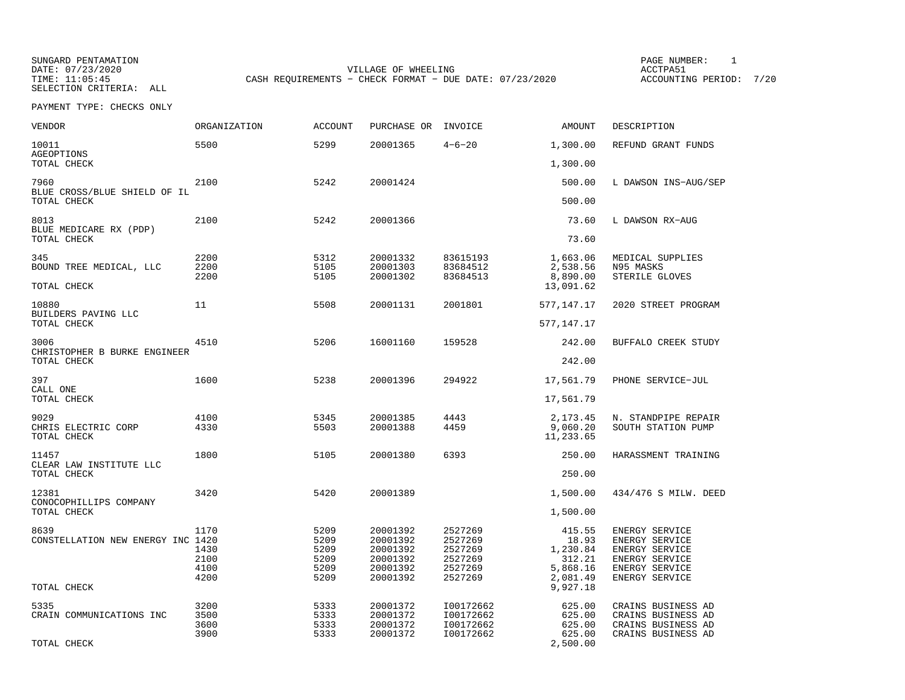SUNGARD PENTAMATION SUNGARD PENTAMATION SUNG PAGE NUMBER: 1 VILLAGE OF WHEELING **ACCTPA51** TIME: 11:05:45 CASH REQUIREMENTS - CHECK FORMAT - DUE DATE: 07/23/2020

ACCOUNTING PERIOD: 7/20

| <b>VENDOR</b>                        | <b>ORGANIZATION</b> | <b>ACCOUNT</b> | PURCHASE OR | INVOICE      | AMOUNT                | DESCRIPTION          |
|--------------------------------------|---------------------|----------------|-------------|--------------|-----------------------|----------------------|
| 10011<br><b>AGEOPTIONS</b>           | 5500                | 5299           | 20001365    | $4 - 6 - 20$ | 1,300.00              | REFUND GRANT FUNDS   |
| TOTAL CHECK                          |                     |                |             |              | 1,300.00              |                      |
| 7960<br>BLUE CROSS/BLUE SHIELD OF IL | 2100                | 5242           | 20001424    |              | 500.00                | L DAWSON INS-AUG/SEP |
| TOTAL CHECK                          |                     |                |             |              | 500.00                |                      |
| 8013<br>BLUE MEDICARE RX (PDP)       | 2100                | 5242           | 20001366    |              | 73.60                 | L DAWSON RX-AUG      |
| TOTAL CHECK                          |                     |                |             |              | 73.60                 |                      |
| 345                                  | 2200                | 5312           | 20001332    | 83615193     | 1,663.06              | MEDICAL SUPPLIES     |
| BOUND TREE MEDICAL, LLC              | 2200                | 5105           | 20001303    | 83684512     | 2,538.56              | N95 MASKS            |
| TOTAL CHECK                          | 2200                | 5105           | 20001302    | 83684513     | 8,890.00<br>13,091.62 | STERILE GLOVES       |
| 10880<br>BUILDERS PAVING LLC         | 11                  | 5508           | 20001131    | 2001801      | 577,147.17            | 2020 STREET PROGRAM  |
| TOTAL CHECK                          |                     |                |             |              | 577,147.17            |                      |
| 3006<br>CHRISTOPHER B BURKE ENGINEER | 4510                | 5206           | 16001160    | 159528       | 242.00                | BUFFALO CREEK STUDY  |
| TOTAL CHECK                          |                     |                |             |              | 242.00                |                      |
| 397<br>CALL ONE                      | 1600                | 5238           | 20001396    | 294922       | 17,561.79             | PHONE SERVICE-JUL    |
| TOTAL CHECK                          |                     |                |             |              | 17,561.79             |                      |
| 9029                                 | 4100                | 5345           | 20001385    | 4443         | 2,173.45              | N. STANDPIPE REPAIR  |
| CHRIS ELECTRIC CORP<br>TOTAL CHECK   | 4330                | 5503           | 20001388    | 4459         | 9,060.20<br>11,233.65 | SOUTH STATION PUMP   |
| 11457<br>CLEAR LAW INSTITUTE LLC     | 1800                | 5105           | 20001380    | 6393         | 250.00                | HARASSMENT TRAINING  |
| TOTAL CHECK                          |                     |                |             |              | 250.00                |                      |
| 12381<br>CONOCOPHILLIPS COMPANY      | 3420                | 5420           | 20001389    |              | 1,500.00              | 434/476 S MILW. DEED |
| TOTAL CHECK                          |                     |                |             |              | 1,500.00              |                      |
| 8639                                 | 1170                | 5209           | 20001392    | 2527269      | 415.55                | ENERGY SERVICE       |
| CONSTELLATION NEW ENERGY INC 1420    |                     | 5209           | 20001392    | 2527269      | 18.93                 | ENERGY SERVICE       |
|                                      | 1430                | 5209           | 20001392    | 2527269      | 1,230.84              | ENERGY SERVICE       |
|                                      | 2100                | 5209           | 20001392    | 2527269      | 312.21                | ENERGY SERVICE       |
|                                      | 4100                | 5209<br>5209   | 20001392    | 2527269      | 5,868.16              | ENERGY SERVICE       |
| TOTAL CHECK                          | 4200                |                | 20001392    | 2527269      | 2,081.49<br>9,927.18  | ENERGY SERVICE       |
| 5335                                 | 3200                | 5333           | 20001372    | I00172662    | 625.00                | CRAINS BUSINESS AD   |
| CRAIN COMMUNICATIONS INC             | 3500                | 5333           | 20001372    | I00172662    | 625.00                | CRAINS BUSINESS AD   |
|                                      | 3600                | 5333           | 20001372    | I00172662    | 625.00                | CRAINS BUSINESS AD   |
| TOTAL CHECK                          | 3900                | 5333           | 20001372    | I00172662    | 625.00<br>2,500.00    | CRAINS BUSINESS AD   |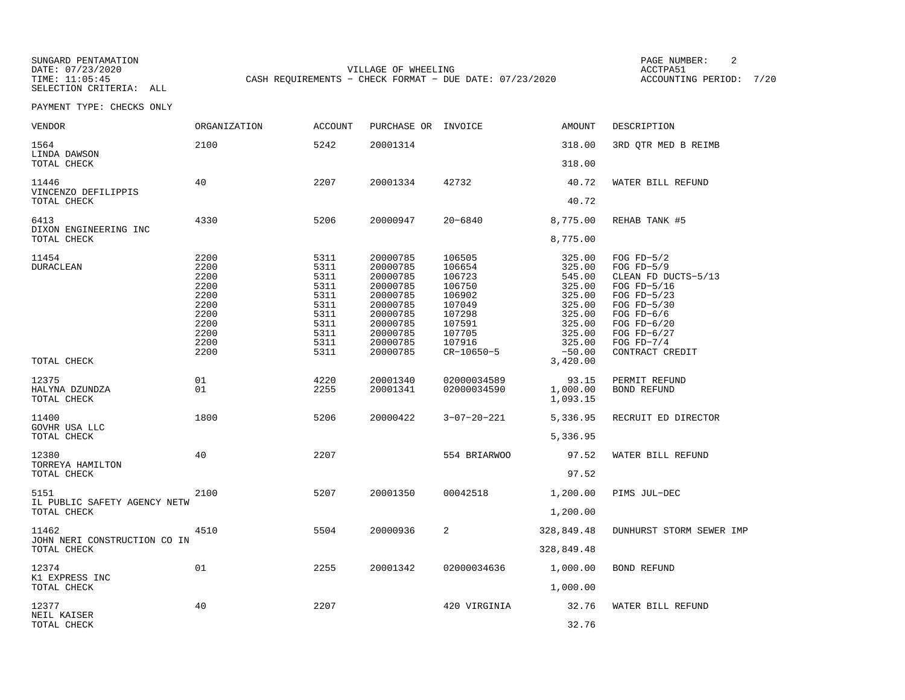SUNGARD PENTAMATION SUNGARD PENTAMATION SUNG PAGE NUMBER: 2 VILLAGE OF WHEELING **ACCTPA51** TIME: 11:05:45 CASH REQUIREMENTS - CHECK FORMAT - DUE DATE: 07/23/2020

ACCOUNTING PERIOD: 7/20

| VENDOR                                               | ORGANIZATION                                                                         | <b>ACCOUNT</b>                                                                       | PURCHASE OR INVOICE                                                                                                              |                                                                                                                      | AMOUNT                                                                                                                   | DESCRIPTION                                                                                                                                                                               |
|------------------------------------------------------|--------------------------------------------------------------------------------------|--------------------------------------------------------------------------------------|----------------------------------------------------------------------------------------------------------------------------------|----------------------------------------------------------------------------------------------------------------------|--------------------------------------------------------------------------------------------------------------------------|-------------------------------------------------------------------------------------------------------------------------------------------------------------------------------------------|
| 1564<br>LINDA DAWSON                                 | 2100                                                                                 | 5242                                                                                 | 20001314                                                                                                                         |                                                                                                                      | 318.00                                                                                                                   | 3RD QTR MED B REIMB                                                                                                                                                                       |
| TOTAL CHECK                                          |                                                                                      |                                                                                      |                                                                                                                                  |                                                                                                                      | 318.00                                                                                                                   |                                                                                                                                                                                           |
| 11446<br>VINCENZO DEFILIPPIS                         | 40                                                                                   | 2207                                                                                 | 20001334                                                                                                                         | 42732                                                                                                                | 40.72                                                                                                                    | WATER BILL REFUND                                                                                                                                                                         |
| TOTAL CHECK                                          |                                                                                      |                                                                                      |                                                                                                                                  |                                                                                                                      | 40.72                                                                                                                    |                                                                                                                                                                                           |
| 6413<br>DIXON ENGINEERING INC                        | 4330                                                                                 | 5206                                                                                 | 20000947                                                                                                                         | $20 - 6840$                                                                                                          | 8,775.00                                                                                                                 | REHAB TANK #5                                                                                                                                                                             |
| TOTAL CHECK                                          |                                                                                      |                                                                                      |                                                                                                                                  |                                                                                                                      | 8,775.00                                                                                                                 |                                                                                                                                                                                           |
| 11454<br><b>DURACLEAN</b><br>TOTAL CHECK             | 2200<br>2200<br>2200<br>2200<br>2200<br>2200<br>2200<br>2200<br>2200<br>2200<br>2200 | 5311<br>5311<br>5311<br>5311<br>5311<br>5311<br>5311<br>5311<br>5311<br>5311<br>5311 | 20000785<br>20000785<br>20000785<br>20000785<br>20000785<br>20000785<br>20000785<br>20000785<br>20000785<br>20000785<br>20000785 | 106505<br>106654<br>106723<br>106750<br>106902<br>107049<br>107298<br>107591<br>107705<br>107916<br>$CR - 10650 - 5$ | 325.00<br>325.00<br>545.00<br>325.00<br>325.00<br>325.00<br>325.00<br>325.00<br>325.00<br>325.00<br>$-50.00$<br>3,420.00 | FOG $FD-5/2$<br>FOG $FD-5/9$<br>CLEAN FD DUCTS-5/13<br>FOG FD-5/16<br>FOG $FD-5/23$<br>FOG $FD-5/30$<br>FOG $FD-6/6$<br>FOG $FD-6/20$<br>FOG $FD-6/27$<br>FOG $FD-7/4$<br>CONTRACT CREDIT |
| 12375<br>HALYNA DZUNDZA<br>TOTAL CHECK               | 01<br>01                                                                             | 4220<br>2255                                                                         | 20001340<br>20001341                                                                                                             | 02000034589<br>02000034590                                                                                           | 93.15<br>1,000.00<br>1,093.15                                                                                            | PERMIT REFUND<br><b>BOND REFUND</b>                                                                                                                                                       |
| 11400<br>GOVHR USA LLC<br>TOTAL CHECK                | 1800                                                                                 | 5206                                                                                 | 20000422                                                                                                                         | $3 - 07 - 20 - 221$                                                                                                  | 5,336.95<br>5,336.95                                                                                                     | RECRUIT ED DIRECTOR                                                                                                                                                                       |
| 12380<br>TORREYA HAMILTON<br>TOTAL CHECK             | 40                                                                                   | 2207                                                                                 |                                                                                                                                  | 554 BRIARWOO                                                                                                         | 97.52<br>97.52                                                                                                           | WATER BILL REFUND                                                                                                                                                                         |
| 5151<br>IL PUBLIC SAFETY AGENCY NETW<br>TOTAL CHECK  | 2100                                                                                 | 5207                                                                                 | 20001350                                                                                                                         | 00042518                                                                                                             | 1,200.00<br>1,200.00                                                                                                     | PIMS JUL-DEC                                                                                                                                                                              |
| 11462<br>JOHN NERI CONSTRUCTION CO IN<br>TOTAL CHECK | 4510                                                                                 | 5504                                                                                 | 20000936                                                                                                                         | 2                                                                                                                    | 328,849.48<br>328,849.48                                                                                                 | DUNHURST STORM SEWER IMP                                                                                                                                                                  |
| 12374<br>K1 EXPRESS INC<br>TOTAL CHECK               | 01                                                                                   | 2255                                                                                 | 20001342                                                                                                                         | 02000034636                                                                                                          | 1,000.00<br>1,000.00                                                                                                     | BOND REFUND                                                                                                                                                                               |
| 12377<br>NEIL KAISER<br>TOTAL CHECK                  | 40                                                                                   | 2207                                                                                 |                                                                                                                                  | 420 VIRGINIA                                                                                                         | 32.76<br>32.76                                                                                                           | WATER BILL REFUND                                                                                                                                                                         |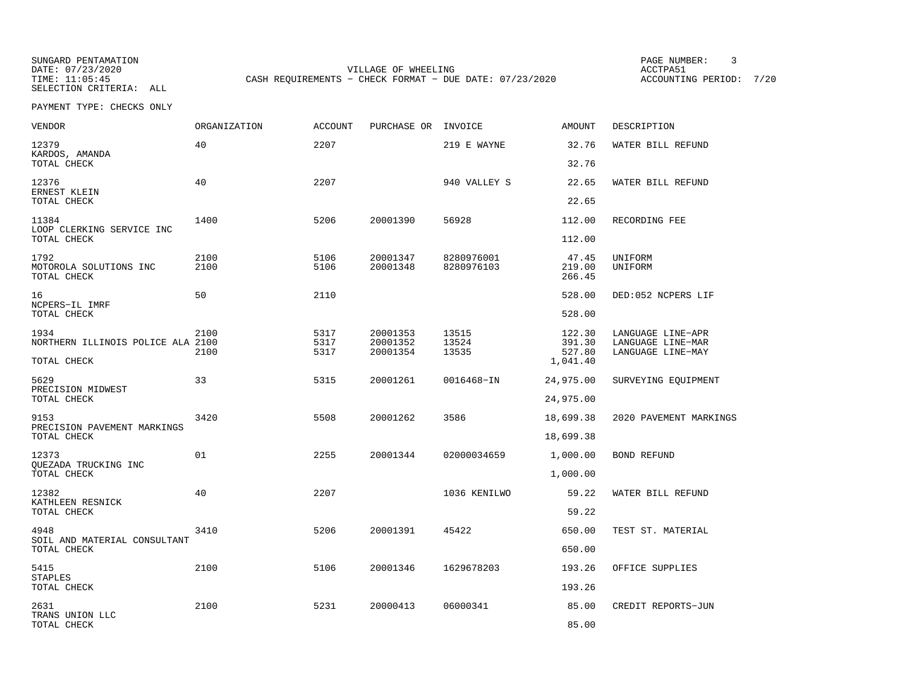SUNGARD PENTAMATION SUNGARD PENTAMATION SUNG PAGE NUMBER: 3 VILLAGE OF WHEELING **ACCTPA51** TIME: 11:05:45 CASH REQUIREMENTS - CHECK FORMAT - DUE DATE: 07/23/2020

ACCOUNTING PERIOD: 7/20

| VENDOR                                                   | <b>ORGANIZATION</b> | <b>ACCOUNT</b>       | PURCHASE OR INVOICE              |                          | <b>AMOUNT</b>                          | DESCRIPTION                                                 |
|----------------------------------------------------------|---------------------|----------------------|----------------------------------|--------------------------|----------------------------------------|-------------------------------------------------------------|
| 12379<br>KARDOS, AMANDA<br>TOTAL CHECK                   | 40                  | 2207                 |                                  | 219 E WAYNE              | 32.76<br>32.76                         | WATER BILL REFUND                                           |
| 12376<br>ERNEST KLEIN<br>TOTAL CHECK                     | 40                  | 2207                 |                                  | 940 VALLEY S             | 22.65<br>22.65                         | WATER BILL REFUND                                           |
| 11384<br>LOOP CLERKING SERVICE INC<br>TOTAL CHECK        | 1400                | 5206                 | 20001390                         | 56928                    | 112.00<br>112.00                       | RECORDING FEE                                               |
| 1792<br>MOTOROLA SOLUTIONS INC<br>TOTAL CHECK            | 2100<br>2100        | 5106<br>5106         | 20001347<br>20001348             | 8280976001<br>8280976103 | 47.45<br>219.00<br>266.45              | UNIFORM<br>UNIFORM                                          |
| 16<br>NCPERS-IL IMRF<br>TOTAL CHECK                      | 50                  | 2110                 |                                  |                          | 528.00<br>528.00                       | DED:052 NCPERS LIF                                          |
| 1934<br>NORTHERN ILLINOIS POLICE ALA 2100<br>TOTAL CHECK | 2100<br>2100        | 5317<br>5317<br>5317 | 20001353<br>20001352<br>20001354 | 13515<br>13524<br>13535  | 122.30<br>391.30<br>527.80<br>1,041.40 | LANGUAGE LINE-APR<br>LANGUAGE LINE-MAR<br>LANGUAGE LINE-MAY |
| 5629<br>PRECISION MIDWEST<br>TOTAL CHECK                 | 33                  | 5315                 | 20001261                         | 0016468-IN               | 24,975.00<br>24,975.00                 | SURVEYING EQUIPMENT                                         |
| 9153<br>PRECISION PAVEMENT MARKINGS<br>TOTAL CHECK       | 3420                | 5508                 | 20001262                         | 3586                     | 18,699.38<br>18,699.38                 | 2020 PAVEMENT MARKINGS                                      |
| 12373<br>OUEZADA TRUCKING INC<br>TOTAL CHECK             | 01                  | 2255                 | 20001344                         | 02000034659              | 1,000.00<br>1,000.00                   | BOND REFUND                                                 |
| 12382<br>KATHLEEN RESNICK<br>TOTAL CHECK                 | 40                  | 2207                 |                                  | 1036 KENILWO             | 59.22<br>59.22                         | WATER BILL REFUND                                           |
| 4948<br>SOIL AND MATERIAL CONSULTANT<br>TOTAL CHECK      | 3410                | 5206                 | 20001391                         | 45422                    | 650.00<br>650.00                       | TEST ST. MATERIAL                                           |
| 5415<br><b>STAPLES</b><br>TOTAL CHECK                    | 2100                | 5106                 | 20001346                         | 1629678203               | 193.26<br>193.26                       | OFFICE SUPPLIES                                             |
| 2631<br>TRANS UNION LLC<br>TOTAL CHECK                   | 2100                | 5231                 | 20000413                         | 06000341                 | 85.00<br>85.00                         | CREDIT REPORTS-JUN                                          |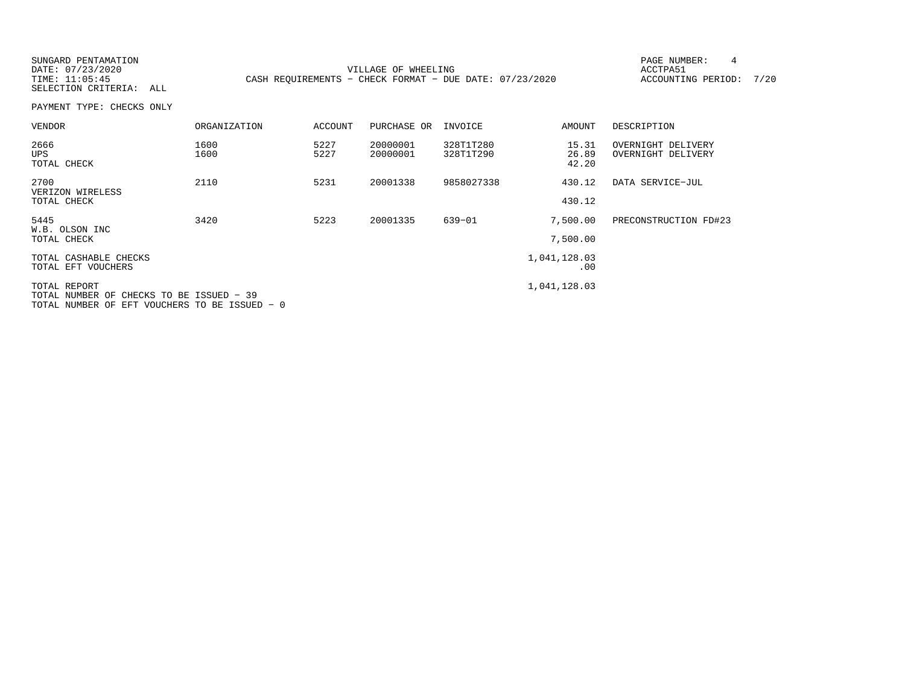SUNGARD PENTAMATION **PAGE NUMBER:** 4 DATE:  $07/23/2020$  ACCTPA51 ACCOUNTING PERIOD: 7/20 TIME: 11:05:45 CASH REQUIREMENTS - CHECK FORMAT - DUE DATE: 07/23/2020 SELECTION CRITERIA: ALLPAYMENT TYPE: CHECKS ONLYVENDOR ORGANIZATION ACCOUNT PURCHASE OR INVOICE AMOUNT DESCRIPTION2666 1600 5227 20000001 328T1T280 15.31 OVERNIGHT DELIVERY UPS 1600 5227 20000001 328T1T290 26.89 OVERNIGHT DELIVERY TOTAL CHECK 42.202700 2110 5231 20001338 9858027338 430.12 DATA SERVICE−JUL VERIZON WIRELESS TOTAL CHECK 430.12 5445 3420 5223 20001335 639−01 7,500.00 PRECONSTRUCTION FD#23 W.B. OLSON INC TOTAL CHECK 7,500.00TOTAL CASHABLE CHECKS 1,041,128.03  $\begin{array}{c} \cdot \\ \cdot \\ \cdot \end{array}$ .00 TOTAL EFT VOUCHERS TOTAL REPORT 1,041,128.03 TOTAL NUMBER OF CHECKS TO BE ISSUED − 39TOTAL NUMBER OF EFT VOUCHERS TO BE ISSUED − 0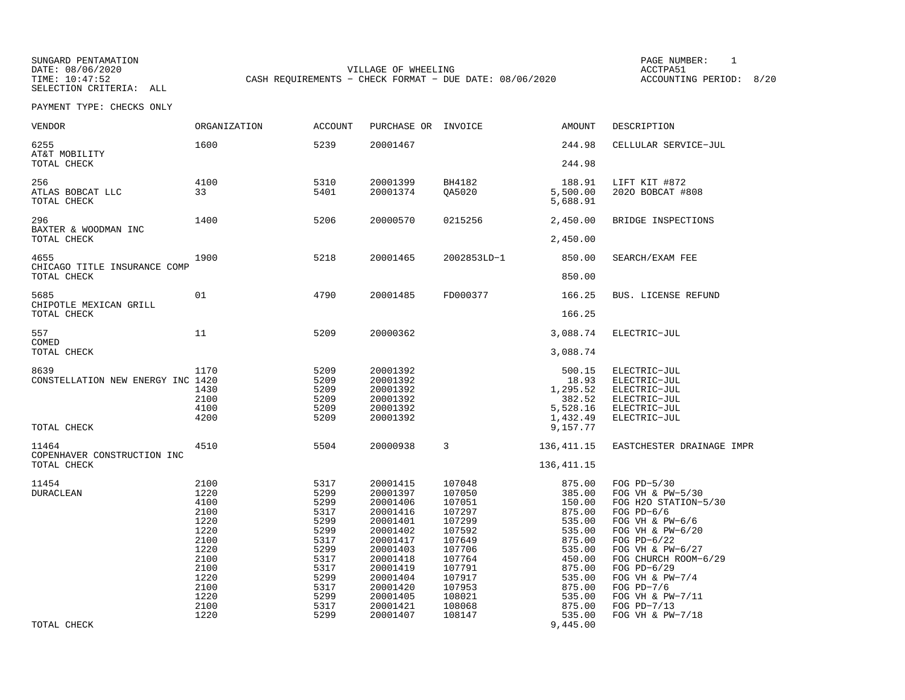SUNGARD PENTAMATION PAGE NUMBER: 1SELECTION CRITERIA: ALL

DATE: 08/06/2020 VILLAGE OF WHEELING ACCTPA51TIME: 10:47:52 CASH REQUIREMENTS - CHECK FORMAT - DUE DATE: 08/06/2020

ACCOUNTING PERIOD: 8/20

| VENDOR                                     | <b>ORGANIZATION</b>                                                                                          | <b>ACCOUNT</b>                                                                                               | PURCHASE OR                                                                                                                                                          | INVOICE                                                                                                                                  | <b>AMOUNT</b>                                                                                                                            | DESCRIPTION                                                                                                                                                                                                                                                      |
|--------------------------------------------|--------------------------------------------------------------------------------------------------------------|--------------------------------------------------------------------------------------------------------------|----------------------------------------------------------------------------------------------------------------------------------------------------------------------|------------------------------------------------------------------------------------------------------------------------------------------|------------------------------------------------------------------------------------------------------------------------------------------|------------------------------------------------------------------------------------------------------------------------------------------------------------------------------------------------------------------------------------------------------------------|
| 6255<br>AT&T MOBILITY                      | 1600                                                                                                         | 5239                                                                                                         | 20001467                                                                                                                                                             |                                                                                                                                          | 244.98                                                                                                                                   | CELLULAR SERVICE-JUL                                                                                                                                                                                                                                             |
| TOTAL CHECK                                |                                                                                                              |                                                                                                              |                                                                                                                                                                      |                                                                                                                                          | 244.98                                                                                                                                   |                                                                                                                                                                                                                                                                  |
| 256<br>ATLAS BOBCAT LLC<br>TOTAL CHECK     | 4100<br>33                                                                                                   | 5310<br>5401                                                                                                 | 20001399<br>20001374                                                                                                                                                 | BH4182<br>QA5020                                                                                                                         | 188.91<br>5,500.00<br>5,688.91                                                                                                           | LIFT KIT #872<br>2020 BOBCAT #808                                                                                                                                                                                                                                |
| 296<br>BAXTER & WOODMAN INC<br>TOTAL CHECK | 1400                                                                                                         | 5206                                                                                                         | 20000570                                                                                                                                                             | 0215256                                                                                                                                  | 2,450.00<br>2,450.00                                                                                                                     | BRIDGE INSPECTIONS                                                                                                                                                                                                                                               |
|                                            |                                                                                                              |                                                                                                              |                                                                                                                                                                      |                                                                                                                                          |                                                                                                                                          |                                                                                                                                                                                                                                                                  |
| 4655<br>CHICAGO TITLE INSURANCE COMP       | 1900                                                                                                         | 5218                                                                                                         | 20001465                                                                                                                                                             | 2002853LD-1                                                                                                                              | 850.00                                                                                                                                   | SEARCH/EXAM FEE                                                                                                                                                                                                                                                  |
| TOTAL CHECK                                |                                                                                                              |                                                                                                              |                                                                                                                                                                      |                                                                                                                                          | 850.00                                                                                                                                   |                                                                                                                                                                                                                                                                  |
| 5685<br>CHIPOTLE MEXICAN GRILL             | 01                                                                                                           | 4790                                                                                                         | 20001485                                                                                                                                                             | FD000377                                                                                                                                 | 166.25                                                                                                                                   | BUS. LICENSE REFUND                                                                                                                                                                                                                                              |
| TOTAL CHECK                                |                                                                                                              |                                                                                                              |                                                                                                                                                                      |                                                                                                                                          | 166.25                                                                                                                                   |                                                                                                                                                                                                                                                                  |
| 557<br>COMED                               | 11                                                                                                           | 5209                                                                                                         | 20000362                                                                                                                                                             |                                                                                                                                          | 3,088.74                                                                                                                                 | ELECTRIC-JUL                                                                                                                                                                                                                                                     |
| TOTAL CHECK                                |                                                                                                              |                                                                                                              |                                                                                                                                                                      |                                                                                                                                          | 3,088.74                                                                                                                                 |                                                                                                                                                                                                                                                                  |
| 8639<br>CONSTELLATION NEW ENERGY INC 1420  | 1170<br>1430<br>2100<br>4100<br>4200                                                                         | 5209<br>5209<br>5209<br>5209<br>5209<br>5209                                                                 | 20001392<br>20001392<br>20001392<br>20001392<br>20001392<br>20001392                                                                                                 |                                                                                                                                          | 500.15<br>18.93<br>1,295.52<br>382.52<br>5,528.16<br>1,432.49                                                                            | ELECTRIC-JUL<br>ELECTRIC-JUL<br>ELECTRIC-JUL<br>ELECTRIC-JUL<br>ELECTRIC-JUL<br>ELECTRIC-JUL                                                                                                                                                                     |
| TOTAL CHECK                                |                                                                                                              |                                                                                                              |                                                                                                                                                                      |                                                                                                                                          | 9,157.77                                                                                                                                 |                                                                                                                                                                                                                                                                  |
| 11464<br>COPENHAVER CONSTRUCTION INC       | 4510                                                                                                         | 5504                                                                                                         | 20000938                                                                                                                                                             | 3                                                                                                                                        | 136, 411.15                                                                                                                              | EASTCHESTER DRAINAGE IMPR                                                                                                                                                                                                                                        |
| TOTAL CHECK                                |                                                                                                              |                                                                                                              |                                                                                                                                                                      |                                                                                                                                          | 136, 411.15                                                                                                                              |                                                                                                                                                                                                                                                                  |
| 11454<br><b>DURACLEAN</b>                  | 2100<br>1220<br>4100<br>2100<br>1220<br>1220<br>2100<br>1220<br>2100<br>2100<br>1220<br>2100<br>1220<br>2100 | 5317<br>5299<br>5299<br>5317<br>5299<br>5299<br>5317<br>5299<br>5317<br>5317<br>5299<br>5317<br>5299<br>5317 | 20001415<br>20001397<br>20001406<br>20001416<br>20001401<br>20001402<br>20001417<br>20001403<br>20001418<br>20001419<br>20001404<br>20001420<br>20001405<br>20001421 | 107048<br>107050<br>107051<br>107297<br>107299<br>107592<br>107649<br>107706<br>107764<br>107791<br>107917<br>107953<br>108021<br>108068 | 875.00<br>385.00<br>150.00<br>875.00<br>535.00<br>535.00<br>875.00<br>535.00<br>450.00<br>875.00<br>535.00<br>875.00<br>535.00<br>875.00 | FOG PD-5/30<br>FOG VH & PW-5/30<br>FOG H2O STATION-5/30<br>FOG $PD-6/6$<br>FOG VH & PW-6/6<br>FOG VH & PW-6/20<br>FOG $PD-6/22$<br>FOG VH & PW-6/27<br>FOG CHURCH ROOM-6/29<br>FOG PD-6/29<br>FOG VH & $PW-7/4$<br>FOG PD-7/6<br>FOG VH & PW-7/11<br>FOG PD-7/13 |
| TOTAL CHECK                                | 1220                                                                                                         | 5299                                                                                                         | 20001407                                                                                                                                                             | 108147                                                                                                                                   | 535.00<br>9,445.00                                                                                                                       | FOG VH & PW-7/18                                                                                                                                                                                                                                                 |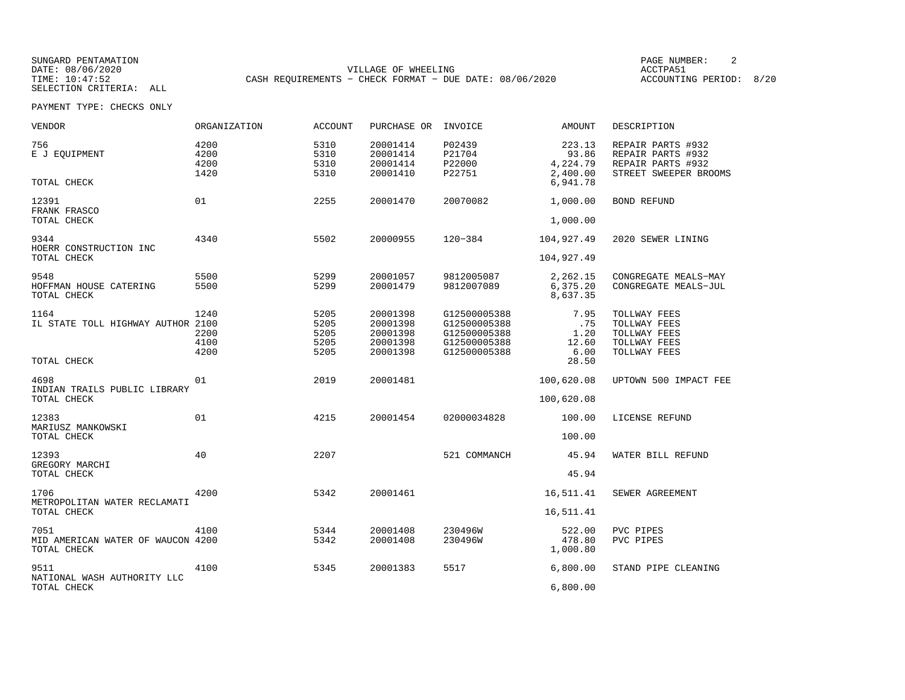SUNGARD PENTAMATION PAGE NUMBER: 2DATE: 08/06/2020 VILLAGE OF WHEELING ACCTPA51CASH REQUIREMENTS - CHECK FORMAT - DUE DATE: 08/06/2020

ACCOUNTING PERIOD: 8/20

| VENDOR                                                   | <b>ORGANIZATION</b>          | <b>ACCOUNT</b>                       | PURCHASE OR                                              | INVOICE                                                                      | <b>AMOUNT</b>                           | DESCRIPTION                                                                          |
|----------------------------------------------------------|------------------------------|--------------------------------------|----------------------------------------------------------|------------------------------------------------------------------------------|-----------------------------------------|--------------------------------------------------------------------------------------|
| 756<br>E J EQUIPMENT                                     | 4200<br>4200<br>4200<br>1420 | 5310<br>5310<br>5310<br>5310         | 20001414<br>20001414<br>20001414<br>20001410             | P02439<br>P21704<br>P22000<br>P22751                                         | 223.13<br>93.86<br>4,224.79<br>2,400.00 | REPAIR PARTS #932<br>REPAIR PARTS #932<br>REPAIR PARTS #932<br>STREET SWEEPER BROOMS |
| TOTAL CHECK                                              |                              |                                      |                                                          |                                                                              | 6,941.78                                |                                                                                      |
| 12391<br>FRANK FRASCO                                    | 01                           | 2255                                 | 20001470                                                 | 20070082                                                                     | 1,000.00                                | BOND REFUND                                                                          |
| TOTAL CHECK                                              |                              |                                      |                                                          |                                                                              | 1,000.00                                |                                                                                      |
| 9344<br>HOERR CONSTRUCTION INC                           | 4340                         | 5502                                 | 20000955                                                 | $120 - 384$                                                                  | 104,927.49                              | 2020 SEWER LINING                                                                    |
| TOTAL CHECK                                              |                              |                                      |                                                          |                                                                              | 104,927.49                              |                                                                                      |
| 9548<br>HOFFMAN HOUSE CATERING<br>TOTAL CHECK            | 5500<br>5500                 | 5299<br>5299                         | 20001057<br>20001479                                     | 9812005087<br>9812007089                                                     | 2,262.15<br>6,375.20<br>8,637.35        | CONGREGATE MEALS-MAY<br>CONGREGATE MEALS-JUL                                         |
| 1164<br>IL STATE TOLL HIGHWAY AUTHOR 2100                | 1240<br>2200<br>4100<br>4200 | 5205<br>5205<br>5205<br>5205<br>5205 | 20001398<br>20001398<br>20001398<br>20001398<br>20001398 | G12500005388<br>G12500005388<br>G12500005388<br>G12500005388<br>G12500005388 | 7.95<br>.75<br>1.20<br>12.60<br>6.00    | TOLLWAY FEES<br>TOLLWAY FEES<br>TOLLWAY FEES<br>TOLLWAY FEES<br>TOLLWAY FEES         |
| TOTAL CHECK                                              |                              |                                      |                                                          |                                                                              | 28.50                                   |                                                                                      |
| 4698<br>INDIAN TRAILS PUBLIC LIBRARY                     | 01                           | 2019                                 | 20001481                                                 |                                                                              | 100,620.08                              | UPTOWN 500 IMPACT FEE                                                                |
| TOTAL CHECK                                              |                              |                                      |                                                          |                                                                              | 100,620.08                              |                                                                                      |
| 12383<br>MARIUSZ MANKOWSKI                               | 01                           | 4215                                 | 20001454                                                 | 02000034828                                                                  | 100.00                                  | LICENSE REFUND                                                                       |
| TOTAL CHECK                                              |                              |                                      |                                                          |                                                                              | 100.00                                  |                                                                                      |
| 12393<br>GREGORY MARCHI                                  | 40                           | 2207                                 |                                                          | 521 COMMANCH                                                                 | 45.94                                   | WATER BILL REFUND                                                                    |
| TOTAL CHECK                                              |                              |                                      |                                                          |                                                                              | 45.94                                   |                                                                                      |
| 1706<br>METROPOLITAN WATER RECLAMATI                     | 4200                         | 5342                                 | 20001461                                                 |                                                                              | 16,511.41                               | SEWER AGREEMENT                                                                      |
| TOTAL CHECK                                              |                              |                                      |                                                          |                                                                              | 16,511.41                               |                                                                                      |
| 7051<br>MID AMERICAN WATER OF WAUCON 4200<br>TOTAL CHECK | 4100                         | 5344<br>5342                         | 20001408<br>20001408                                     | 230496W<br>230496W                                                           | 522.00<br>478.80<br>1,000.80            | PVC PIPES<br>PVC PIPES                                                               |
| 9511<br>NATIONAL WASH AUTHORITY LLC                      | 4100                         | 5345                                 | 20001383                                                 | 5517                                                                         | 6,800.00                                | STAND PIPE CLEANING                                                                  |
| TOTAL CHECK                                              |                              |                                      |                                                          |                                                                              | 6,800.00                                |                                                                                      |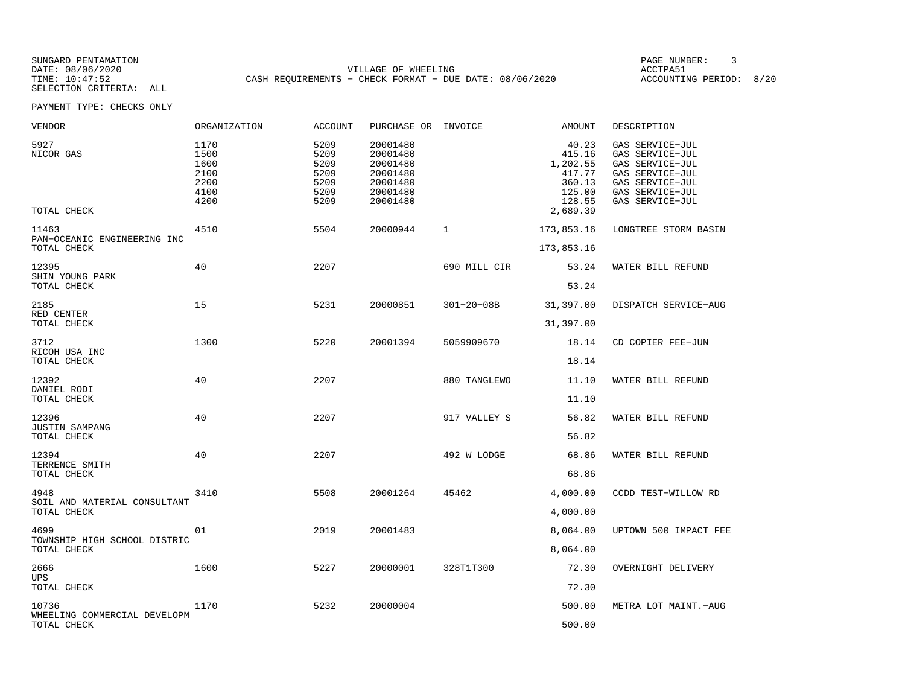SUNGARD PENTAMATION PAGE NUMBER: 3DATE: 08/06/2020 VILLAGE OF WHEELING ACCTPA51CASH REQUIREMENTS - CHECK FORMAT - DUE DATE: 08/06/2020

ACCOUNTING PERIOD: 8/20

| VENDOR                                        | ORGANIZATION                                         | <b>ACCOUNT</b>                                       | PURCHASE OR INVOICE                                                              |                  | AMOUNT                                                                          | DESCRIPTION                                                                                                                       |
|-----------------------------------------------|------------------------------------------------------|------------------------------------------------------|----------------------------------------------------------------------------------|------------------|---------------------------------------------------------------------------------|-----------------------------------------------------------------------------------------------------------------------------------|
| 5927<br>NICOR GAS<br>TOTAL CHECK              | 1170<br>1500<br>1600<br>2100<br>2200<br>4100<br>4200 | 5209<br>5209<br>5209<br>5209<br>5209<br>5209<br>5209 | 20001480<br>20001480<br>20001480<br>20001480<br>20001480<br>20001480<br>20001480 |                  | 40.23<br>415.16<br>1,202.55<br>417.77<br>360.13<br>125.00<br>128.55<br>2,689.39 | GAS SERVICE-JUL<br>GAS SERVICE-JUL<br>GAS SERVICE-JUL<br>GAS SERVICE-JUL<br>GAS SERVICE-JUL<br>GAS SERVICE-JUL<br>GAS SERVICE-JUL |
| 11463<br>PAN-OCEANIC ENGINEERING INC          | 4510                                                 | 5504                                                 | 20000944                                                                         | 1                | 173,853.16                                                                      | LONGTREE STORM BASIN                                                                                                              |
| TOTAL CHECK                                   |                                                      |                                                      |                                                                                  |                  | 173,853.16                                                                      |                                                                                                                                   |
| 12395<br>SHIN YOUNG PARK                      | 40                                                   | 2207                                                 |                                                                                  | 690 MILL CIR     | 53.24                                                                           | WATER BILL REFUND                                                                                                                 |
| TOTAL CHECK                                   |                                                      |                                                      |                                                                                  |                  | 53.24                                                                           |                                                                                                                                   |
| 2185<br>RED CENTER                            | 15                                                   | 5231                                                 | 20000851                                                                         | $301 - 20 - 08B$ | 31,397.00                                                                       | DISPATCH SERVICE-AUG                                                                                                              |
| TOTAL CHECK                                   |                                                      |                                                      |                                                                                  |                  | 31,397.00                                                                       |                                                                                                                                   |
| 3712<br>RICOH USA INC<br>TOTAL CHECK          | 1300                                                 | 5220                                                 | 20001394                                                                         | 5059909670       | 18.14<br>18.14                                                                  | CD COPIER FEE-JUN                                                                                                                 |
| 12392<br>DANIEL RODI<br>TOTAL CHECK           | 40                                                   | 2207                                                 |                                                                                  | 880 TANGLEWO     | 11.10<br>11.10                                                                  | WATER BILL REFUND                                                                                                                 |
| 12396<br><b>JUSTIN SAMPANG</b><br>TOTAL CHECK | 40                                                   | 2207                                                 |                                                                                  | 917 VALLEY S     | 56.82<br>56.82                                                                  | WATER BILL REFUND                                                                                                                 |
| 12394<br>TERRENCE SMITH<br>TOTAL CHECK        | 40                                                   | 2207                                                 |                                                                                  | 492 W LODGE      | 68.86<br>68.86                                                                  | WATER BILL REFUND                                                                                                                 |
| 4948                                          | 3410                                                 | 5508                                                 | 20001264                                                                         | 45462            | 4,000.00                                                                        | CCDD TEST-WILLOW RD                                                                                                               |
| SOIL AND MATERIAL CONSULTANT<br>TOTAL CHECK   |                                                      |                                                      |                                                                                  |                  | 4,000.00                                                                        |                                                                                                                                   |
| 4699                                          | 01                                                   | 2019                                                 | 20001483                                                                         |                  | 8,064.00                                                                        | UPTOWN 500 IMPACT FEE                                                                                                             |
| TOWNSHIP HIGH SCHOOL DISTRIC<br>TOTAL CHECK   |                                                      |                                                      |                                                                                  |                  | 8,064.00                                                                        |                                                                                                                                   |
| 2666                                          | 1600                                                 | 5227                                                 | 20000001                                                                         | 328T1T300        | 72.30                                                                           | OVERNIGHT DELIVERY                                                                                                                |
| <b>UPS</b><br>TOTAL CHECK                     |                                                      |                                                      |                                                                                  |                  | 72.30                                                                           |                                                                                                                                   |
| 10736                                         | 1170                                                 | 5232                                                 | 20000004                                                                         |                  | 500.00                                                                          | METRA LOT MAINT.-AUG                                                                                                              |
| WHEELING COMMERCIAL DEVELOPM<br>TOTAL CHECK   |                                                      |                                                      |                                                                                  |                  | 500.00                                                                          |                                                                                                                                   |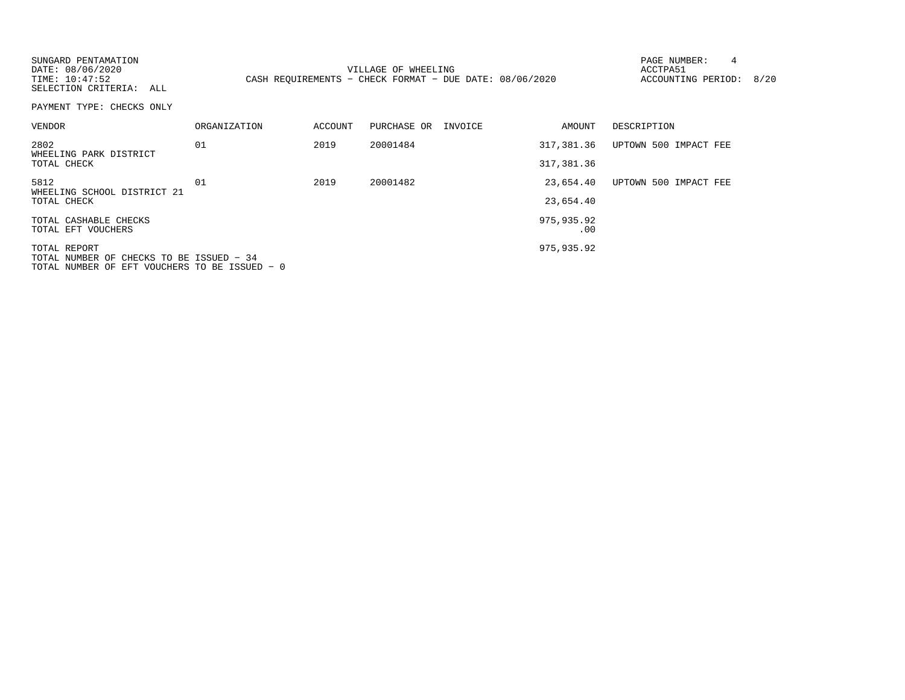| SUNGARD PENTAMATION<br>DATE: 08/06/2020<br>TIME: 10:47:52<br>SELECTION CRITERIA: ALL                      |                     |         | VILLAGE OF WHEELING<br>CASH REQUIREMENTS - CHECK FORMAT - DUE DATE: 08/06/2020 |                   | 4<br>PAGE NUMBER:<br>ACCTPA51<br>ACCOUNTING PERIOD: 8/20 |  |
|-----------------------------------------------------------------------------------------------------------|---------------------|---------|--------------------------------------------------------------------------------|-------------------|----------------------------------------------------------|--|
| PAYMENT TYPE: CHECKS ONLY                                                                                 |                     |         |                                                                                |                   |                                                          |  |
| VENDOR                                                                                                    | <b>ORGANIZATION</b> | ACCOUNT | PURCHASE OR INVOICE                                                            | AMOUNT            | DESCRIPTION                                              |  |
| 2802                                                                                                      | 01                  | 2019    | 20001484                                                                       | 317,381.36        | UPTOWN 500 IMPACT FEE                                    |  |
| WHEELING PARK DISTRICT<br>TOTAL CHECK                                                                     |                     |         |                                                                                | 317,381.36        |                                                          |  |
| 5812<br>WHEELING SCHOOL DISTRICT 21                                                                       | 01                  | 2019    | 20001482                                                                       | 23,654.40         | UPTOWN 500 IMPACT FEE                                    |  |
| TOTAL CHECK                                                                                               |                     |         |                                                                                | 23,654.40         |                                                          |  |
| TOTAL CASHABLE CHECKS<br>TOTAL EFT VOUCHERS                                                               |                     |         |                                                                                | 975,935.92<br>.00 |                                                          |  |
| TOTAL REPORT<br>TOTAL NUMBER OF CHECKS TO BE ISSUED - 34<br>TOTAL NUMBER OF EFT VOUCHERS TO BE ISSUED - 0 |                     |         |                                                                                | 975,935.92        |                                                          |  |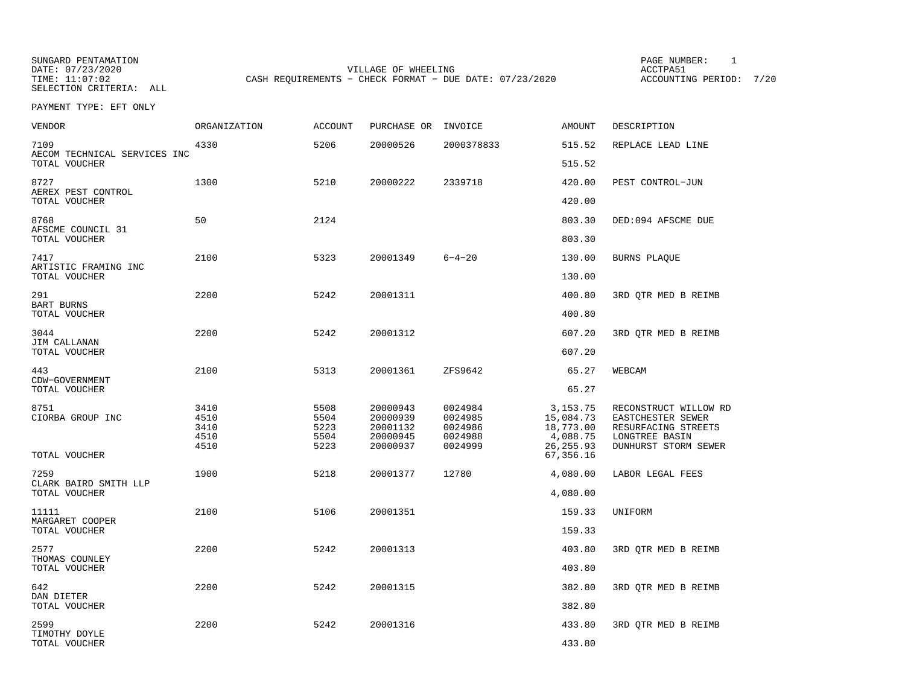SUNGARD PENTAMATION SUNGARD PENTAMATION SUNG PAGE NUMBER: 1 SELECTION CRITERIA: ALL

VILLAGE OF WHEELING **ACCTPA51** 

TIME: 11:07:02 CASH REQUIREMENTS - CHECK FORMAT - DUE DATE: 07/23/2020

ACCOUNTING PERIOD: 7/20

| VENDOR                                        | <b>ORGANIZATION</b>                  | <b>ACCOUNT</b>                       | PURCHASE OR                                              | INVOICE                                             | <b>AMOUNT</b>                                                               | DESCRIPTION                                                                                                 |
|-----------------------------------------------|--------------------------------------|--------------------------------------|----------------------------------------------------------|-----------------------------------------------------|-----------------------------------------------------------------------------|-------------------------------------------------------------------------------------------------------------|
| 7109<br>AECOM TECHNICAL SERVICES INC          | 4330                                 | 5206                                 | 20000526                                                 | 2000378833                                          | 515.52                                                                      | REPLACE LEAD LINE                                                                                           |
| TOTAL VOUCHER                                 |                                      |                                      |                                                          |                                                     | 515.52                                                                      |                                                                                                             |
| 8727<br>AEREX PEST CONTROL<br>TOTAL VOUCHER   | 1300                                 | 5210                                 | 20000222                                                 | 2339718                                             | 420.00<br>420.00                                                            | PEST CONTROL-JUN                                                                                            |
|                                               |                                      |                                      |                                                          |                                                     |                                                                             |                                                                                                             |
| 8768<br>AFSCME COUNCIL 31<br>TOTAL VOUCHER    | 50                                   | 2124                                 |                                                          |                                                     | 803.30<br>803.30                                                            | DED:094 AFSCME DUE                                                                                          |
|                                               |                                      |                                      |                                                          |                                                     |                                                                             |                                                                                                             |
| 7417<br>ARTISTIC FRAMING INC<br>TOTAL VOUCHER | 2100                                 | 5323                                 | 20001349                                                 | $6 - 4 - 20$                                        | 130.00<br>130.00                                                            | <b>BURNS PLAQUE</b>                                                                                         |
| 291                                           | 2200                                 | 5242                                 | 20001311                                                 |                                                     | 400.80                                                                      | 3RD QTR MED B REIMB                                                                                         |
| <b>BART BURNS</b><br>TOTAL VOUCHER            |                                      |                                      |                                                          |                                                     | 400.80                                                                      |                                                                                                             |
| 3044                                          | 2200                                 | 5242                                 | 20001312                                                 |                                                     | 607.20                                                                      | 3RD QTR MED B REIMB                                                                                         |
| JIM CALLANAN<br>TOTAL VOUCHER                 |                                      |                                      |                                                          |                                                     | 607.20                                                                      |                                                                                                             |
| 443<br>CDW-GOVERNMENT<br>TOTAL VOUCHER        | 2100                                 | 5313                                 | 20001361                                                 | ZFS9642                                             | 65.27<br>65.27                                                              | WEBCAM                                                                                                      |
| 8751<br>CIORBA GROUP INC<br>TOTAL VOUCHER     | 3410<br>4510<br>3410<br>4510<br>4510 | 5508<br>5504<br>5223<br>5504<br>5223 | 20000943<br>20000939<br>20001132<br>20000945<br>20000937 | 0024984<br>0024985<br>0024986<br>0024988<br>0024999 | 3, 153. 75<br>15,084.73<br>18,773.00<br>4,088.75<br>26, 255.93<br>67,356.16 | RECONSTRUCT WILLOW RD<br>EASTCHESTER SEWER<br>RESURFACING STREETS<br>LONGTREE BASIN<br>DUNHURST STORM SEWER |
| 7259                                          | 1900                                 | 5218                                 | 20001377                                                 | 12780                                               | 4,080.00                                                                    | LABOR LEGAL FEES                                                                                            |
| CLARK BAIRD SMITH LLP<br>TOTAL VOUCHER        |                                      |                                      |                                                          |                                                     | 4,080.00                                                                    |                                                                                                             |
| 11111                                         | 2100                                 | 5106                                 | 20001351                                                 |                                                     | 159.33                                                                      | UNIFORM                                                                                                     |
| MARGARET COOPER<br>TOTAL VOUCHER              |                                      |                                      |                                                          |                                                     | 159.33                                                                      |                                                                                                             |
| 2577<br>THOMAS COUNLEY                        | 2200                                 | 5242                                 | 20001313                                                 |                                                     | 403.80                                                                      | 3RD OTR MED B REIMB                                                                                         |
| TOTAL VOUCHER                                 |                                      |                                      |                                                          |                                                     | 403.80                                                                      |                                                                                                             |
| 642<br>DAN DIETER                             | 2200                                 | 5242                                 | 20001315                                                 |                                                     | 382.80                                                                      | 3RD QTR MED B REIMB                                                                                         |
| TOTAL VOUCHER                                 |                                      |                                      |                                                          |                                                     | 382.80                                                                      |                                                                                                             |
| 2599<br>TIMOTHY DOYLE<br>TOTAL VOUCHER        | 2200                                 | 5242                                 | 20001316                                                 |                                                     | 433.80<br>433.80                                                            | 3RD OTR MED B REIMB                                                                                         |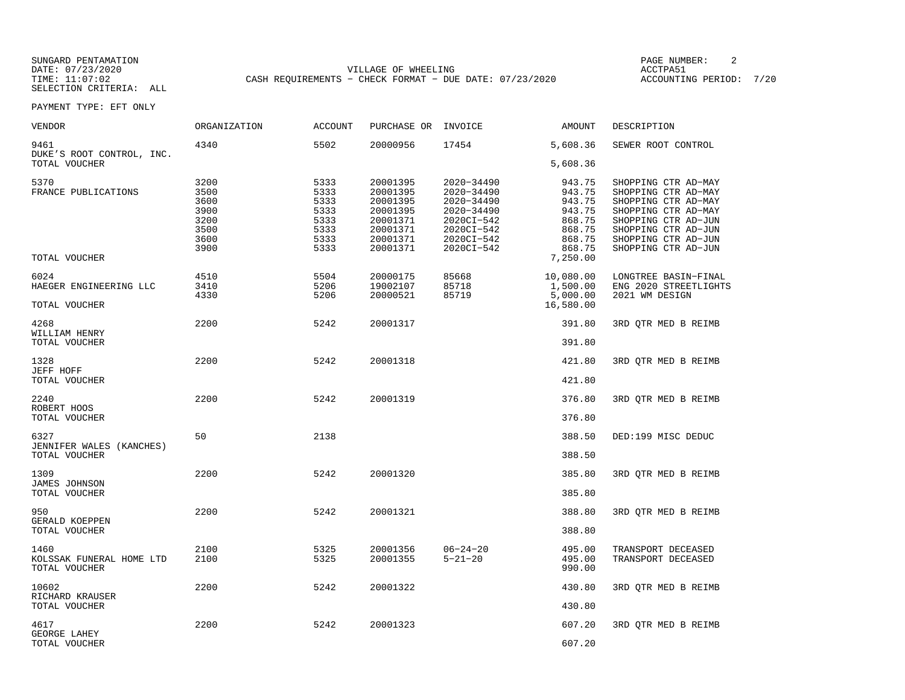SUNGARD PENTAMATION SUNGARD PENTAMATION SUNG PAGE NUMBER: 2 VILLAGE OF WHEELING **ACCTPA51** TIME: 11:07:02 CASH REQUIREMENTS - CHECK FORMAT - DUE DATE: 07/23/2020

ACCOUNTING PERIOD: 7/20

| VENDOR                                            | <b>ORGANIZATION</b>                                          | <b>ACCOUNT</b>                                               | PURCHASE OR                                                                                  | INVOICE                                                                                                      | AMOUNT                                                                                   | DESCRIPTION                                                                                                                                                                          |
|---------------------------------------------------|--------------------------------------------------------------|--------------------------------------------------------------|----------------------------------------------------------------------------------------------|--------------------------------------------------------------------------------------------------------------|------------------------------------------------------------------------------------------|--------------------------------------------------------------------------------------------------------------------------------------------------------------------------------------|
| 9461<br>DUKE'S ROOT CONTROL, INC.                 | 4340                                                         | 5502                                                         | 20000956                                                                                     | 17454                                                                                                        | 5,608.36                                                                                 | SEWER ROOT CONTROL                                                                                                                                                                   |
| TOTAL VOUCHER                                     |                                                              |                                                              |                                                                                              |                                                                                                              | 5,608.36                                                                                 |                                                                                                                                                                                      |
| 5370<br>FRANCE PUBLICATIONS<br>TOTAL VOUCHER      | 3200<br>3500<br>3600<br>3900<br>3200<br>3500<br>3600<br>3900 | 5333<br>5333<br>5333<br>5333<br>5333<br>5333<br>5333<br>5333 | 20001395<br>20001395<br>20001395<br>20001395<br>20001371<br>20001371<br>20001371<br>20001371 | 2020-34490<br>2020-34490<br>2020-34490<br>2020-34490<br>2020CI-542<br>2020CI-542<br>2020CI-542<br>2020CI-542 | 943.75<br>943.75<br>943.75<br>943.75<br>868.75<br>868.75<br>868.75<br>868.75<br>7,250.00 | SHOPPING CTR AD-MAY<br>SHOPPING CTR AD-MAY<br>SHOPPING CTR AD-MAY<br>SHOPPING CTR AD-MAY<br>SHOPPING CTR AD-JUN<br>SHOPPING CTR AD-JUN<br>SHOPPING CTR AD-JUN<br>SHOPPING CTR AD-JUN |
|                                                   |                                                              |                                                              |                                                                                              |                                                                                                              |                                                                                          |                                                                                                                                                                                      |
| 6024<br>HAEGER ENGINEERING LLC                    | 4510<br>3410<br>4330                                         | 5504<br>5206<br>5206                                         | 20000175<br>19002107<br>20000521                                                             | 85668<br>85718<br>85719                                                                                      | 10,080.00<br>1,500.00<br>5,000.00                                                        | LONGTREE BASIN-FINAL<br>ENG 2020 STREETLIGHTS<br>2021 WM DESIGN                                                                                                                      |
| TOTAL VOUCHER                                     |                                                              |                                                              |                                                                                              |                                                                                                              | 16,580.00                                                                                |                                                                                                                                                                                      |
| 4268<br>WILLIAM HENRY                             | 2200                                                         | 5242                                                         | 20001317                                                                                     |                                                                                                              | 391.80                                                                                   | 3RD QTR MED B REIMB                                                                                                                                                                  |
| TOTAL VOUCHER                                     |                                                              |                                                              |                                                                                              |                                                                                                              | 391.80                                                                                   |                                                                                                                                                                                      |
| 1328<br>JEFF HOFF                                 | 2200                                                         | 5242                                                         | 20001318                                                                                     |                                                                                                              | 421.80                                                                                   | 3RD OTR MED B REIMB                                                                                                                                                                  |
| TOTAL VOUCHER                                     |                                                              |                                                              |                                                                                              |                                                                                                              | 421.80                                                                                   |                                                                                                                                                                                      |
| 2240<br>ROBERT HOOS<br>TOTAL VOUCHER              | 2200                                                         | 5242                                                         | 20001319                                                                                     |                                                                                                              | 376.80<br>376.80                                                                         | 3RD QTR MED B REIMB                                                                                                                                                                  |
|                                                   |                                                              |                                                              |                                                                                              |                                                                                                              |                                                                                          |                                                                                                                                                                                      |
| 6327<br>JENNIFER WALES (KANCHES)<br>TOTAL VOUCHER | 50                                                           | 2138                                                         |                                                                                              |                                                                                                              | 388.50<br>388.50                                                                         | DED:199 MISC DEDUC                                                                                                                                                                   |
|                                                   |                                                              |                                                              |                                                                                              |                                                                                                              |                                                                                          |                                                                                                                                                                                      |
| 1309<br>JAMES JOHNSON<br>TOTAL VOUCHER            | 2200                                                         | 5242                                                         | 20001320                                                                                     |                                                                                                              | 385.80<br>385.80                                                                         | 3RD QTR MED B REIMB                                                                                                                                                                  |
|                                                   |                                                              |                                                              |                                                                                              |                                                                                                              |                                                                                          |                                                                                                                                                                                      |
| 950<br>GERALD KOEPPEN<br>TOTAL VOUCHER            | 2200                                                         | 5242                                                         | 20001321                                                                                     |                                                                                                              | 388.80<br>388.80                                                                         | 3RD OTR MED B REIMB                                                                                                                                                                  |
|                                                   |                                                              |                                                              |                                                                                              |                                                                                                              |                                                                                          |                                                                                                                                                                                      |
| 1460<br>KOLSSAK FUNERAL HOME LTD<br>TOTAL VOUCHER | 2100<br>2100                                                 | 5325<br>5325                                                 | 20001356<br>20001355                                                                         | $06 - 24 - 20$<br>$5 - 21 - 20$                                                                              | 495.00<br>495.00<br>990.00                                                               | TRANSPORT DECEASED<br>TRANSPORT DECEASED                                                                                                                                             |
| 10602<br>RICHARD KRAUSER                          | 2200                                                         | 5242                                                         | 20001322                                                                                     |                                                                                                              | 430.80                                                                                   | 3RD QTR MED B REIMB                                                                                                                                                                  |
| TOTAL VOUCHER                                     |                                                              |                                                              |                                                                                              |                                                                                                              | 430.80                                                                                   |                                                                                                                                                                                      |
| 4617                                              | 2200                                                         | 5242                                                         | 20001323                                                                                     |                                                                                                              | 607.20                                                                                   | 3RD OTR MED B REIMB                                                                                                                                                                  |
| GEORGE LAHEY<br>TOTAL VOUCHER                     |                                                              |                                                              |                                                                                              |                                                                                                              | 607.20                                                                                   |                                                                                                                                                                                      |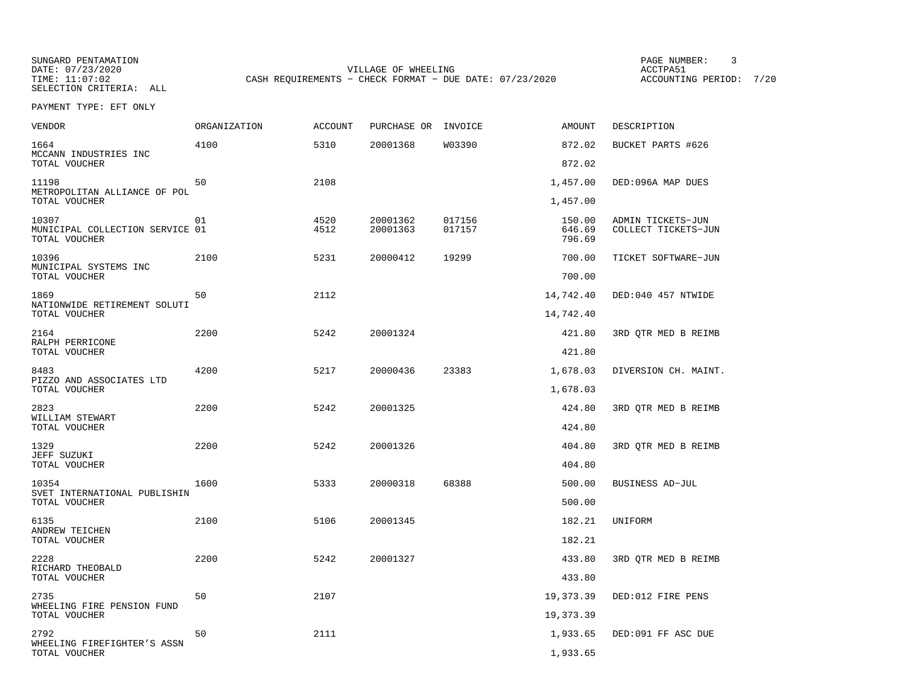SUNGARD PENTAMATION SUNGARD PENTAMATION SUNG PAGE NUMBER: 3 VILLAGE OF WHEELING **ACCTPA51** TIME: 11:07:02 CASH REQUIREMENTS - CHECK FORMAT - DUE DATE: 07/23/2020

ACCOUNTING PERIOD: 7/20

| <b>VENDOR</b>                                             | ORGANIZATION | ACCOUNT      | PURCHASE OR INVOICE  |                  | <b>AMOUNT</b>              | DESCRIPTION                              |
|-----------------------------------------------------------|--------------|--------------|----------------------|------------------|----------------------------|------------------------------------------|
| 1664<br>MCCANN INDUSTRIES INC                             | 4100         | 5310         | 20001368             | W03390           | 872.02                     | BUCKET PARTS #626                        |
| TOTAL VOUCHER                                             |              |              |                      |                  | 872.02                     |                                          |
| 11198<br>METROPOLITAN ALLIANCE OF POL                     | 50           | 2108         |                      |                  | 1,457.00                   | DED:096A MAP DUES                        |
| TOTAL VOUCHER                                             |              |              |                      |                  | 1,457.00                   |                                          |
| 10307<br>MUNICIPAL COLLECTION SERVICE 01<br>TOTAL VOUCHER | 01           | 4520<br>4512 | 20001362<br>20001363 | 017156<br>017157 | 150.00<br>646.69<br>796.69 | ADMIN TICKETS-JUN<br>COLLECT TICKETS-JUN |
| 10396<br>MUNICIPAL SYSTEMS INC<br>TOTAL VOUCHER           | 2100         | 5231         | 20000412             | 19299            | 700.00<br>700.00           | TICKET SOFTWARE-JUN                      |
|                                                           |              |              |                      |                  |                            |                                          |
| 1869<br>NATIONWIDE RETIREMENT SOLUTI                      | 50           | 2112         |                      |                  | 14,742.40                  | DED:040 457 NTWIDE                       |
| TOTAL VOUCHER                                             |              |              |                      |                  | 14,742.40                  |                                          |
| 2164                                                      | 2200         | 5242         | 20001324             |                  | 421.80                     | 3RD OTR MED B REIMB                      |
| RALPH PERRICONE<br>TOTAL VOUCHER                          |              |              |                      |                  | 421.80                     |                                          |
| 8483                                                      | 4200         | 5217         | 20000436             | 23383            | 1,678.03                   | DIVERSION CH. MAINT.                     |
| PIZZO AND ASSOCIATES LTD<br>TOTAL VOUCHER                 |              |              |                      |                  | 1,678.03                   |                                          |
| 2823                                                      | 2200         | 5242         | 20001325             |                  | 424.80                     | 3RD QTR MED B REIMB                      |
| WILLIAM STEWART<br>TOTAL VOUCHER                          |              |              |                      |                  | 424.80                     |                                          |
| 1329                                                      | 2200         | 5242         | 20001326             |                  | 404.80                     | 3RD OTR MED B REIMB                      |
| JEFF SUZUKI<br>TOTAL VOUCHER                              |              |              |                      |                  | 404.80                     |                                          |
| 10354                                                     | 1600         | 5333         | 20000318             | 68388            | 500.00                     | BUSINESS AD-JUL                          |
| SVET INTERNATIONAL PUBLISHIN<br>TOTAL VOUCHER             |              |              |                      |                  | 500.00                     |                                          |
| 6135<br>ANDREW TEICHEN                                    | 2100         | 5106         | 20001345             |                  | 182.21                     | UNIFORM                                  |
| TOTAL VOUCHER                                             |              |              |                      |                  | 182.21                     |                                          |
| 2228                                                      | 2200         | 5242         | 20001327             |                  | 433.80                     | 3RD OTR MED B REIMB                      |
| RICHARD THEOBALD<br>TOTAL VOUCHER                         |              |              |                      |                  | 433.80                     |                                          |
| 2735                                                      | 50           | 2107         |                      |                  | 19, 373.39                 | DED:012 FIRE PENS                        |
| WHEELING FIRE PENSION FUND<br>TOTAL VOUCHER               |              |              |                      |                  | 19,373.39                  |                                          |
| 2792                                                      | 50           | 2111         |                      |                  | 1,933.65                   | DED:091 FF ASC DUE                       |
| WHEELING FIREFIGHTER'S ASSN<br>TOTAL VOUCHER              |              |              |                      |                  | 1,933.65                   |                                          |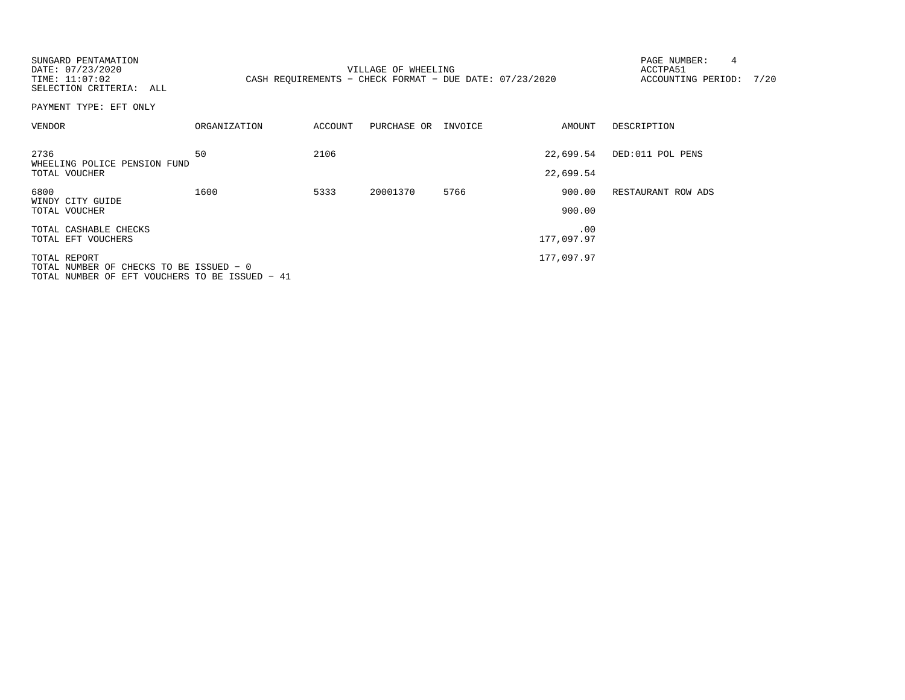| SUNGARD PENTAMATION<br>DATE: 07/23/2020<br>TIME: 11:07:02<br>SELECTION CRITERIA: ALL                      |                     |         | VILLAGE OF WHEELING<br>CASH REQUIREMENTS - CHECK FORMAT - DUE DATE: 07/23/2020 |      |                        | 4<br>PAGE NUMBER:<br>ACCTPA51<br>ACCOUNTING PERIOD: | 7/20 |
|-----------------------------------------------------------------------------------------------------------|---------------------|---------|--------------------------------------------------------------------------------|------|------------------------|-----------------------------------------------------|------|
| PAYMENT TYPE: EFT ONLY                                                                                    |                     |         |                                                                                |      |                        |                                                     |      |
| VENDOR                                                                                                    | <b>ORGANIZATION</b> | ACCOUNT | PURCHASE OR INVOICE                                                            |      | AMOUNT                 | DESCRIPTION                                         |      |
| 2736<br>WHEELING POLICE PENSION FUND<br>TOTAL VOUCHER                                                     | 50                  | 2106    |                                                                                |      | 22,699.54<br>22,699.54 | DED:011 POL PENS                                    |      |
| 6800<br>WINDY CITY GUIDE<br>TOTAL VOUCHER                                                                 | 1600                | 5333    | 20001370                                                                       | 5766 | 900.00<br>900.00       | RESTAURANT ROW ADS                                  |      |
| TOTAL CASHABLE CHECKS<br>TOTAL EFT VOUCHERS                                                               |                     |         |                                                                                |      | .00<br>177,097.97      |                                                     |      |
| TOTAL REPORT<br>TOTAL NUMBER OF CHECKS TO BE ISSUED - 0<br>TOTAL NUMBER OF EFT VOUCHERS TO BE ISSUED - 41 |                     |         |                                                                                |      | 177,097.97             |                                                     |      |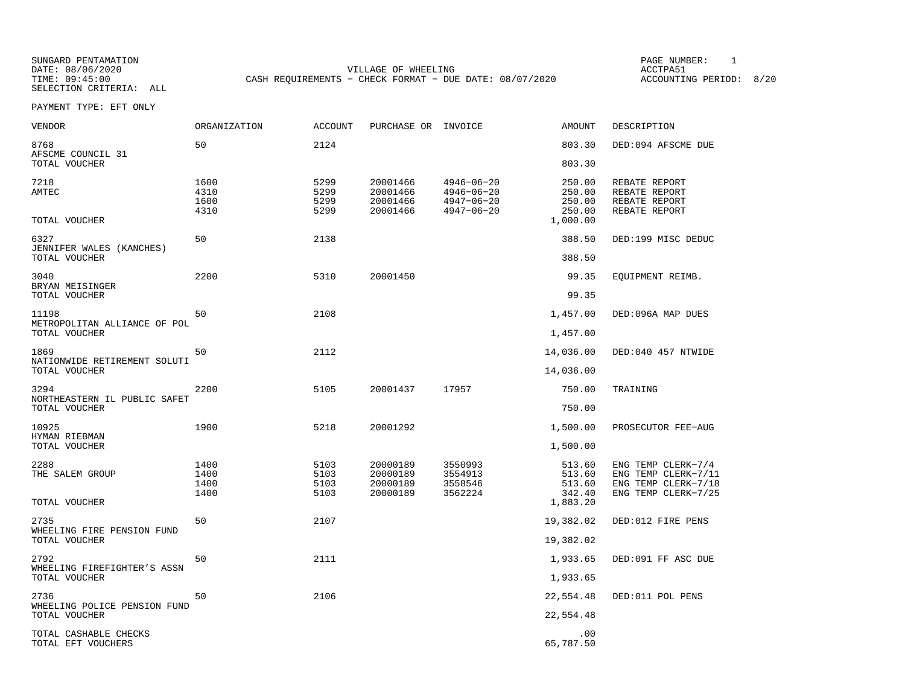SUNGARD PENTAMATION PAGE NUMBER: 1DATE: 08/06/2020 VILLAGE OF WHEELING ACCTPA51CASH REQUIREMENTS - CHECK FORMAT - DUE DATE: 08/07/2020

ACCOUNTING PERIOD: 8/20

| VENDOR                                      | ORGANIZATION                 | <b>ACCOUNT</b>               | PURCHASE OR INVOICE                          |                                                                              | AMOUNT                                           | DESCRIPTION                                                                             |
|---------------------------------------------|------------------------------|------------------------------|----------------------------------------------|------------------------------------------------------------------------------|--------------------------------------------------|-----------------------------------------------------------------------------------------|
| 8768<br>AFSCME COUNCIL 31                   | 50                           | 2124                         |                                              |                                                                              | 803.30                                           | DED:094 AFSCME DUE                                                                      |
| TOTAL VOUCHER                               |                              |                              |                                              |                                                                              | 803.30                                           |                                                                                         |
| 7218<br><b>AMTEC</b><br>TOTAL VOUCHER       | 1600<br>4310<br>1600<br>4310 | 5299<br>5299<br>5299<br>5299 | 20001466<br>20001466<br>20001466<br>20001466 | $4946 - 06 - 20$<br>$4946 - 06 - 20$<br>$4947 - 06 - 20$<br>$4947 - 06 - 20$ | 250.00<br>250.00<br>250.00<br>250.00<br>1,000.00 | REBATE REPORT<br>REBATE REPORT<br>REBATE REPORT<br>REBATE REPORT                        |
| 6327                                        | 50                           | 2138                         |                                              |                                                                              | 388.50                                           | DED:199 MISC DEDUC                                                                      |
| JENNIFER WALES (KANCHES)<br>TOTAL VOUCHER   |                              |                              |                                              |                                                                              | 388.50                                           |                                                                                         |
| 3040<br>BRYAN MEISINGER                     | 2200                         | 5310                         | 20001450                                     |                                                                              | 99.35                                            | EQUIPMENT REIMB.                                                                        |
| TOTAL VOUCHER                               |                              |                              |                                              |                                                                              | 99.35                                            |                                                                                         |
| 11198<br>METROPOLITAN ALLIANCE OF POL       | 50                           | 2108                         |                                              |                                                                              | 1,457.00                                         | DED:096A MAP DUES                                                                       |
| TOTAL VOUCHER                               |                              |                              |                                              |                                                                              | 1,457.00                                         |                                                                                         |
| 1869<br>NATIONWIDE RETIREMENT SOLUTI        | 50                           | 2112                         |                                              |                                                                              | 14,036.00                                        | DED:040 457 NTWIDE                                                                      |
| TOTAL VOUCHER                               |                              |                              |                                              |                                                                              | 14,036.00                                        |                                                                                         |
| 3294<br>NORTHEASTERN IL PUBLIC SAFET        | 2200                         | 5105                         | 20001437                                     | 17957                                                                        | 750.00                                           | TRAINING                                                                                |
| TOTAL VOUCHER                               |                              |                              |                                              |                                                                              | 750.00                                           |                                                                                         |
| 10925<br>HYMAN RIEBMAN                      | 1900                         | 5218                         | 20001292                                     |                                                                              | 1,500.00                                         | PROSECUTOR FEE-AUG                                                                      |
| TOTAL VOUCHER                               |                              |                              |                                              |                                                                              | 1,500.00                                         |                                                                                         |
| 2288<br>THE SALEM GROUP                     | 1400<br>1400<br>1400<br>1400 | 5103<br>5103<br>5103<br>5103 | 20000189<br>20000189<br>20000189<br>20000189 | 3550993<br>3554913<br>3558546<br>3562224                                     | 513.60<br>513.60<br>513.60<br>342.40             | ENG TEMP CLERK-7/4<br>ENG TEMP CLERK-7/11<br>ENG TEMP CLERK-7/18<br>ENG TEMP CLERK-7/25 |
| TOTAL VOUCHER                               |                              |                              |                                              |                                                                              | 1,883.20                                         |                                                                                         |
| 2735<br>WHEELING FIRE PENSION FUND          | 50                           | 2107                         |                                              |                                                                              | 19,382.02                                        | DED:012 FIRE PENS                                                                       |
| TOTAL VOUCHER                               |                              |                              |                                              |                                                                              | 19,382.02                                        |                                                                                         |
| 2792<br>WHEELING FIREFIGHTER'S ASSN         | 50                           | 2111                         |                                              |                                                                              | 1,933.65                                         | DED:091 FF ASC DUE                                                                      |
| TOTAL VOUCHER                               |                              |                              |                                              |                                                                              | 1,933.65                                         |                                                                                         |
| 2736<br>WHEELING POLICE PENSION FUND        | 50                           | 2106                         |                                              |                                                                              | 22,554.48                                        | DED:011 POL PENS                                                                        |
| TOTAL VOUCHER                               |                              |                              |                                              |                                                                              | 22,554.48                                        |                                                                                         |
| TOTAL CASHABLE CHECKS<br>TOTAL EFT VOUCHERS |                              |                              |                                              |                                                                              | .00<br>65,787.50                                 |                                                                                         |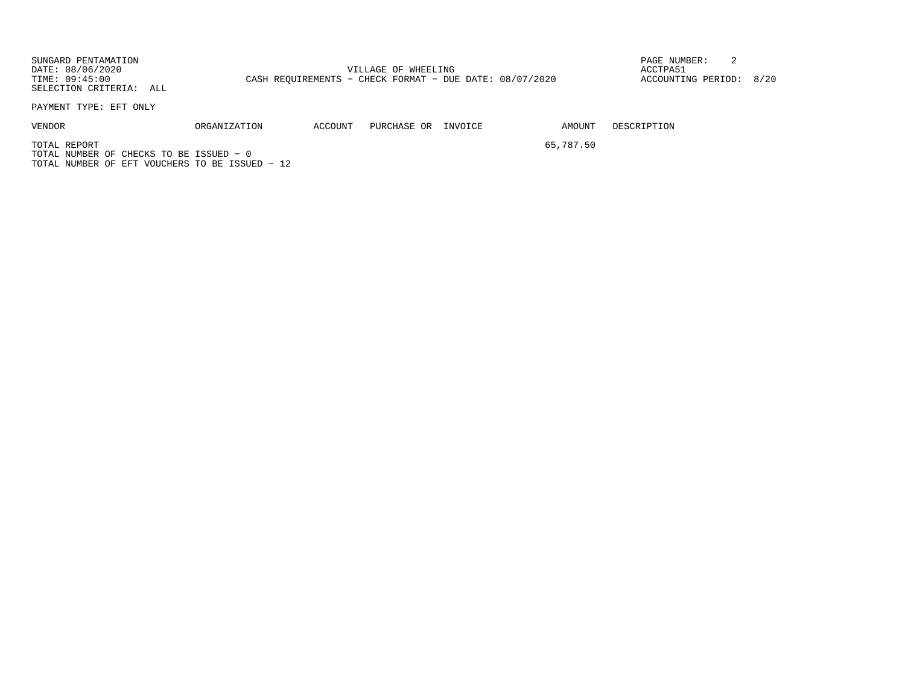SUNGARD PENTAMATION PAGE NUMBER: 2DATE: 08/06/2020 VILLAGE OF WHEELING ACCTPA51ACCOUNTING PERIOD: 8/20 TIME: 09:45:00 CASH REQUIREMENTS - CHECK FORMAT - DUE DATE: 08/07/2020 SELECTION CRITERIA: ALL

PAYMENT TYPE: EFT ONLY

VENDOR ORGANIZATION ACCOUNT PURCHASE OR INVOICE AMOUNT DESCRIPTION

TOTAL REPORT 65,787.50TOTAL NUMBER OF CHECKS TO BE ISSUED − 0TOTAL NUMBER OF EFT VOUCHERS TO BE ISSUED − 12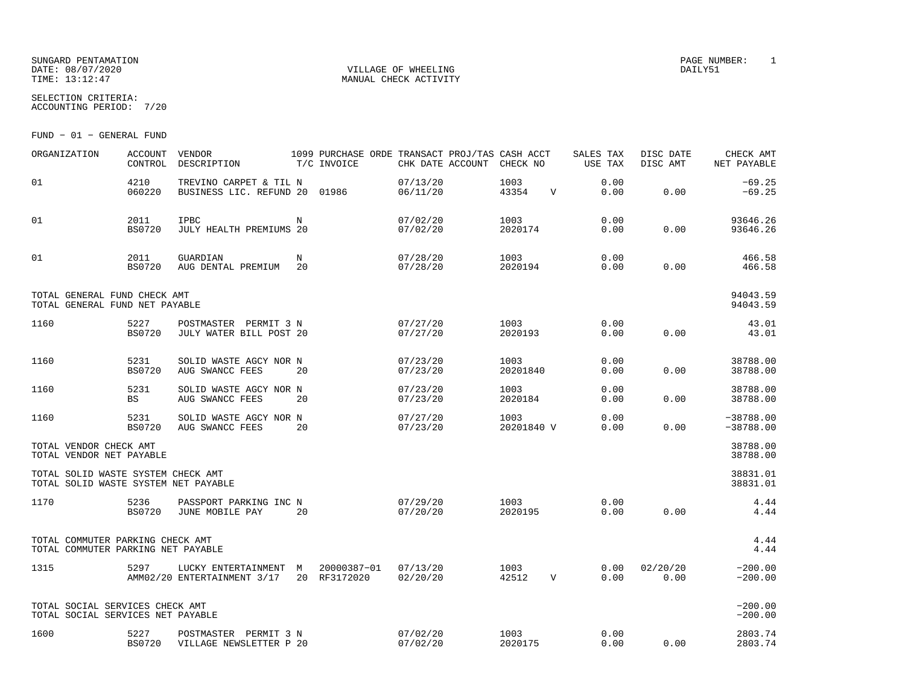#### SUNGARD PENTAMATION PAGE NUMBER: 1 DATE: 08/07/2020 VILLAGE OF WHEELING DAILY51TIME: 13:12:47 MANUAL CHECK ACTIVITY

SELECTION CRITERIA:ACCOUNTING PERIOD: 7/20

FUND − 01 − GENERAL FUND

| ORGANIZATION                                                               | <b>ACCOUNT</b><br>CONTROL | <b>VENDOR</b><br>DESCRIPTION                            |    | 1099 PURCHASE ORDE TRANSACT PROJ/TAS CASH ACCT<br>T/C INVOICE |                      | CHK DATE ACCOUNT CHECK NO |             | SALES TAX<br>USE TAX | DISC DATE<br>DISC AMT | CHECK AMT<br>NET PAYABLE   |
|----------------------------------------------------------------------------|---------------------------|---------------------------------------------------------|----|---------------------------------------------------------------|----------------------|---------------------------|-------------|----------------------|-----------------------|----------------------------|
| 01                                                                         | 4210<br>060220            | TREVINO CARPET & TIL N<br>BUSINESS LIC. REFUND 20 01986 |    |                                                               | 07/13/20<br>06/11/20 | 1003<br>43354             | V           | 0.00<br>0.00         | 0.00                  | $-69.25$<br>$-69.25$       |
| 01                                                                         | 2011<br><b>BS0720</b>     | IPBC<br>JULY HEALTH PREMIUMS 20                         | N  |                                                               | 07/02/20<br>07/02/20 | 1003<br>2020174           |             | 0.00<br>0.00         | 0.00                  | 93646.26<br>93646.26       |
| 01                                                                         | 2011<br><b>BS0720</b>     | <b>GUARDIAN</b><br>AUG DENTAL PREMIUM 20                | N  |                                                               | 07/28/20<br>07/28/20 | 1003<br>2020194           |             | 0.00<br>0.00         | 0.00                  | 466.58<br>466.58           |
| TOTAL GENERAL FUND CHECK AMT<br>TOTAL GENERAL FUND NET PAYABLE             |                           |                                                         |    |                                                               |                      |                           |             |                      |                       | 94043.59<br>94043.59       |
| 1160                                                                       | 5227<br><b>BS0720</b>     | POSTMASTER PERMIT 3 N<br>JULY WATER BILL POST 20        |    |                                                               | 07/27/20<br>07/27/20 | 1003<br>2020193           |             | 0.00<br>0.00         | 0.00                  | 43.01<br>43.01             |
| 1160                                                                       | 5231<br><b>BS0720</b>     | SOLID WASTE AGCY NOR N<br>AUG SWANCC FEES               | 20 |                                                               | 07/23/20<br>07/23/20 | 1003<br>20201840          |             | 0.00<br>0.00         | 0.00                  | 38788.00<br>38788.00       |
| 1160                                                                       | 5231<br><b>BS</b>         | SOLID WASTE AGCY NOR N<br>AUG SWANCC FEES               | 20 |                                                               | 07/23/20<br>07/23/20 | 1003<br>2020184           |             | 0.00<br>0.00         | 0.00                  | 38788.00<br>38788.00       |
| 1160                                                                       | 5231<br><b>BS0720</b>     | SOLID WASTE AGCY NOR N<br>AUG SWANCC FEES               | 20 |                                                               | 07/27/20<br>07/23/20 | 1003 200<br>20201840 V    |             | 0.00<br>0.00         | 0.00                  | $-38788.00$<br>$-38788.00$ |
| TOTAL VENDOR CHECK AMT<br>TOTAL VENDOR NET PAYABLE                         |                           |                                                         |    |                                                               |                      |                           |             |                      |                       | 38788.00<br>38788.00       |
| TOTAL SOLID WASTE SYSTEM CHECK AMT<br>TOTAL SOLID WASTE SYSTEM NET PAYABLE |                           |                                                         |    |                                                               |                      |                           |             |                      |                       | 38831.01<br>38831.01       |
| 1170                                                                       | 5236<br><b>BS0720</b>     | PASSPORT PARKING INC N<br>JUNE MOBILE PAY               | 20 |                                                               | 07/29/20<br>07/20/20 | 1003<br>2020195           |             | 0.00<br>0.00         | 0.00                  | 4.44<br>4.44               |
| TOTAL COMMUTER PARKING CHECK AMT<br>TOTAL COMMUTER PARKING NET PAYABLE     |                           |                                                         |    |                                                               |                      |                           |             |                      |                       | 4.44<br>4.44               |
| 1315                                                                       | 5297                      | LUCKY ENTERTAINMENT M<br>AMM02/20 ENTERTAINMENT 3/17    |    | 20000387-01<br>20 RF3172020                                   | 07/13/20<br>02/20/20 | 1003<br>42512             | $\mathbf V$ | 0.00<br>0.00         | 02/20/20<br>0.00      | $-200.00$<br>$-200.00$     |
| TOTAL SOCIAL SERVICES CHECK AMT<br>TOTAL SOCIAL SERVICES NET PAYABLE       |                           |                                                         |    |                                                               |                      |                           |             |                      |                       | $-200.00$<br>$-200.00$     |
| 1600                                                                       | 5227<br><b>BS0720</b>     | POSTMASTER PERMIT 3 N<br>VILLAGE NEWSLETTER P 20        |    |                                                               | 07/02/20<br>07/02/20 | 1003<br>2020175           |             | 0.00<br>0.00         | 0.00                  | 2803.74<br>2803.74         |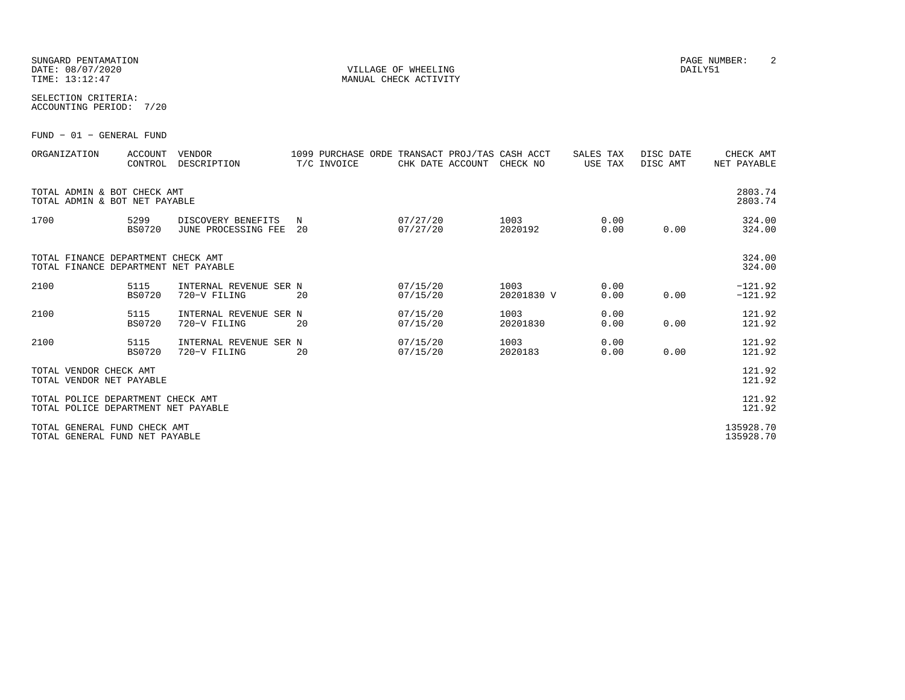#### SUNGARD PENTAMATION PAGE NUMBER: 2DATE:  $08/07/2020$  DAILY51 TIME:  $13:12:47$  MANUAL CHECK ACTIVITY

SELECTION CRITERIA:

ACCOUNTING PERIOD: 7/20

FUND − 01 − GENERAL FUND

| ORGANIZATION                                                               | <b>ACCOUNT</b><br>CONTROL | <b>VENDOR</b><br>DESCRIPTION              |         | T/C INVOICE | CHK DATE ACCOUNT     | 1099 PURCHASE ORDE TRANSACT PROJ/TAS CASH ACCT<br>CHECK NO | SALES TAX<br>USE TAX |              | DISC DATE<br>DISC AMT | CHECK AMT<br>NET PAYABLE |
|----------------------------------------------------------------------------|---------------------------|-------------------------------------------|---------|-------------|----------------------|------------------------------------------------------------|----------------------|--------------|-----------------------|--------------------------|
| TOTAL ADMIN & BOT CHECK AMT<br>TOTAL ADMIN & BOT NET PAYABLE               |                           |                                           |         |             |                      |                                                            |                      |              |                       | 2803.74<br>2803.74       |
| 1700                                                                       | 5299<br><b>BS0720</b>     | DISCOVERY BENEFITS<br>JUNE PROCESSING FEE | N<br>20 |             | 07/27/20<br>07/27/20 | 1003<br>2020192                                            |                      | 0.00<br>0.00 | 0.00                  | 324.00<br>324.00         |
| TOTAL FINANCE DEPARTMENT CHECK AMT<br>TOTAL FINANCE DEPARTMENT NET PAYABLE |                           |                                           |         |             |                      |                                                            |                      |              |                       | 324.00<br>324.00         |
| 2100                                                                       | 5115<br><b>BS0720</b>     | INTERNAL REVENUE SER N<br>720-V FILING    | 20      |             | 07/15/20<br>07/15/20 | 1003<br>20201830 V                                         |                      | 0.00<br>0.00 | 0.00                  | $-121.92$<br>$-121.92$   |
| 2100                                                                       | 5115<br><b>BS0720</b>     | INTERNAL REVENUE SER N<br>720-V FILING    | 20      |             | 07/15/20<br>07/15/20 | 1003<br>20201830                                           |                      | 0.00<br>0.00 | 0.00                  | 121.92<br>121.92         |
| 2100                                                                       | 5115<br><b>BS0720</b>     | INTERNAL REVENUE SER N<br>720-V FILING    | 20      |             | 07/15/20<br>07/15/20 | 1003<br>2020183                                            |                      | 0.00<br>0.00 | 0.00                  | 121.92<br>121.92         |
| TOTAL VENDOR CHECK AMT<br>TOTAL VENDOR NET PAYABLE                         |                           |                                           |         |             |                      |                                                            |                      |              |                       | 121.92<br>121.92         |
| TOTAL POLICE DEPARTMENT CHECK AMT<br>TOTAL POLICE DEPARTMENT NET PAYABLE   |                           |                                           |         |             |                      |                                                            |                      |              |                       | 121.92<br>121.92         |
| TOTAL GENERAL FUND CHECK AMT<br>TOTAL GENERAL FUND NET PAYABLE             |                           |                                           |         |             |                      |                                                            |                      |              |                       | 135928.70<br>135928.70   |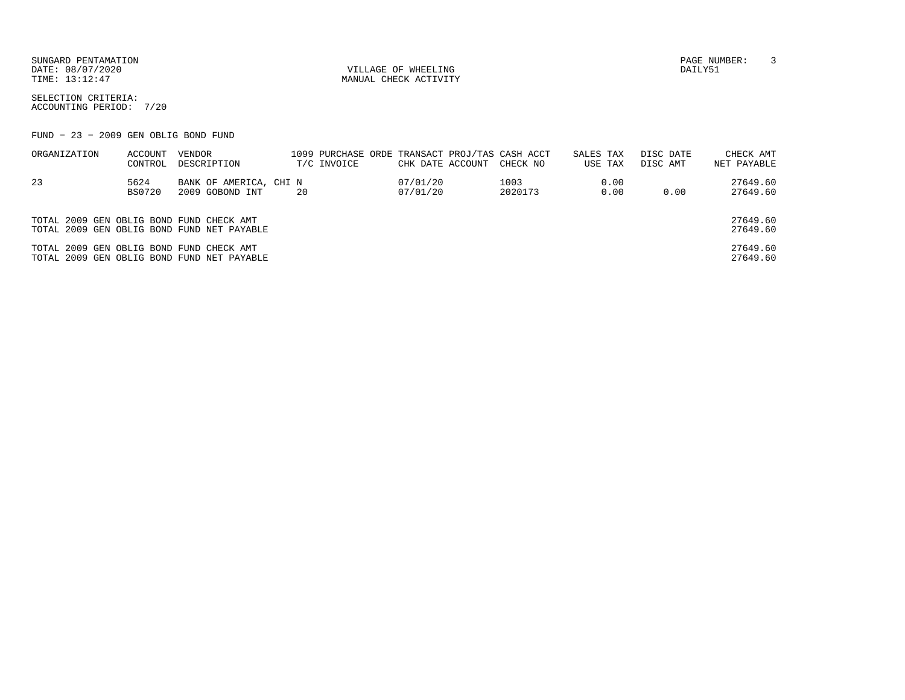DATE:  $08/07/2020$  DAILY51

TIME:  $13:12:47$  MANUAL CHECK ACTIVITY

SUNGARD PENTAMATION PAGE NUMBER: 3

SELECTION CRITERIA:ACCOUNTING PERIOD: 7/20

FUND − 23 − 2009 GEN OBLIG BOND FUND

| ORGANIZATION                             | ACCOUNT | VENDOR                                     | 1099 PURCHASE ORDE TRANSACT PROJ/TAS CASH ACCT |                  |          | SALES TAX | DISC DATE | CHECK AMT   |
|------------------------------------------|---------|--------------------------------------------|------------------------------------------------|------------------|----------|-----------|-----------|-------------|
|                                          | CONTROL | DESCRIPTION                                | T/C INVOICE                                    | CHK DATE ACCOUNT | CHECK NO | USE TAX   | DISC AMT  | NET PAYABLE |
| 23                                       | 5624    | BANK OF AMERICA, CHI N                     |                                                | 07/01/20         | 1003     | 0.00      |           | 27649.60    |
|                                          | BS0720  | 2009 GOBOND INT                            | 20                                             | 07/01/20         | 2020173  | 0.00      | 0.00      | 27649.60    |
|                                          |         |                                            |                                                |                  |          |           |           |             |
| TOTAL 2009 GEN OBLIG BOND FUND CHECK AMT |         |                                            |                                                |                  |          |           |           | 27649.60    |
|                                          |         | TOTAL 2009 GEN OBLIG BOND FUND NET PAYABLE |                                                |                  |          |           |           | 27649.60    |
| TOTAL 2009 GEN OBLIG BOND FUND CHECK AMT |         |                                            |                                                |                  |          |           |           | 27649.60    |
|                                          |         | TOTAL 2009 GEN OBLIG BOND FUND NET PAYABLE |                                                |                  |          |           |           | 27649.60    |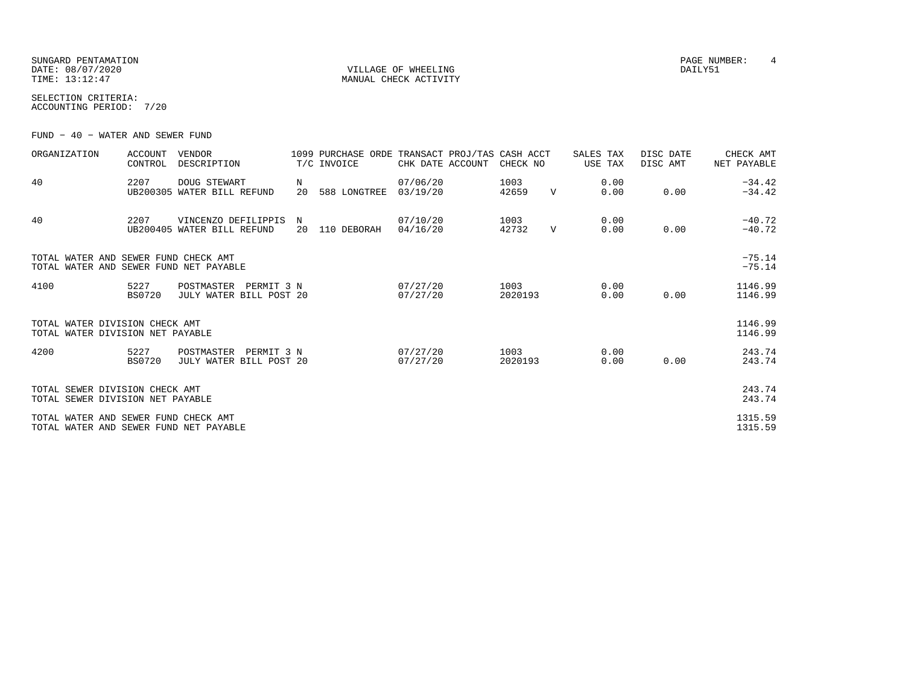SUNGARD PENTAMATION PAGE NUMBER: 4 DATE: 08/07/2020 DAILY51 TIME:  $13:12:47$  MANUAL CHECK ACTIVITY

SELECTION CRITERIA:ACCOUNTING PERIOD: 7/20

FUND − 40 − WATER AND SEWER FUND

| ORGANIZATION                                                                   | <b>ACCOUNT</b><br>CONTROL | VENDOR<br>DESCRIPTION                               |         | 1099 PURCHASE ORDE TRANSACT PROJ/TAS CASH ACCT<br>T/C INVOICE | CHK DATE ACCOUNT     | CHECK NO        |             | SALES TAX<br>USE TAX | DISC DATE<br>DISC AMT | CHECK AMT<br>NET PAYABLE |
|--------------------------------------------------------------------------------|---------------------------|-----------------------------------------------------|---------|---------------------------------------------------------------|----------------------|-----------------|-------------|----------------------|-----------------------|--------------------------|
| 40                                                                             | 2207                      | DOUG STEWART<br>UB200305 WATER BILL REFUND          | N<br>20 | 588 LONGTREE                                                  | 07/06/20<br>03/19/20 | 1003<br>42659   | $\mathbf V$ | 0.00<br>0.00         | 0.00                  | $-34.42$<br>$-34.42$     |
| 40                                                                             | 2207                      | VINCENZO DEFILIPPIS<br>UB200405 WATER BILL REFUND   | N<br>20 | 110 DEBORAH                                                   | 07/10/20<br>04/16/20 | 1003<br>42732   | $\mathbf V$ | 0.00<br>0.00         | 0.00                  | $-40.72$<br>$-40.72$     |
| TOTAL WATER AND SEWER FUND CHECK AMT<br>TOTAL WATER AND SEWER FUND NET PAYABLE |                           |                                                     |         |                                                               |                      |                 |             |                      |                       | $-75.14$<br>$-75.14$     |
| 4100                                                                           | 5227<br><b>BS0720</b>     | POSTMASTER<br>PERMIT 3 N<br>JULY WATER BILL POST 20 |         |                                                               | 07/27/20<br>07/27/20 | 1003<br>2020193 |             | 0.00<br>0.00         | 0.00                  | 1146.99<br>1146.99       |
| TOTAL WATER DIVISION CHECK AMT<br>TOTAL WATER DIVISION NET PAYABLE             |                           |                                                     |         |                                                               |                      |                 |             |                      |                       | 1146.99<br>1146.99       |
| 4200                                                                           | 5227<br><b>BS0720</b>     | POSTMASTER<br>PERMIT 3 N<br>JULY WATER BILL POST 20 |         |                                                               | 07/27/20<br>07/27/20 | 1003<br>2020193 |             | 0.00<br>0.00         | 0.00                  | 243.74<br>243.74         |
| TOTAL SEWER DIVISION CHECK AMT<br>TOTAL SEWER DIVISION NET PAYABLE             |                           |                                                     |         |                                                               |                      |                 |             |                      |                       | 243.74<br>243.74         |
| TOTAL WATER AND SEWER FUND CHECK AMT<br>TOTAL WATER AND SEWER FUND NET PAYABLE |                           |                                                     |         |                                                               |                      |                 |             |                      |                       | 1315.59<br>1315.59       |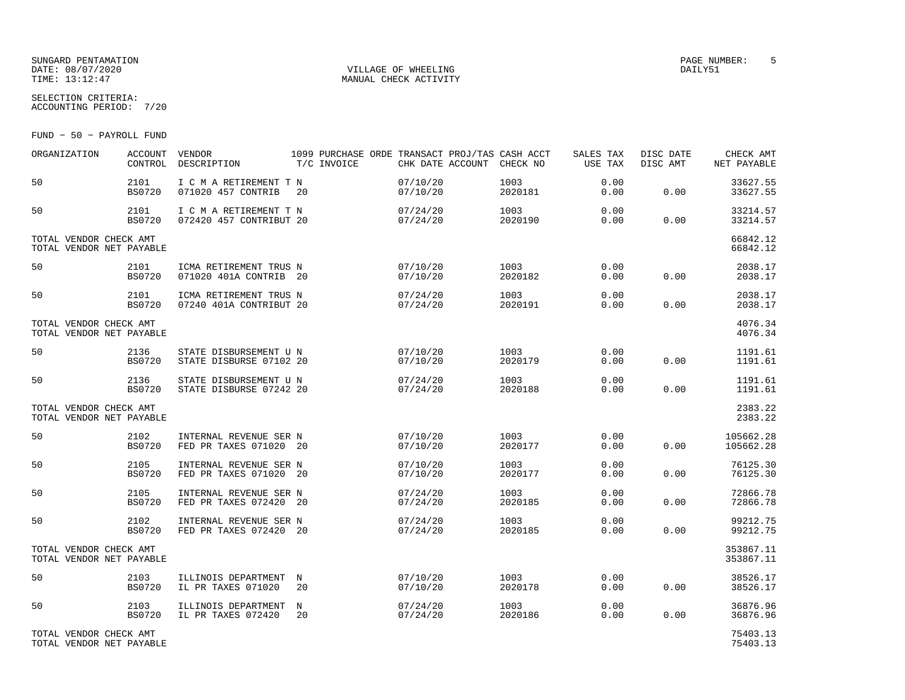### SUNGARD PENTAMATION PAGE NUMBER: 5DATE:  $08/07/2020$  DAILY51

TIME:  $13:12:47$  MANUAL CHECK ACTIVITY

SELECTION CRITERIA:ACCOUNTING PERIOD: 7/20

FUND − 50 − PAYROLL FUND

| ORGANIZATION                                       | <b>ACCOUNT</b><br>CONTROL | VENDOR<br>DESCRIPTION                             | T/C INVOICE | 1099 PURCHASE ORDE TRANSACT PROJ/TAS CASH ACCT<br>CHK DATE ACCOUNT CHECK NO |                 | SALES TAX<br>USE TAX | DISC DATE<br>DISC AMT | CHECK AMT<br>NET PAYABLE |
|----------------------------------------------------|---------------------------|---------------------------------------------------|-------------|-----------------------------------------------------------------------------|-----------------|----------------------|-----------------------|--------------------------|
| 50                                                 | 2101<br><b>BS0720</b>     | I C M A RETIREMENT T N<br>071020 457 CONTRIB      | 20          | 07/10/20<br>07/10/20                                                        | 1003<br>2020181 | 0.00<br>0.00         | 0.00                  | 33627.55<br>33627.55     |
| 50                                                 | 2101<br><b>BS0720</b>     | I C M A RETIREMENT T N<br>072420 457 CONTRIBUT 20 |             | 07/24/20<br>07/24/20                                                        | 1003<br>2020190 | 0.00<br>0.00         | 0.00                  | 33214.57<br>33214.57     |
| TOTAL VENDOR CHECK AMT<br>TOTAL VENDOR NET PAYABLE |                           |                                                   |             |                                                                             |                 |                      |                       | 66842.12<br>66842.12     |
| 50                                                 | 2101<br><b>BS0720</b>     | ICMA RETIREMENT TRUS N<br>071020 401A CONTRIB 20  |             | 07/10/20<br>07/10/20                                                        | 1003<br>2020182 | 0.00<br>0.00         | 0.00                  | 2038.17<br>2038.17       |
| 50                                                 | 2101<br><b>BS0720</b>     | ICMA RETIREMENT TRUS N<br>07240 401A CONTRIBUT 20 |             | 07/24/20<br>07/24/20                                                        | 1003<br>2020191 | 0.00<br>0.00         | 0.00                  | 2038.17<br>2038.17       |
| TOTAL VENDOR CHECK AMT<br>TOTAL VENDOR NET PAYABLE |                           |                                                   |             |                                                                             |                 |                      |                       | 4076.34<br>4076.34       |
| 50                                                 | 2136<br><b>BS0720</b>     | STATE DISBURSEMENT U N<br>STATE DISBURSE 07102 20 |             | 07/10/20<br>07/10/20                                                        | 1003<br>2020179 | 0.00<br>0.00         | 0.00                  | 1191.61<br>1191.61       |
| 50                                                 | 2136<br><b>BS0720</b>     | STATE DISBURSEMENT U N<br>STATE DISBURSE 07242 20 |             | 07/24/20<br>07/24/20                                                        | 1003<br>2020188 | 0.00<br>0.00         | 0.00                  | 1191.61<br>1191.61       |
| TOTAL VENDOR CHECK AMT<br>TOTAL VENDOR NET PAYABLE |                           |                                                   |             |                                                                             |                 |                      |                       | 2383.22<br>2383.22       |
| 50                                                 | 2102<br><b>BS0720</b>     | INTERNAL REVENUE SER N<br>FED PR TAXES 071020 20  |             | 07/10/20<br>07/10/20                                                        | 1003<br>2020177 | 0.00<br>0.00         | 0.00                  | 105662.28<br>105662.28   |
| 50                                                 | 2105<br><b>BS0720</b>     | INTERNAL REVENUE SER N<br>FED PR TAXES 071020 20  |             | 07/10/20<br>07/10/20                                                        | 1003<br>2020177 | 0.00<br>0.00         | 0.00                  | 76125.30<br>76125.30     |
| 50                                                 | 2105<br><b>BS0720</b>     | INTERNAL REVENUE SER N<br>FED PR TAXES 072420 20  |             | 07/24/20<br>07/24/20                                                        | 1003<br>2020185 | 0.00<br>0.00         | 0.00                  | 72866.78<br>72866.78     |
| 50                                                 | 2102<br><b>BS0720</b>     | INTERNAL REVENUE SER N<br>FED PR TAXES 072420 20  |             | 07/24/20<br>07/24/20                                                        | 1003<br>2020185 | 0.00<br>0.00         | 0.00                  | 99212.75<br>99212.75     |
| TOTAL VENDOR CHECK AMT<br>TOTAL VENDOR NET PAYABLE |                           |                                                   |             |                                                                             |                 |                      |                       | 353867.11<br>353867.11   |
| 50                                                 | 2103<br><b>BS0720</b>     | ILLINOIS DEPARTMENT N<br>IL PR TAXES 071020       | 20          | 07/10/20<br>07/10/20                                                        | 1003<br>2020178 | 0.00<br>0.00         | 0.00                  | 38526.17<br>38526.17     |
| 50                                                 | 2103<br><b>BS0720</b>     | ILLINOIS DEPARTMENT N<br>IL PR TAXES 072420       | 20          | 07/24/20<br>07/24/20                                                        | 1003<br>2020186 | 0.00<br>0.00         | 0.00                  | 36876.96<br>36876.96     |
| TOTAL VENDOR CHECK AMT<br>TOTAL VENDOR NET PAYABLE |                           |                                                   |             |                                                                             |                 |                      |                       | 75403.13<br>75403.13     |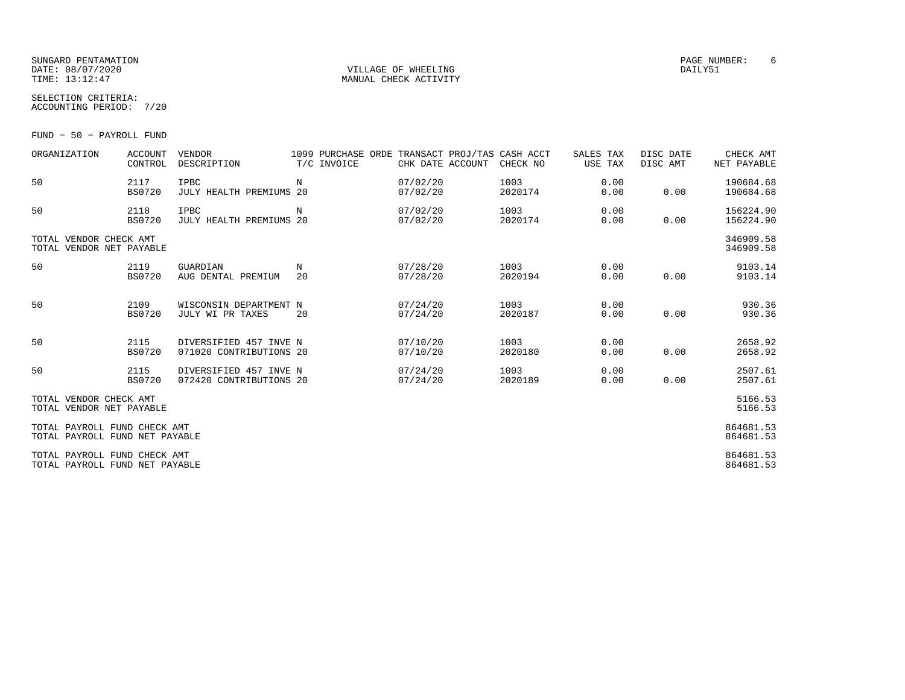#### SUNGARD PENTAMATION PAGE NUMBER: 6DATE:  $08/07/2020$  DAILY51 TIME:  $13:12:47$  MANUAL CHECK ACTIVITY

SELECTION CRITERIA:

| OLULUINUN UKIILKIA. |      |
|---------------------|------|
| ACCOUNTING PERIOD:  | 7/20 |

FUND − 50 − PAYROLL FUND

| ORGANIZATION                                                   | <b>ACCOUNT</b><br>CONTROL | <b>VENDOR</b><br>DESCRIPTION                      | 1099 PURCHASE ORDE TRANSACT PROJ/TAS CASH ACCT<br>T/C INVOICE | CHK DATE ACCOUNT     | CHECK NO        | SALES TAX<br>USE TAX | DISC DATE<br>DISC AMT | CHECK AMT<br>NET PAYABLE |
|----------------------------------------------------------------|---------------------------|---------------------------------------------------|---------------------------------------------------------------|----------------------|-----------------|----------------------|-----------------------|--------------------------|
| 50                                                             | 2117<br><b>BS0720</b>     | <b>IPBC</b><br>JULY HEALTH PREMIUMS 20            | N                                                             | 07/02/20<br>07/02/20 | 1003<br>2020174 | 0.00<br>0.00         | 0.00                  | 190684.68<br>190684.68   |
| 50                                                             | 2118<br><b>BS0720</b>     | <b>IPBC</b><br><b>JULY HEALTH PREMIUMS 20</b>     | N                                                             | 07/02/20<br>07/02/20 | 1003<br>2020174 | 0.00<br>0.00         | 0.00                  | 156224.90<br>156224.90   |
| TOTAL VENDOR CHECK AMT<br>TOTAL VENDOR NET PAYABLE             |                           |                                                   |                                                               |                      |                 |                      |                       | 346909.58<br>346909.58   |
| 50                                                             | 2119<br><b>BS0720</b>     | GUARDIAN<br>AUG DENTAL PREMIUM                    | N<br>20                                                       | 07/28/20<br>07/28/20 | 1003<br>2020194 | 0.00<br>0.00         | 0.00                  | 9103.14<br>9103.14       |
| 50                                                             | 2109<br>BS0720            | WISCONSIN DEPARTMENT N<br>JULY WI PR TAXES        | 20                                                            | 07/24/20<br>07/24/20 | 1003<br>2020187 | 0.00<br>0.00         | 0.00                  | 930.36<br>930.36         |
| 50                                                             | 2115<br><b>BS0720</b>     | DIVERSIFIED 457 INVE N<br>071020 CONTRIBUTIONS 20 |                                                               | 07/10/20<br>07/10/20 | 1003<br>2020180 | 0.00<br>0.00         | 0.00                  | 2658.92<br>2658.92       |
| 50                                                             | 2115<br><b>BS0720</b>     | DIVERSIFIED 457 INVE N<br>072420 CONTRIBUTIONS 20 |                                                               | 07/24/20<br>07/24/20 | 1003<br>2020189 | 0.00<br>0.00         | 0.00                  | 2507.61<br>2507.61       |
| TOTAL VENDOR CHECK AMT<br>TOTAL VENDOR NET PAYABLE             |                           |                                                   |                                                               |                      |                 |                      |                       | 5166.53<br>5166.53       |
| TOTAL PAYROLL FUND CHECK AMT<br>TOTAL PAYROLL FUND NET PAYABLE |                           |                                                   |                                                               |                      |                 |                      |                       | 864681.53<br>864681.53   |
| TOTAL PAYROLL FUND CHECK AMT<br>TOTAL PAYROLL FUND NET PAYABLE |                           |                                                   |                                                               |                      |                 |                      |                       | 864681.53<br>864681.53   |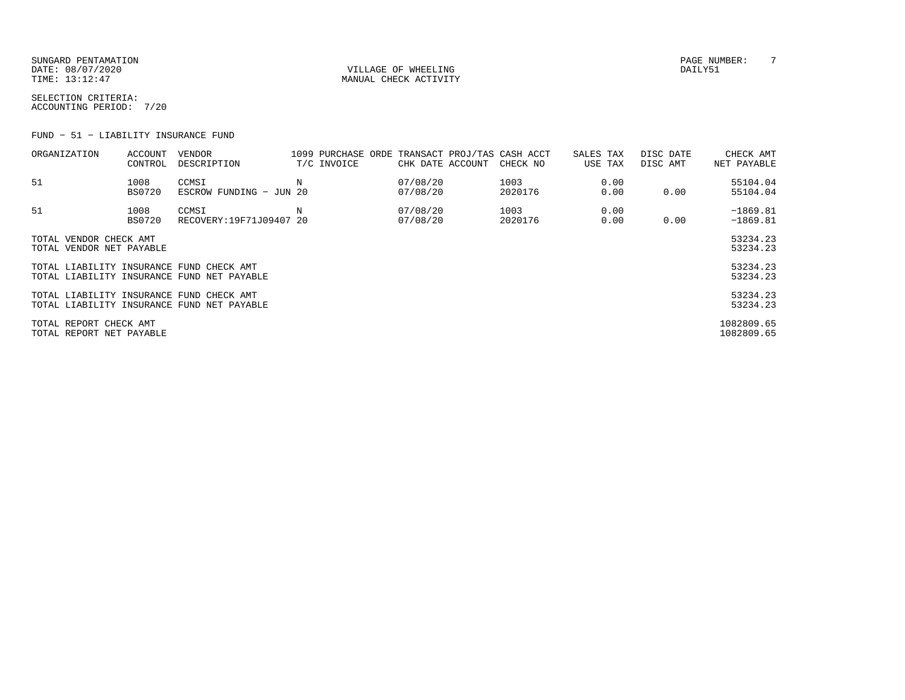SUNGARD PENTAMATION PAGE NUMBER: T DATE:  $08/07/2020$  DAILY51 TIME:  $13:12:47$  MANUAL CHECK ACTIVITY

SELECTION CRITERIA:ACCOUNTING PERIOD: 7/20

FUND − 51 − LIABILITY INSURANCE FUND

| ORGANIZATION                                       | ACCOUNT<br>CONTROL    | VENDOR<br>DESCRIPTION                      |   | T/C INVOICE | CHK DATE ACCOUNT     | 1099 PURCHASE ORDE TRANSACT PROJ/TAS CASH ACCT<br>CHECK NO | SALES TAX<br>USE TAX | DISC DATE<br>DISC AMT | CHECK AMT<br>NET PAYABLE |
|----------------------------------------------------|-----------------------|--------------------------------------------|---|-------------|----------------------|------------------------------------------------------------|----------------------|-----------------------|--------------------------|
| 51                                                 | 1008<br><b>BS0720</b> | CCMSI<br>ESCROW FUNDING - JUN 20           | Ν |             | 07/08/20<br>07/08/20 | 1003<br>2020176                                            | 0.00<br>0.00         | 0.00                  | 55104.04<br>55104.04     |
| 51                                                 | 1008<br><b>BS0720</b> | CCMSI<br>RECOVERY: 19F71J09407 20          |   |             | 07/08/20<br>07/08/20 | 1003<br>2020176                                            | 0.00<br>0.00         | 0.00                  | $-1869.81$<br>$-1869.81$ |
| TOTAL VENDOR CHECK AMT<br>TOTAL VENDOR NET PAYABLE |                       |                                            |   |             |                      |                                                            |                      |                       | 53234.23<br>53234.23     |
| TOTAL LIABILITY INSURANCE FUND CHECK AMT           |                       | TOTAL LIABILITY INSURANCE FUND NET PAYABLE |   |             |                      |                                                            |                      |                       | 53234.23<br>53234.23     |
| TOTAL LIABILITY INSURANCE FUND CHECK AMT           |                       | TOTAL LIABILITY INSURANCE FUND NET PAYABLE |   |             |                      |                                                            |                      |                       | 53234.23<br>53234.23     |
| TOTAL REPORT CHECK AMT<br>TOTAL REPORT NET PAYABLE |                       |                                            |   |             |                      |                                                            |                      |                       | 1082809.65<br>1082809.65 |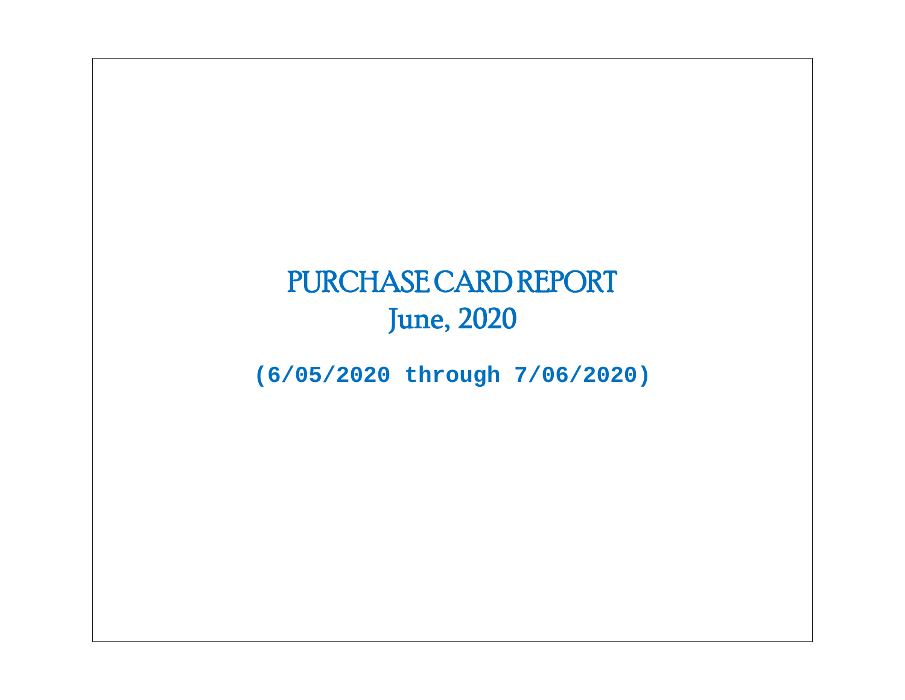# PURCHASE CARD REPORT June, 2020

**(6/05/2020 through 7/06/2020)**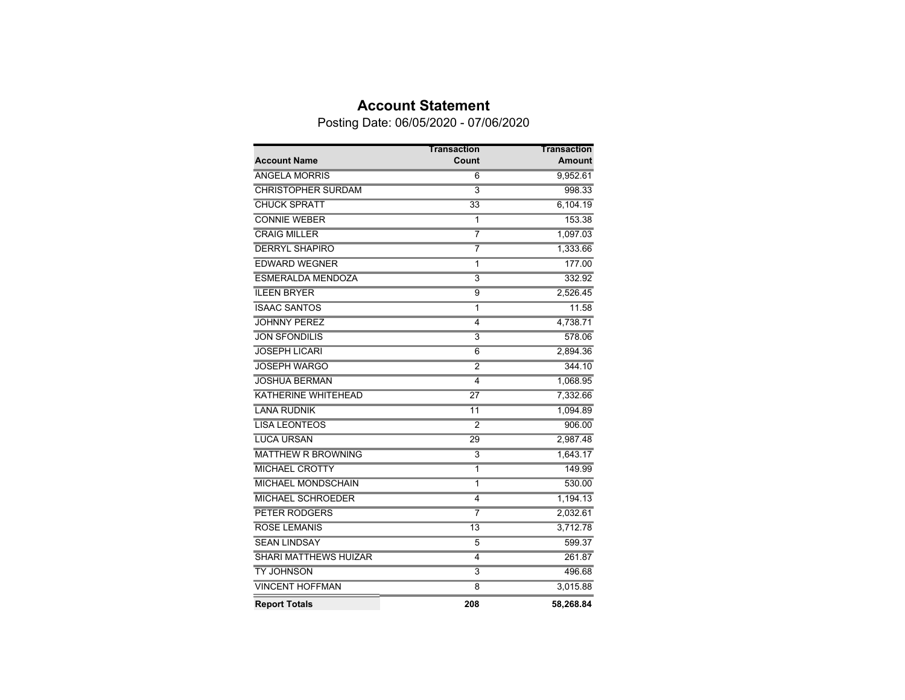### **Account Statement**

Posting Date: 06/05/2020 - 07/06/2020

|                              | Transaction     | <b>Transaction</b> |
|------------------------------|-----------------|--------------------|
| <b>Account Name</b>          | Count           | <b>Amount</b>      |
| <b>ANGELA MORRIS</b>         | 6               | 9,952.61           |
| <b>CHRISTOPHER SURDAM</b>    | $\overline{3}$  | 998.33             |
| <b>CHUCK SPRATT</b>          | 33              | 6,104.19           |
| <b>CONNIE WEBER</b>          | 1               | 153.38             |
| <b>CRAIG MILLER</b>          | 7               | 1,097.03           |
| <b>DERRYL SHAPIRO</b>        | 7               | 1,333.66           |
| <b>EDWARD WEGNER</b>         | 1               | 177.00             |
| <b>ESMERALDA MENDOZA</b>     | $\overline{3}$  | 332.92             |
| <b>ILEEN BRYER</b>           | $\overline{9}$  | 2,526.45           |
| <b>ISAAC SANTOS</b>          | $\overline{1}$  | 11.58              |
| <b>JOHNNY PEREZ</b>          | $\overline{4}$  | 4,738.71           |
| <b>JON SFONDILIS</b>         | $\overline{3}$  | 578.06             |
| <b>JOSEPH LICARI</b>         | $\overline{6}$  | 2,894.36           |
| <b>JOSEPH WARGO</b>          | $\overline{2}$  | 344.10             |
| <b>JOSHUA BERMAN</b>         | 4               | 1,068.95           |
| <b>KATHERINE WHITEHEAD</b>   | $\overline{27}$ | 7,332.66           |
| <b>LANA RUDNIK</b>           | $\overline{11}$ | 1,094.89           |
| <b>LISA LEONTEOS</b>         | 2               | 906.00             |
| <b>LUCA URSAN</b>            | 29              | 2,987.48           |
| <b>MATTHEW R BROWNING</b>    | $\overline{3}$  | 1,643.17           |
| <b>MICHAEL CROTTY</b>        | 1               | 149.99             |
| <b>MICHAEL MONDSCHAIN</b>    | $\overline{1}$  | 530.00             |
| <b>MICHAEL SCHROEDER</b>     | $\overline{4}$  | 1,194.13           |
| <b>PETER RODGERS</b>         | 7               | 2,032.61           |
| <b>ROSE LEMANIS</b>          | $\overline{13}$ | 3,712.78           |
| <b>SEAN LINDSAY</b>          | 5               | 599.37             |
| <b>SHARI MATTHEWS HUIZAR</b> | 4               | 261.87             |
| <b>TY JOHNSON</b>            | $\overline{3}$  | 496.68             |
| <b>VINCENT HOFFMAN</b>       | 8               | 3,015.88           |
| <b>Report Totals</b>         | 208             | 58,268.84          |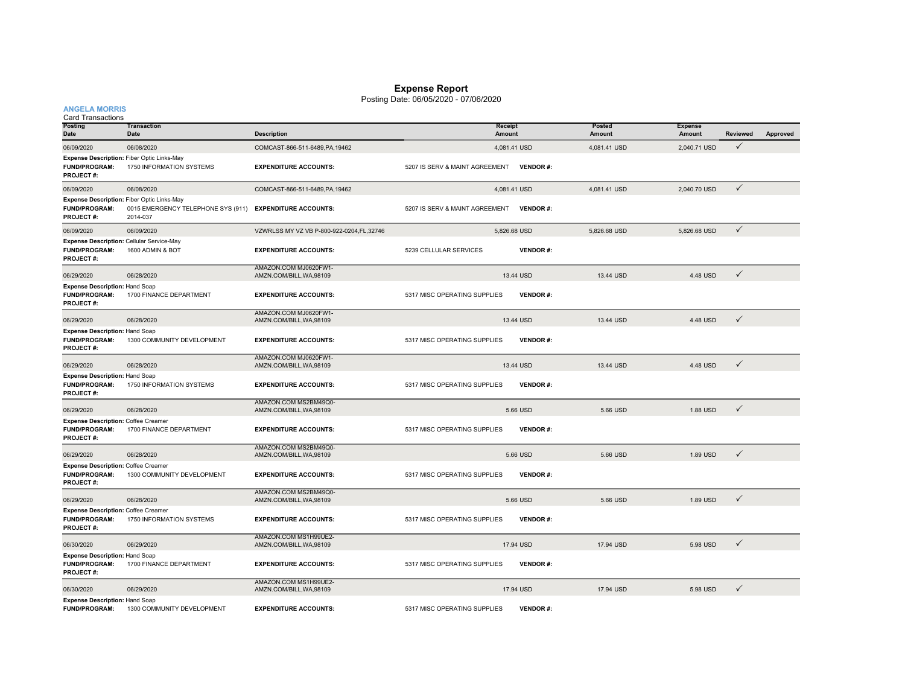#### **Expense Report**

#### Posting Date: 06/05/2020 - 07/06/2020

**ANGELA MORRIS**

**Posting DateTransactionDate Description Receipt AmountPostedAmountExpense Amount Reviewed Approved** 06/09/2020 06/08/2020 06/08/2020 COMCAST-866-511-6489,PA,19462 4,081.41 USD 4,081.41 USD 4,081.41 USD 2,040.71 USD √ **FUND/PROGRAM:** 1750 INFORMATION SYSTEMS**EXPENDITURE ACCOUNTS:** 5207 IS SERV & MAINT AGREEMENT **VENDOR** #: **PROJECT #:** 06/09/2020 06/08/2020 06/08/2020 COMCAST-866-511-6489,PA,19462 4,081.41 USD 4,081.41 USD 4,081.41 USD 2,040.70 USD √ **FUND/PROGRAM:** 0015 EMERGENCY TELEPHONE SYS (911) **EXPENDITURE ACCOUNTS:** 5207 IS SERV & MAINT AGREEMENT **VENDOR #: PROJECT #:** 2014-037 06/09/2020 06/09/2020 VZWRLSS MY VZ VB P-800-922-0204,FL,32746 5,826.68 USD 5,826.68 USD 5,826.68 USD **FUND/PROGRAM:** 1600 ADMIN & BOT**EXPENDITURE ACCOUNTS:** 5239 CELLULAR SERVICES **VENDOR #: PROJECT #:** 06/29/2020 06/28/2020 AMAZON.COM MJ0620FW1- AMZN.COM/BILL,WA,98109 13.44 USD 13.44 USD 4.48 USD **FUND/PROGRAM:** 1700 FINANCE DEPARTMENT**EXPENDITURE ACCOUNTS:** 5317 MISC OPERATING SUPPLIES **VENDOR #: PROJECT #:**06/29/2020 06/28/2020 AMAZON.COM MJ0620FW1- AMZN.COM/BILL,WA,98109 13.44 USD 13.44 USD 4.48 USD **FUND/PROGRAM:** 1300 COMMUNITY DEVELOPMENT**EXPENDITURE ACCOUNTS:** 5317 MISC OPERATING SUPPLIES **VENDOR #: PROJECT #:**06/29/2020 06/28/2020 AMAZON.COM MJ0620FW1- $\sim$  AMZN.COM/BILL,WA,98109 13.44 USD 4.48 USD 4.48 USD 4.48 USD 4.48 USD 4.48 USD 4.48 USD 4.48 USD 4.48 USD 4.48 USD 4.48 USD 4.48 USD 4.48 USD 4.48 USD 4.48 USD 4.48 USD 4.48 USD 4.48 USD 4.48 USD 4.48 USD 4.48 USD 4.4 **FUND/PROGRAM:** 1750 INFORMATION SYSTEMS **EXPENDITURE ACCOUNTS:** 5317 MISC OPERATING SUPPLIES **VENDOR #: PROJECT #:**06/29/2020 06/28/2020 AMAZON.COM MS2BM49Q0-AMZN.COM/BILL,WA,98109 5.66 USD 5.66 USD 1.88 USD **FUND/PROGRAM:** 1700 FINANCE DEPARTMENT **EXPENDITURE ACCOUNTS:** 5317 MISC OPERATING SUPPLIES **VENDOR #: PROJECT #:** 06/29/2020 06/28/2020 AMAZON.COM MS2BM49Q0- AMZN.COM/BILL,WA,98109 5.66 USD 5.66 USD 1.89 USD **FUND/PROGRAM:** 1300 COMMUNITY DEVELOPMENT **EXPENDITURE ACCOUNTS:** 5317 MISC OPERATING SUPPLIES **VENDOR #: PROJECT #:** 06/29/2020 06/28/2020 AMAZON.COM MS2BM49Q0- AMZN.COM/BILL,WA,98109 5.66 USD 5.66 USD 1.89 USD **FUND/PROGRAM:** 1750 INFORMATION SYSTEMS **EXPENDITURE ACCOUNTS:** 5317 MISC OPERATING SUPPLIES **VENDOR #: PROJECT #:**06/30/2020 06/29/2020 AMAZON.COM MS1H99UE2-AMZN.COM/BILL,WA,98109 17.94 USD 17.94 USD 5.98 USD **FUND/PROGRAM:** 1700 FINANCE DEPARTMENT**EXPENDITURE ACCOUNTS:** 5317 MISC OPERATING SUPPLIES **VENDOR #: PROJECT #:** 06/30/2020 06/29/2020 AMAZON.COM MS1H99UE2- AMZN.COM/BILL,WA,98109 17.94 USD 17.94 USD 5.98 USD **VENDOR #: Expense Description:** Hand Soap **Expense Description:** Hand Soap **Expense Description:** Hand Soap **Expense Description:** Coffee Creamer **Expense Description:** Coffee Creamer **Expense Description:** Coffee Creamer **Expense Description:** Hand Soap Card Transactions **Expense Description:** Fiber Optic Links-May **Expense Description:** Fiber Optic Links-May **Expense Description:** Cellular Service-May **Expense Description:** Hand Soap

**FUND/PROGRAM:** 1300 COMMUNITY DEVELOPMENT**EXPENDITURE ACCOUNTS:** 5317 MISC OPERATING SUPPLIES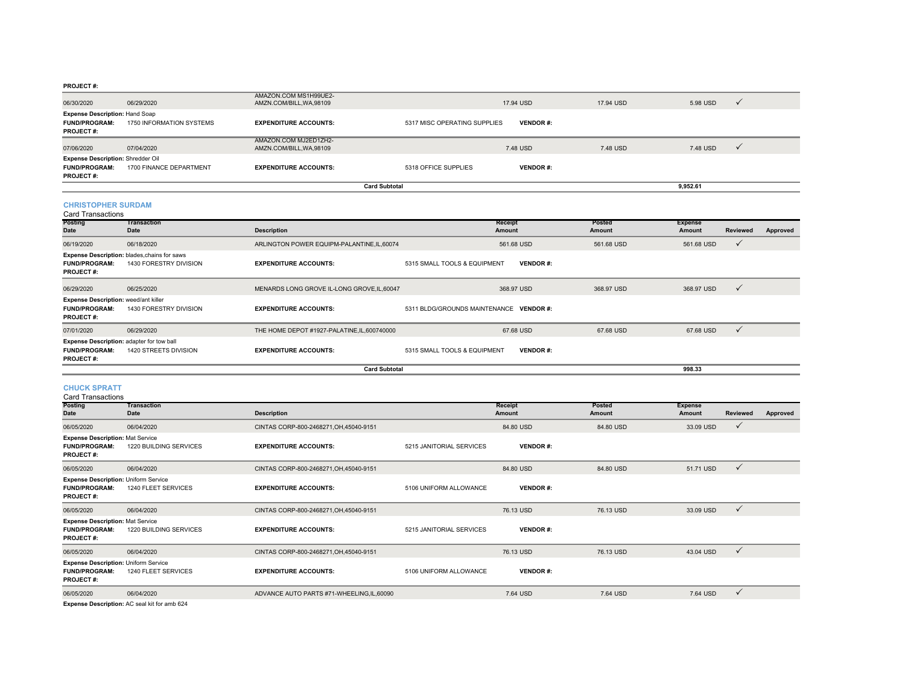#### **PROJECT #:**

| <b>Card Subtotal</b>                                                                 |                          |                                                   |                              |                 |           | 9.952.61 |              |
|--------------------------------------------------------------------------------------|--------------------------|---------------------------------------------------|------------------------------|-----------------|-----------|----------|--------------|
| <b>Expense Description: Shredder Oil</b><br><b>FUND/PROGRAM:</b><br><b>PROJECT#:</b> | 1700 FINANCE DEPARTMENT  | <b>EXPENDITURE ACCOUNTS:</b>                      | 5318 OFFICE SUPPLIES         | <b>VENDOR#:</b> |           |          |              |
| 07/06/2020                                                                           | 07/04/2020               | AMAZON.COM MJ2ED1ZH2-<br>AMZN.COM/BILL.WA.98109   |                              | 7.48 USD        | 7.48 USD  | 7.48 USD | $\mathbf{v}$ |
| <b>Expense Description: Hand Soap</b><br><b>FUND/PROGRAM:</b><br><b>PROJECT#:</b>    | 1750 INFORMATION SYSTEMS | <b>EXPENDITURE ACCOUNTS:</b>                      | 5317 MISC OPERATING SUPPLIES | <b>VENDOR#:</b> |           |          |              |
| 06/30/2020                                                                           | 06/29/2020               | AMAZON.COM MS1H99UE2-<br>AMZN.COM/BILL, WA, 98109 |                              | 17.94 USD       | 17.94 USD | 5.98 USD | $\mathbf{v}$ |

#### **CHRISTOPHER SURDAM**

| <b>Card Transactions</b>                                                                |                                                                        |                                              |                               |                   |                         |                          |              |          |
|-----------------------------------------------------------------------------------------|------------------------------------------------------------------------|----------------------------------------------|-------------------------------|-------------------|-------------------------|--------------------------|--------------|----------|
| <b>Posting</b><br>Date                                                                  | <b>Transaction</b><br>Date                                             | <b>Description</b>                           |                               | Receipt<br>Amount | <b>Posted</b><br>Amount | <b>Expense</b><br>Amount | Reviewed     | Approved |
| 06/19/2020                                                                              | 06/18/2020                                                             | ARLINGTON POWER EQUIPM-PALANTINE, IL, 60074  |                               | 561.68 USD        | 561.68 USD              | 561.68 USD               | $\checkmark$ |          |
| <b>FUND/PROGRAM:</b><br><b>PROJECT#:</b>                                                | Expense Description: blades, chains for saws<br>1430 FORESTRY DIVISION | <b>EXPENDITURE ACCOUNTS:</b>                 | 5315 SMALL TOOLS & EQUIPMENT  | <b>VENDOR#:</b>   |                         |                          |              |          |
| 06/29/2020                                                                              | 06/25/2020                                                             | MENARDS LONG GROVE IL-LONG GROVE, IL, 60047  |                               | 368.97 USD        | 368.97 USD              | 368.97 USD               | $\checkmark$ |          |
| <b>Expense Description: weed/ant killer</b><br><b>FUND/PROGRAM:</b><br><b>PROJECT#:</b> | 1430 FORESTRY DIVISION                                                 | <b>EXPENDITURE ACCOUNTS:</b>                 | 5311 BLDG/GROUNDS MAINTENANCE | <b>VENDOR</b> #:  |                         |                          |              |          |
| 07/01/2020                                                                              | 06/29/2020                                                             | THE HOME DEPOT #1927-PALATINE, IL, 600740000 |                               | 67.68 USD         | 67.68 USD               | 67.68 USD                | $\checkmark$ |          |
| <b>FUND/PROGRAM:</b><br><b>PROJECT#:</b>                                                | Expense Description: adapter for tow ball<br>1420 STREETS DIVISION     | <b>EXPENDITURE ACCOUNTS:</b>                 | 5315 SMALL TOOLS & EQUIPMENT  | <b>VENDOR#:</b>   |                         |                          |              |          |
|                                                                                         |                                                                        | <b>Card Subtotal</b>                         |                               |                   |                         | 998.33                   |              |          |

#### **CHUCK SPRATT**

Card Transactions

| <b>Posting</b><br><b>Date</b>                                                           | Transaction<br>Date                                                                                                           | <b>Description</b>                       |                          | Receipt<br>Amount | <b>Posted</b><br>Amount | <b>Expense</b><br>Amount | Reviewed     | Approved |
|-----------------------------------------------------------------------------------------|-------------------------------------------------------------------------------------------------------------------------------|------------------------------------------|--------------------------|-------------------|-------------------------|--------------------------|--------------|----------|
| 06/05/2020                                                                              | 06/04/2020                                                                                                                    | CINTAS CORP-800-2468271, OH, 45040-9151  |                          | 84,80 USD         | 84.80 USD               | 33.09 USD                | $\checkmark$ |          |
| <b>Expense Description: Mat Service</b><br><b>FUND/PROGRAM:</b><br><b>PROJECT#:</b>     | 1220 BUILDING SERVICES                                                                                                        | <b>EXPENDITURE ACCOUNTS:</b>             | 5215 JANITORIAL SERVICES | <b>VENDOR#:</b>   |                         |                          |              |          |
| 06/05/2020                                                                              | 06/04/2020                                                                                                                    | CINTAS CORP-800-2468271, OH, 45040-9151  |                          | 84.80 USD         | 84.80 USD               | 51.71 USD                | $\checkmark$ |          |
| <b>Expense Description: Uniform Service</b><br><b>FUND/PROGRAM:</b><br><b>PROJECT#:</b> | 1240 FLEET SERVICES                                                                                                           | <b>EXPENDITURE ACCOUNTS:</b>             | 5106 UNIFORM ALLOWANCE   | <b>VENDOR#:</b>   |                         |                          |              |          |
| 06/05/2020                                                                              | 06/04/2020                                                                                                                    | CINTAS CORP-800-2468271, OH, 45040-9151  |                          | 76.13 USD         | 76.13 USD               | 33.09 USD                | $\checkmark$ |          |
| <b>Expense Description: Mat Service</b><br><b>FUND/PROGRAM:</b><br><b>PROJECT#:</b>     | 1220 BUILDING SERVICES                                                                                                        | <b>EXPENDITURE ACCOUNTS:</b>             | 5215 JANITORIAL SERVICES | <b>VENDOR#:</b>   |                         |                          |              |          |
| 06/05/2020                                                                              | 06/04/2020                                                                                                                    | CINTAS CORP-800-2468271, OH, 45040-9151  |                          | 76.13 USD         | 76.13 USD               | 43.04 USD                | $\checkmark$ |          |
| <b>Expense Description: Uniform Service</b><br><b>FUND/PROGRAM:</b><br><b>PROJECT#:</b> | 1240 FLEET SERVICES                                                                                                           | <b>EXPENDITURE ACCOUNTS:</b>             | 5106 UNIFORM ALLOWANCE   | <b>VENDOR#:</b>   |                         |                          |              |          |
| 06/05/2020                                                                              | 06/04/2020<br>the contract of the contract of the contract of the contract of the contract of the contract of the contract of | ADVANCE AUTO PARTS #71-WHEELING,IL,60090 |                          | 7.64 USD          | 7.64 USD                | 7.64 USD                 | $\checkmark$ |          |

**Expense Description:** AC seal kit for amb 624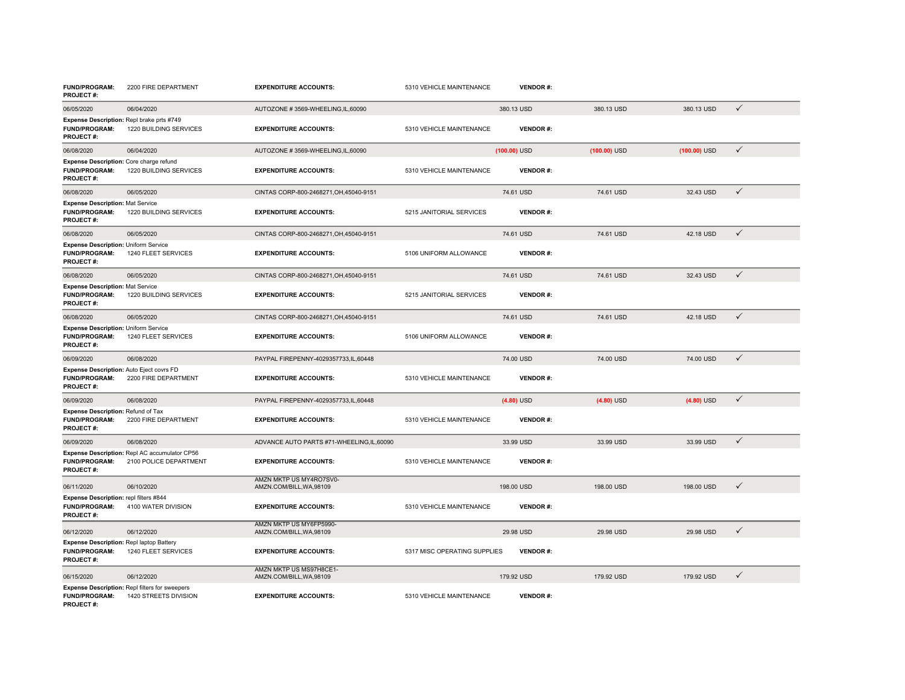| <b>FUND/PROGRAM:</b><br><b>PROJECT#:</b>                                                | 2200 FIRE DEPARTMENT                                                    | <b>EXPENDITURE ACCOUNTS:</b>                        | 5310 VEHICLE MAINTENANCE     | <b>VENDOR#:</b> |                |                |              |
|-----------------------------------------------------------------------------------------|-------------------------------------------------------------------------|-----------------------------------------------------|------------------------------|-----------------|----------------|----------------|--------------|
| 06/05/2020                                                                              | 06/04/2020                                                              | AUTOZONE #3569-WHEELING,IL,60090                    |                              | 380.13 USD      | 380.13 USD     | 380.13 USD     | $\checkmark$ |
| Expense Description: Repl brake prts #749<br><b>FUND/PROGRAM:</b><br><b>PROJECT#:</b>   | 1220 BUILDING SERVICES                                                  | <b>EXPENDITURE ACCOUNTS:</b>                        | 5310 VEHICLE MAINTENANCE     | <b>VENDOR#:</b> |                |                |              |
| 06/08/2020                                                                              | 06/04/2020                                                              | AUTOZONE #3569-WHEELING,IL,60090                    |                              | $(100.00)$ USD  | $(100.00)$ USD | $(100.00)$ USD | $\checkmark$ |
| Expense Description: Core charge refund<br><b>FUND/PROGRAM:</b><br><b>PROJECT#:</b>     | 1220 BUILDING SERVICES                                                  | <b>EXPENDITURE ACCOUNTS:</b>                        | 5310 VEHICLE MAINTENANCE     | <b>VENDOR#:</b> |                |                |              |
| 06/08/2020                                                                              | 06/05/2020                                                              | CINTAS CORP-800-2468271, OH, 45040-9151             |                              | 74.61 USD       | 74.61 USD      | 32.43 USD      | $\checkmark$ |
| <b>Expense Description: Mat Service</b><br><b>FUND/PROGRAM:</b><br><b>PROJECT#:</b>     | 1220 BUILDING SERVICES                                                  | <b>EXPENDITURE ACCOUNTS:</b>                        | 5215 JANITORIAL SERVICES     | <b>VENDOR#:</b> |                |                |              |
| 06/08/2020                                                                              | 06/05/2020                                                              | CINTAS CORP-800-2468271.OH.45040-9151               |                              | 74.61 USD       | 74.61 USD      | 42.18 USD      | $\checkmark$ |
| <b>Expense Description: Uniform Service</b><br><b>FUND/PROGRAM:</b><br><b>PROJECT#:</b> | 1240 FLEET SERVICES                                                     | <b>EXPENDITURE ACCOUNTS:</b>                        | 5106 UNIFORM ALLOWANCE       | <b>VENDOR#:</b> |                |                |              |
| 06/08/2020                                                                              | 06/05/2020                                                              | CINTAS CORP-800-2468271, OH, 45040-9151             |                              | 74.61 USD       | 74.61 USD      | 32.43 USD      | $\checkmark$ |
| <b>Expense Description: Mat Service</b><br>FUND/PROGRAM:<br><b>PROJECT#:</b>            | 1220 BUILDING SERVICES                                                  | <b>EXPENDITURE ACCOUNTS:</b>                        | 5215 JANITORIAL SERVICES     | <b>VENDOR#:</b> |                |                |              |
| 06/08/2020                                                                              | 06/05/2020                                                              | CINTAS CORP-800-2468271, OH, 45040-9151             |                              | 74.61 USD       | 74.61 USD      | 42.18 USD      | $\checkmark$ |
| Expense Description: Uniform Service<br><b>FUND/PROGRAM:</b><br>PROJECT#:               | 1240 FLEET SERVICES                                                     | <b>EXPENDITURE ACCOUNTS:</b>                        | 5106 UNIFORM ALLOWANCE       | <b>VENDOR#:</b> |                |                |              |
| 06/09/2020                                                                              | 06/08/2020                                                              | PAYPAL FIREPENNY-4029357733.IL.60448                |                              | 74.00 USD       | 74.00 USD      | 74.00 USD      | $\checkmark$ |
| Expense Description: Auto Eject covrs FD<br><b>FUND/PROGRAM:</b><br><b>PROJECT#:</b>    | 2200 FIRE DEPARTMENT                                                    | <b>EXPENDITURE ACCOUNTS:</b>                        | 5310 VEHICLE MAINTENANCE     | <b>VENDOR#:</b> |                |                |              |
| 06/09/2020                                                                              | 06/08/2020                                                              | PAYPAL FIREPENNY-4029357733,IL,60448                |                              | $(4.80)$ USD    | $(4.80)$ USD   | $(4.80)$ USD   | $\checkmark$ |
| <b>Expense Description: Refund of Tax</b><br><b>FUND/PROGRAM:</b><br><b>PROJECT#:</b>   | 2200 FIRE DEPARTMENT                                                    | <b>EXPENDITURE ACCOUNTS:</b>                        | 5310 VEHICLE MAINTENANCE     | <b>VENDOR#:</b> |                |                |              |
| 06/09/2020                                                                              | 06/08/2020                                                              | ADVANCE AUTO PARTS #71-WHEELING.IL.60090            |                              | 33.99 USD       | 33.99 USD      | 33.99 USD      | $\checkmark$ |
| <b>FUND/PROGRAM:</b><br><b>PROJECT#:</b>                                                | Expense Description: Repl AC accumulator CP56<br>2100 POLICE DEPARTMENT | <b>EXPENDITURE ACCOUNTS:</b>                        | 5310 VEHICLE MAINTENANCE     | <b>VENDOR#:</b> |                |                |              |
| 06/11/2020                                                                              | 06/10/2020                                                              | AMZN MKTP US MY4RO7SV0-<br>AMZN.COM/BILL, WA, 98109 |                              | 198.00 USD      | 198.00 USD     | 198.00 USD     | $\checkmark$ |
| Expense Description: repl filters #844<br><b>FUND/PROGRAM:</b><br><b>PROJECT#:</b>      | 4100 WATER DIVISION                                                     | <b>EXPENDITURE ACCOUNTS:</b>                        | 5310 VEHICLE MAINTENANCE     | <b>VENDOR#:</b> |                |                |              |
| 06/12/2020                                                                              | 06/12/2020                                                              | AMZN MKTP US MY6FP5990-<br>AMZN.COM/BILL, WA, 98109 |                              | 29.98 USD       | 29.98 USD      | 29.98 USD      | $\checkmark$ |
| Expense Description: Repl laptop Battery<br>FUND/PROGRAM:<br><b>PROJECT#:</b>           | 1240 FLEET SERVICES                                                     | <b>EXPENDITURE ACCOUNTS:</b>                        | 5317 MISC OPERATING SUPPLIES | <b>VENDOR#:</b> |                |                |              |
| 06/15/2020                                                                              | 06/12/2020                                                              | AMZN MKTP US MS97H8CE1-<br>AMZN.COM/BILL, WA, 98109 |                              | 179.92 USD      | 179.92 USD     | 179.92 USD     | $\checkmark$ |
| <b>FUND/PROGRAM:</b><br><b>PROJECT#:</b>                                                | Expense Description: Repl filters for sweepers<br>1420 STREETS DIVISION | <b>EXPENDITURE ACCOUNTS:</b>                        | 5310 VEHICLE MAINTENANCE     | <b>VENDOR#:</b> |                |                |              |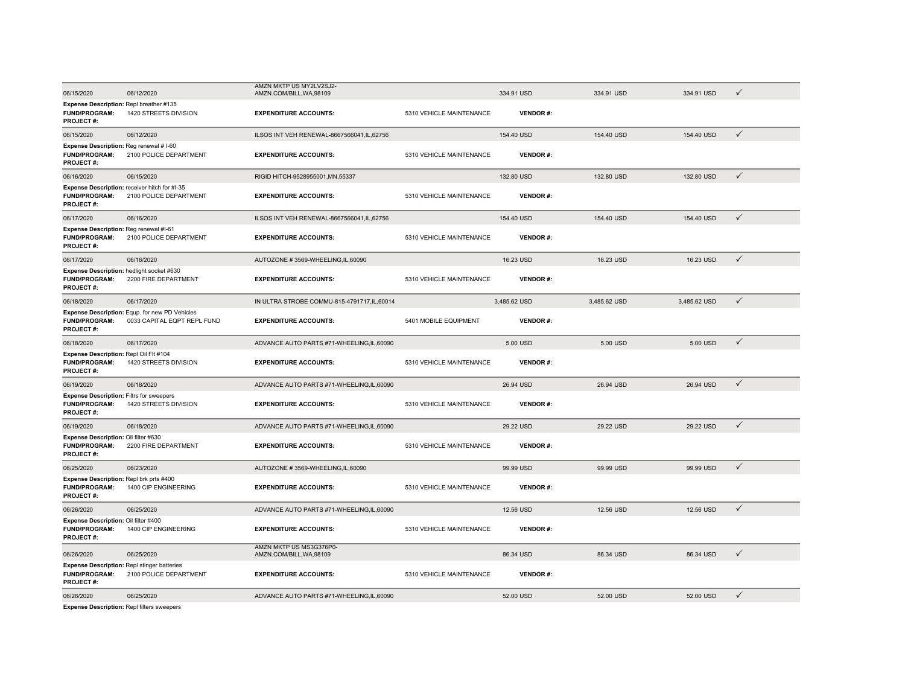|                                                                                                |                                                                               | AMZN MKTP US MY2LV2SJ2-                             |                          |                 |              |              |              |
|------------------------------------------------------------------------------------------------|-------------------------------------------------------------------------------|-----------------------------------------------------|--------------------------|-----------------|--------------|--------------|--------------|
| 06/15/2020                                                                                     | 06/12/2020                                                                    | AMZN.COM/BILL, WA, 98109                            |                          | 334.91 USD      | 334.91 USD   | 334.91 USD   | ✓            |
| Expense Description: Repl breather #135<br><b>FUND/PROGRAM:</b><br><b>PROJECT#:</b>            | 1420 STREETS DIVISION                                                         | <b>EXPENDITURE ACCOUNTS:</b>                        | 5310 VEHICLE MAINTENANCE | <b>VENDOR#:</b> |              |              |              |
| 06/15/2020                                                                                     | 06/12/2020                                                                    | ILSOS INT VEH RENEWAL-8667566041,IL,62756           |                          | 154.40 USD      | 154.40 USD   | 154.40 USD   | $\checkmark$ |
| Expense Description: Reg renewal # I-60<br>FUND/PROGRAM:<br>PROJECT#:                          | 2100 POLICE DEPARTMENT                                                        | <b>EXPENDITURE ACCOUNTS:</b>                        | 5310 VEHICLE MAINTENANCE | <b>VENDOR#:</b> |              |              |              |
| 06/16/2020                                                                                     | 06/15/2020                                                                    | RIGID HITCH-9528955001, MN, 55337                   |                          | 132.80 USD      | 132.80 USD   | 132.80 USD   | $\checkmark$ |
| <b>FUND/PROGRAM:</b><br>PROJECT#:                                                              | Expense Description: receiver hitch for #I-35<br>2100 POLICE DEPARTMENT       | <b>EXPENDITURE ACCOUNTS:</b>                        | 5310 VEHICLE MAINTENANCE | <b>VENDOR#:</b> |              |              |              |
| 06/17/2020                                                                                     | 06/16/2020                                                                    | ILSOS INT VEH RENEWAL-8667566041,IL,62756           |                          | 154.40 USD      | 154.40 USD   | 154.40 USD   | $\checkmark$ |
| Expense Description: Reg renewal #I-61<br><b>FUND/PROGRAM:</b><br>PROJECT#:                    | 2100 POLICE DEPARTMENT                                                        | <b>EXPENDITURE ACCOUNTS:</b>                        | 5310 VEHICLE MAINTENANCE | <b>VENDOR#:</b> |              |              |              |
| 06/17/2020                                                                                     | 06/16/2020                                                                    | AUTOZONE #3569-WHEELING,IL,60090                    |                          | 16.23 USD       | 16.23 USD    | 16.23 USD    | $\checkmark$ |
| Expense Description: hedlight socket #630<br><b>FUND/PROGRAM:</b><br>PROJECT#:                 | 2200 FIRE DEPARTMENT                                                          | <b>EXPENDITURE ACCOUNTS:</b>                        | 5310 VEHICLE MAINTENANCE | <b>VENDOR#:</b> |              |              |              |
| 06/18/2020                                                                                     | 06/17/2020                                                                    | IN ULTRA STROBE COMMU-815-4791717, IL, 60014        |                          | 3,485.62 USD    | 3,485.62 USD | 3,485.62 USD | $\checkmark$ |
| <b>FUND/PROGRAM:</b><br><b>PROJECT#:</b>                                                       | Expense Description: Equp. for new PD Vehicles<br>0033 CAPITAL EQPT REPL FUND | <b>EXPENDITURE ACCOUNTS:</b>                        | 5401 MOBILE EQUIPMENT    | <b>VENDOR#:</b> |              |              |              |
| 06/18/2020                                                                                     | 06/17/2020                                                                    | ADVANCE AUTO PARTS #71-WHEELING,IL,60090            |                          | 5.00 USD        | 5.00 USD     | 5.00 USD     | $\checkmark$ |
| Expense Description: Repl Oil Flt #104<br><b>FUND/PROGRAM:</b><br>PROJECT#:                    | 1420 STREETS DIVISION                                                         | <b>EXPENDITURE ACCOUNTS:</b>                        | 5310 VEHICLE MAINTENANCE | <b>VENDOR#:</b> |              |              |              |
| 06/19/2020                                                                                     | 06/18/2020                                                                    | ADVANCE AUTO PARTS #71-WHEELING,IL,60090            |                          | 26.94 USD       | 26.94 USD    | 26.94 USD    | $\checkmark$ |
| <b>Expense Description: Filtrs for sweepers</b><br><b>FUND/PROGRAM:</b><br>PROJECT#:           | 1420 STREETS DIVISION                                                         | <b>EXPENDITURE ACCOUNTS:</b>                        | 5310 VEHICLE MAINTENANCE | <b>VENDOR#:</b> |              |              |              |
| 06/19/2020                                                                                     | 06/18/2020                                                                    | ADVANCE AUTO PARTS #71-WHEELING,IL,60090            |                          | 29.22 USD       | 29.22 USD    | 29.22 USD    | $\checkmark$ |
| Expense Description: Oil filter #630<br>FUND/PROGRAM:<br><b>PROJECT#:</b>                      | 2200 FIRE DEPARTMENT                                                          | <b>EXPENDITURE ACCOUNTS:</b>                        | 5310 VEHICLE MAINTENANCE | <b>VENDOR#:</b> |              |              |              |
| 06/25/2020                                                                                     | 06/23/2020                                                                    | AUTOZONE #3569-WHEELING.IL.60090                    |                          | 99.99 USD       | 99.99 USD    | 99.99 USD    | $\checkmark$ |
| Expense Description: Repl brk prts #400<br>FUND/PROGRAM:<br><b>PROJECT#:</b>                   | 1400 CIP ENGINEERING                                                          | <b>EXPENDITURE ACCOUNTS:</b>                        | 5310 VEHICLE MAINTENANCE | <b>VENDOR#:</b> |              |              |              |
| 06/26/2020                                                                                     | 06/25/2020                                                                    | ADVANCE AUTO PARTS #71-WHEELING,IL,60090            |                          | 12.56 USD       | 12.56 USD    | 12.56 USD    | $\checkmark$ |
| Expense Description: Oil filter #400<br>FUND/PROGRAM:<br>PROJECT#:                             | 1400 CIP ENGINEERING                                                          | <b>EXPENDITURE ACCOUNTS:</b>                        | 5310 VEHICLE MAINTENANCE | <b>VENDOR#:</b> |              |              |              |
| 06/26/2020                                                                                     | 06/25/2020                                                                    | AMZN MKTP US MS3G376P0-<br>AMZN.COM/BILL, WA, 98109 |                          | 86.34 USD       | 86.34 USD    | 86.34 USD    | $\checkmark$ |
| <b>Expense Description: Repl stinger batteries</b><br><b>FUND/PROGRAM:</b><br><b>PROJECT#:</b> | 2100 POLICE DEPARTMENT                                                        | <b>EXPENDITURE ACCOUNTS:</b>                        | 5310 VEHICLE MAINTENANCE | <b>VENDOR#:</b> |              |              |              |
| 06/26/2020                                                                                     | 06/25/2020                                                                    | ADVANCE AUTO PARTS #71-WHEELING,IL,60090            |                          | 52.00 USD       | 52.00 USD    | 52.00 USD    | $\checkmark$ |
| <b>Expense Description: Repl filters sweepers</b>                                              |                                                                               |                                                     |                          |                 |              |              |              |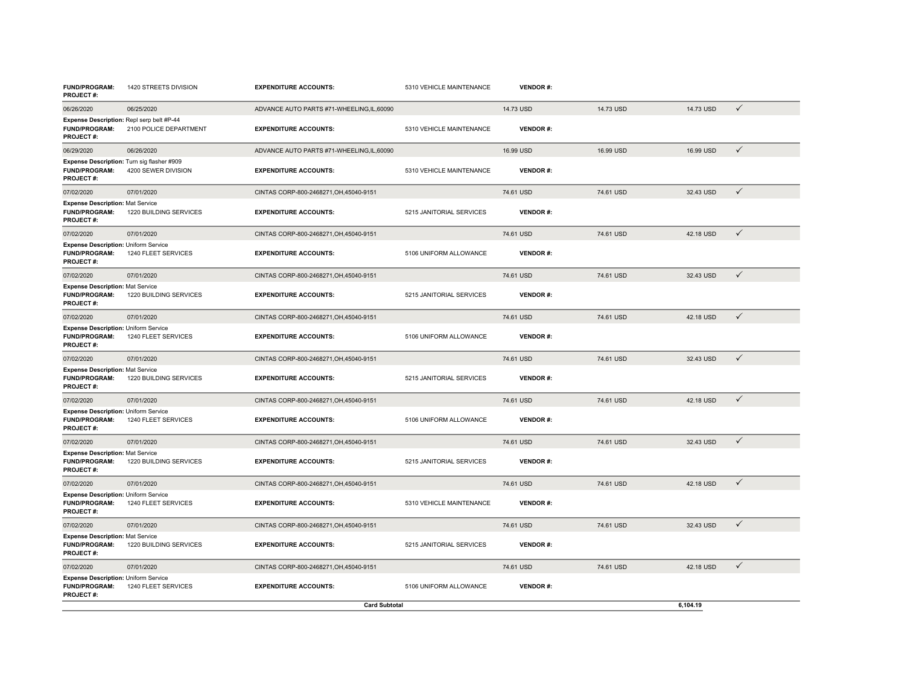| <b>FUND/PROGRAM:</b><br><b>PROJECT#:</b>                                            | 1420 STREETS DIVISION  | <b>EXPENDITURE ACCOUNTS:</b>             | 5310 VEHICLE MAINTENANCE | <b>VENDOR#:</b> |           |           |              |
|-------------------------------------------------------------------------------------|------------------------|------------------------------------------|--------------------------|-----------------|-----------|-----------|--------------|
| 06/26/2020                                                                          | 06/25/2020             | ADVANCE AUTO PARTS #71-WHEELING,IL,60090 |                          | 14.73 USD       | 14.73 USD | 14.73 USD | $\checkmark$ |
| Expense Description: Repl serp belt #P-44<br>FUND/PROGRAM:<br><b>PROJECT#:</b>      | 2100 POLICE DEPARTMENT | <b>EXPENDITURE ACCOUNTS:</b>             | 5310 VEHICLE MAINTENANCE | <b>VENDOR#:</b> |           |           |              |
| 06/29/2020                                                                          | 06/26/2020             | ADVANCE AUTO PARTS #71-WHEELING.IL.60090 |                          | 16.99 USD       | 16.99 USD | 16.99 USD | $\checkmark$ |
| Expense Description: Turn sig flasher #909<br>FUND/PROGRAM:<br><b>PROJECT#:</b>     | 4200 SEWER DIVISION    | <b>EXPENDITURE ACCOUNTS:</b>             | 5310 VEHICLE MAINTENANCE | <b>VENDOR#:</b> |           |           |              |
| 07/02/2020                                                                          | 07/01/2020             | CINTAS CORP-800-2468271, OH, 45040-9151  |                          | 74.61 USD       | 74.61 USD | 32.43 USD | $\checkmark$ |
| <b>Expense Description: Mat Service</b><br><b>FUND/PROGRAM:</b><br><b>PROJECT#:</b> | 1220 BUILDING SERVICES | <b>EXPENDITURE ACCOUNTS:</b>             | 5215 JANITORIAL SERVICES | <b>VENDOR#:</b> |           |           |              |
| 07/02/2020                                                                          | 07/01/2020             | CINTAS CORP-800-2468271, OH, 45040-9151  |                          | 74.61 USD       | 74.61 USD | 42.18 USD | $\checkmark$ |
| <b>Expense Description: Uniform Service</b><br>FUND/PROGRAM:<br>PROJECT#:           | 1240 FLEET SERVICES    | <b>EXPENDITURE ACCOUNTS:</b>             | 5106 UNIFORM ALLOWANCE   | <b>VENDOR#:</b> |           |           |              |
| 07/02/2020                                                                          | 07/01/2020             | CINTAS CORP-800-2468271, OH, 45040-9151  |                          | 74.61 USD       | 74.61 USD | 32.43 USD | $\checkmark$ |
| <b>Expense Description: Mat Service</b><br><b>FUND/PROGRAM:</b><br>PROJECT#:        | 1220 BUILDING SERVICES | <b>EXPENDITURE ACCOUNTS:</b>             | 5215 JANITORIAL SERVICES | <b>VENDOR#:</b> |           |           |              |
| 07/02/2020                                                                          | 07/01/2020             | CINTAS CORP-800-2468271, OH, 45040-9151  |                          | 74.61 USD       | 74.61 USD | 42.18 USD | $\checkmark$ |
| Expense Description: Uniform Service<br>FUND/PROGRAM:<br><b>PROJECT#:</b>           | 1240 FLEET SERVICES    | <b>EXPENDITURE ACCOUNTS:</b>             | 5106 UNIFORM ALLOWANCE   | <b>VENDOR#:</b> |           |           |              |
| 07/02/2020                                                                          | 07/01/2020             | CINTAS CORP-800-2468271, OH, 45040-9151  |                          | 74.61 USD       | 74.61 USD | 32.43 USD | $\checkmark$ |
| <b>Expense Description: Mat Service</b><br><b>FUND/PROGRAM:</b><br><b>PROJECT#:</b> | 1220 BUILDING SERVICES | <b>EXPENDITURE ACCOUNTS:</b>             | 5215 JANITORIAL SERVICES | <b>VENDOR#:</b> |           |           |              |
| 07/02/2020                                                                          | 07/01/2020             | CINTAS CORP-800-2468271, OH, 45040-9151  |                          | 74.61 USD       | 74.61 USD | 42.18 USD | $\checkmark$ |
| Expense Description: Uniform Service<br><b>FUND/PROGRAM:</b><br>PROJECT#:           | 1240 FLEET SERVICES    | <b>EXPENDITURE ACCOUNTS:</b>             | 5106 UNIFORM ALLOWANCE   | <b>VENDOR#:</b> |           |           |              |
| 07/02/2020                                                                          | 07/01/2020             | CINTAS CORP-800-2468271.OH.45040-9151    |                          | 74.61 USD       | 74.61 USD | 32.43 USD | $\checkmark$ |
| <b>Expense Description: Mat Service</b><br>FUND/PROGRAM:<br><b>PROJECT#:</b>        | 1220 BUILDING SERVICES | <b>EXPENDITURE ACCOUNTS:</b>             | 5215 JANITORIAL SERVICES | <b>VENDOR#:</b> |           |           |              |
| 07/02/2020                                                                          | 07/01/2020             | CINTAS CORP-800-2468271, OH, 45040-9151  |                          | 74.61 USD       | 74.61 USD | 42.18 USD | $\checkmark$ |
| Expense Description: Uniform Service<br><b>FUND/PROGRAM:</b><br><b>PROJECT#:</b>    | 1240 FLEET SERVICES    | <b>EXPENDITURE ACCOUNTS:</b>             | 5310 VEHICLE MAINTENANCE | <b>VENDOR#:</b> |           |           |              |
| 07/02/2020                                                                          | 07/01/2020             | CINTAS CORP-800-2468271, OH, 45040-9151  |                          | 74.61 USD       | 74.61 USD | 32.43 USD | $\checkmark$ |
| <b>Expense Description: Mat Service</b><br><b>FUND/PROGRAM:</b><br>PROJECT#:        | 1220 BUILDING SERVICES | <b>EXPENDITURE ACCOUNTS:</b>             | 5215 JANITORIAL SERVICES | <b>VENDOR#:</b> |           |           |              |
| 07/02/2020                                                                          | 07/01/2020             | CINTAS CORP-800-2468271, OH, 45040-9151  |                          | 74.61 USD       | 74.61 USD | 42.18 USD | $\checkmark$ |
| <b>Expense Description: Uniform Service</b><br>FUND/PROGRAM:<br><b>PROJECT#:</b>    | 1240 FLEET SERVICES    | <b>EXPENDITURE ACCOUNTS:</b>             | 5106 UNIFORM ALLOWANCE   | <b>VENDOR#:</b> |           |           |              |
|                                                                                     |                        | <b>Card Subtotal</b>                     |                          |                 |           | 6.104.19  |              |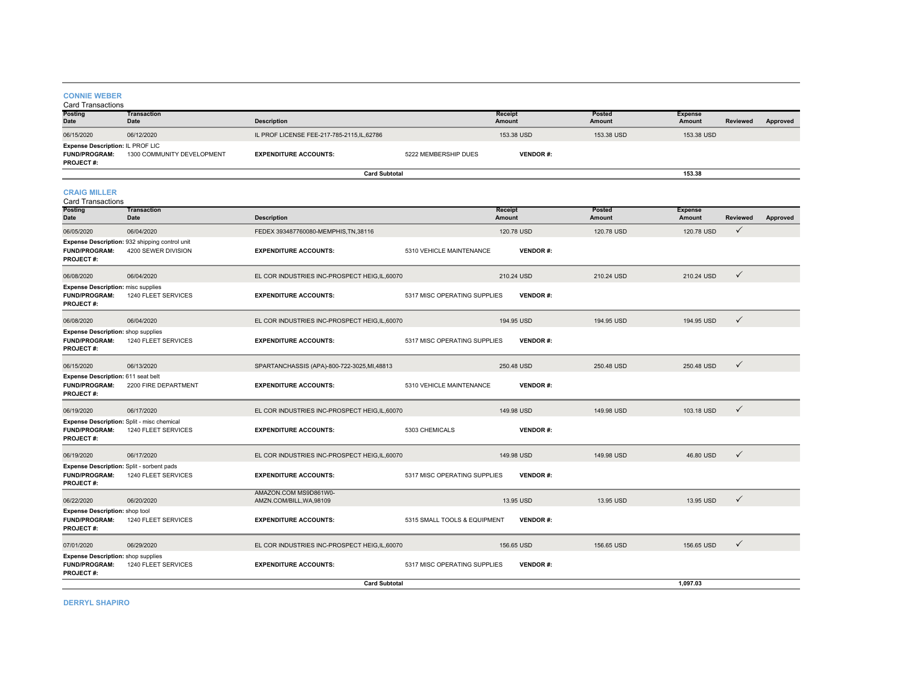#### **CONNIE WEBER**

| Card Transactions                                                                     |                                                                       |                                                   |                              |                          |                  |                                 |                 |          |
|---------------------------------------------------------------------------------------|-----------------------------------------------------------------------|---------------------------------------------------|------------------------------|--------------------------|------------------|---------------------------------|-----------------|----------|
| Posting<br><b>Date</b>                                                                | <b>Transaction</b><br>Date                                            | <b>Description</b>                                |                              | Receipt<br>Amount        | Posted<br>Amount | <b>Expense</b><br>Amount        | Reviewed        | Approved |
| 06/15/2020                                                                            | 06/12/2020                                                            | IL PROF LICENSE FEE-217-785-2115,IL,62786         |                              | 153.38 USD               | 153.38 USD       | 153.38 USD                      |                 |          |
| Expense Description: IL PROF LIC<br>FUND/PROGRAM:<br><b>PROJECT#:</b>                 | 1300 COMMUNITY DEVELOPMENT                                            | <b>EXPENDITURE ACCOUNTS:</b>                      | 5222 MEMBERSHIP DUES         | <b>VENDOR#:</b>          |                  |                                 |                 |          |
|                                                                                       |                                                                       | <b>Card Subtotal</b>                              |                              |                          |                  | 153.38                          |                 |          |
| <b>CRAIG MILLER</b><br><b>Card Transactions</b>                                       | <b>Transaction</b>                                                    |                                                   |                              |                          | <b>Posted</b>    |                                 |                 |          |
| <b>Posting</b><br>Date                                                                | Date                                                                  | <b>Description</b>                                |                              | Receipt<br><b>Amount</b> | Amount           | <b>Expense</b><br><b>Amount</b> | <b>Reviewed</b> | Approved |
| 06/05/2020                                                                            | 06/04/2020                                                            | FEDEX 393487760080-MEMPHIS, TN, 38116             |                              | 120.78 USD               | 120.78 USD       | 120.78 USD                      | $\checkmark$    |          |
| FUND/PROGRAM:<br><b>PROJECT#:</b>                                                     | Expense Description: 932 shipping control unit<br>4200 SEWER DIVISION | <b>EXPENDITURE ACCOUNTS:</b>                      | 5310 VEHICLE MAINTENANCE     | <b>VENDOR#:</b>          |                  |                                 |                 |          |
| 06/08/2020                                                                            | 06/04/2020                                                            | EL COR INDUSTRIES INC-PROSPECT HEIG, IL, 60070    |                              | 210.24 USD               | 210.24 USD       | 210.24 USD                      | $\checkmark$    |          |
| <b>Expense Description: misc supplies</b><br><b>FUND/PROGRAM:</b><br><b>PROJECT#:</b> | 1240 FLEET SERVICES                                                   | <b>EXPENDITURE ACCOUNTS:</b>                      | 5317 MISC OPERATING SUPPLIES | <b>VENDOR#:</b>          |                  |                                 |                 |          |
| 06/08/2020                                                                            | 06/04/2020                                                            | EL COR INDUSTRIES INC-PROSPECT HEIG.IL.60070      |                              | 194.95 USD               | 194.95 USD       | 194.95 USD                      | $\checkmark$    |          |
| <b>Expense Description:</b> shop supplies<br>FUND/PROGRAM:<br>PROJECT#:               | 1240 FLEET SERVICES                                                   | <b>EXPENDITURE ACCOUNTS:</b>                      | 5317 MISC OPERATING SUPPLIES | <b>VENDOR#:</b>          |                  |                                 |                 |          |
| 06/15/2020                                                                            | 06/13/2020                                                            | SPARTANCHASSIS (APA)-800-722-3025, MI, 48813      |                              | 250.48 USD               | 250.48 USD       | 250.48 USD                      | $\checkmark$    |          |
| Expense Description: 611 seat belt<br><b>FUND/PROGRAM:</b><br><b>PROJECT#:</b>        | 2200 FIRE DEPARTMENT                                                  | <b>EXPENDITURE ACCOUNTS:</b>                      | 5310 VEHICLE MAINTENANCE     | <b>VENDOR#:</b>          |                  |                                 |                 |          |
| 06/19/2020                                                                            | 06/17/2020                                                            | EL COR INDUSTRIES INC-PROSPECT HEIG, IL, 60070    |                              | 149.98 USD               | 149.98 USD       | 103.18 USD                      | $\checkmark$    |          |
| <b>FUND/PROGRAM:</b><br>PROJECT#:                                                     | Expense Description: Split - misc chemical<br>1240 FLEET SERVICES     | <b>EXPENDITURE ACCOUNTS:</b>                      | 5303 CHEMICALS               | <b>VENDOR#:</b>          |                  |                                 |                 |          |
| 06/19/2020                                                                            | 06/17/2020                                                            | EL COR INDUSTRIES INC-PROSPECT HEIG, IL, 60070    |                              | 149.98 USD               | 149.98 USD       | 46.80 USD                       | $\checkmark$    |          |
| Expense Description: Split - sorbent pads<br><b>FUND/PROGRAM:</b><br><b>PROJECT#:</b> | 1240 FLEET SERVICES                                                   | <b>EXPENDITURE ACCOUNTS:</b>                      | 5317 MISC OPERATING SUPPLIES | <b>VENDOR#:</b>          |                  |                                 |                 |          |
| 06/22/2020                                                                            | 06/20/2020                                                            | AMAZON.COM MS9D861W0-<br>AMZN.COM/BILL, WA, 98109 |                              | 13.95 USD                | 13.95 USD        | 13.95 USD                       | $\checkmark$    |          |
| Expense Description: shop tool<br><b>FUND/PROGRAM:</b><br><b>PROJECT#:</b>            | 1240 FLEET SERVICES                                                   | <b>EXPENDITURE ACCOUNTS:</b>                      | 5315 SMALL TOOLS & EQUIPMENT | <b>VENDOR#:</b>          |                  |                                 |                 |          |
| 07/01/2020                                                                            | 06/29/2020                                                            | EL COR INDUSTRIES INC-PROSPECT HEIG, IL, 60070    |                              | 156.65 USD               | 156.65 USD       | 156.65 USD                      | $\checkmark$    |          |
| <b>Expense Description:</b> shop supplies<br><b>FUND/PROGRAM:</b><br>PROJECT#:        | 1240 FLEET SERVICES                                                   | <b>EXPENDITURE ACCOUNTS:</b>                      | 5317 MISC OPERATING SUPPLIES | <b>VENDOR#:</b>          |                  |                                 |                 |          |
|                                                                                       |                                                                       | <b>Card Subtotal</b>                              |                              |                          |                  | 1,097.03                        |                 |          |

**DERRYL SHAPIRO**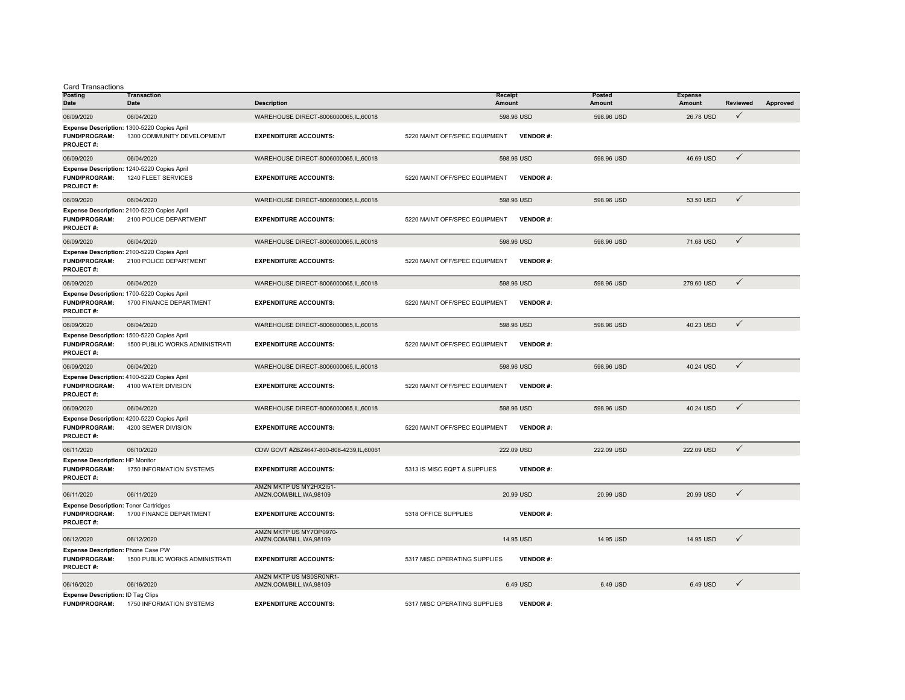Card Transactions

| Posting<br>Date                                                                          | <b>Transaction</b><br>Date                                                    | <b>Description</b>                                  | Receipt<br>Amount             |                 | Posted<br>Amount | <b>Expense</b><br>Amount | <b>Reviewed</b> | Approved |
|------------------------------------------------------------------------------------------|-------------------------------------------------------------------------------|-----------------------------------------------------|-------------------------------|-----------------|------------------|--------------------------|-----------------|----------|
| 06/09/2020                                                                               | 06/04/2020                                                                    | WAREHOUSE DIRECT-8006000065,IL,60018                |                               | 598.96 USD      | 598.96 USD       | 26.78 USD                | $\checkmark$    |          |
| FUND/PROGRAM:<br><b>PROJECT#:</b>                                                        | Expense Description: 1300-5220 Copies April<br>1300 COMMUNITY DEVELOPMENT     | <b>EXPENDITURE ACCOUNTS:</b>                        | 5220 MAINT OFF/SPEC EQUIPMENT | <b>VENDOR#:</b> |                  |                          |                 |          |
| 06/09/2020                                                                               | 06/04/2020                                                                    | WAREHOUSE DIRECT-8006000065,IL,60018                |                               | 598.96 USD      | 598.96 USD       | 46.69 USD                | $\checkmark$    |          |
| <b>FUND/PROGRAM:</b><br><b>PROJECT#:</b>                                                 | Expense Description: 1240-5220 Copies April<br>1240 FLEET SERVICES            | <b>EXPENDITURE ACCOUNTS:</b>                        | 5220 MAINT OFF/SPEC EQUIPMENT | <b>VENDOR#:</b> |                  |                          |                 |          |
| 06/09/2020                                                                               | 06/04/2020                                                                    | WAREHOUSE DIRECT-8006000065,IL,60018                |                               | 598.96 USD      | 598.96 USD       | 53.50 USD                | $\checkmark$    |          |
| <b>FUND/PROGRAM:</b><br><b>PROJECT#:</b>                                                 | Expense Description: 2100-5220 Copies April<br>2100 POLICE DEPARTMENT         | <b>EXPENDITURE ACCOUNTS:</b>                        | 5220 MAINT OFF/SPEC EQUIPMENT | <b>VENDOR#:</b> |                  |                          |                 |          |
| 06/09/2020                                                                               | 06/04/2020                                                                    | WAREHOUSE DIRECT-8006000065,IL,60018                |                               | 598.96 USD      | 598.96 USD       | 71.68 USD                | $\checkmark$    |          |
| <b>FUND/PROGRAM:</b><br><b>PROJECT#:</b>                                                 | Expense Description: 2100-5220 Copies April<br>2100 POLICE DEPARTMENT         | <b>EXPENDITURE ACCOUNTS:</b>                        | 5220 MAINT OFF/SPEC EQUIPMENT | <b>VENDOR#:</b> |                  |                          |                 |          |
| 06/09/2020                                                                               | 06/04/2020                                                                    | WAREHOUSE DIRECT-8006000065,IL,60018                |                               | 598.96 USD      | 598.96 USD       | 279.60 USD               | $\checkmark$    |          |
| <b>FUND/PROGRAM:</b><br><b>PROJECT#:</b>                                                 | Expense Description: 1700-5220 Copies April<br>1700 FINANCE DEPARTMENT        | <b>EXPENDITURE ACCOUNTS:</b>                        | 5220 MAINT OFF/SPEC EQUIPMENT | <b>VENDOR#:</b> |                  |                          |                 |          |
| 06/09/2020                                                                               | 06/04/2020                                                                    | WAREHOUSE DIRECT-8006000065,IL,60018                |                               | 598.96 USD      | 598.96 USD       | 40.23 USD                | $\checkmark$    |          |
| <b>FUND/PROGRAM:</b><br><b>PROJECT#:</b>                                                 | Expense Description: 1500-5220 Copies April<br>1500 PUBLIC WORKS ADMINISTRATI | <b>EXPENDITURE ACCOUNTS:</b>                        | 5220 MAINT OFF/SPEC EQUIPMENT | <b>VENDOR#:</b> |                  |                          |                 |          |
| 06/09/2020                                                                               | 06/04/2020                                                                    | WAREHOUSE DIRECT-8006000065,IL,60018                |                               | 598.96 USD      | 598.96 USD       | 40.24 USD                | $\checkmark$    |          |
| <b>FUND/PROGRAM:</b><br><b>PROJECT#:</b>                                                 | Expense Description: 4100-5220 Copies April<br>4100 WATER DIVISION            | <b>EXPENDITURE ACCOUNTS:</b>                        | 5220 MAINT OFF/SPEC EQUIPMENT | <b>VENDOR#:</b> |                  |                          |                 |          |
| 06/09/2020                                                                               | 06/04/2020                                                                    | WAREHOUSE DIRECT-8006000065,IL,60018                |                               | 598.96 USD      | 598.96 USD       | 40.24 USD                | $\checkmark$    |          |
| <b>FUND/PROGRAM:</b><br><b>PROJECT#:</b>                                                 | Expense Description: 4200-5220 Copies April<br>4200 SEWER DIVISION            | <b>EXPENDITURE ACCOUNTS:</b>                        | 5220 MAINT OFF/SPEC EQUIPMENT | <b>VENDOR#:</b> |                  |                          |                 |          |
| 06/11/2020                                                                               | 06/10/2020                                                                    | CDW GOVT #ZBZ4647-800-808-4239,IL,60061             |                               | 222.09 USD      | 222.09 USD       | 222.09 USD               | $\checkmark$    |          |
| Expense Description: HP Monitor<br><b>FUND/PROGRAM:</b><br><b>PROJECT#:</b>              | 1750 INFORMATION SYSTEMS                                                      | <b>EXPENDITURE ACCOUNTS:</b>                        | 5313 IS MISC EQPT & SUPPLIES  | <b>VENDOR#:</b> |                  |                          |                 |          |
| 06/11/2020                                                                               | 06/11/2020                                                                    | AMZN MKTP US MY2HX2I51-<br>AMZN.COM/BILL, WA, 98109 |                               | 20.99 USD       | 20.99 USD        | 20.99 USD                | $\checkmark$    |          |
| <b>Expense Description: Toner Cartridges</b><br><b>FUND/PROGRAM:</b><br><b>PROJECT#:</b> | 1700 FINANCE DEPARTMENT                                                       | <b>EXPENDITURE ACCOUNTS:</b>                        | 5318 OFFICE SUPPLIES          | <b>VENDOR#:</b> |                  |                          |                 |          |
| 06/12/2020                                                                               | 06/12/2020                                                                    | AMZN MKTP US MY7OP0970-<br>AMZN.COM/BILL, WA, 98109 |                               | 14.95 USD       | 14.95 USD        | 14.95 USD                | ✓               |          |
| Expense Description: Phone Case PW<br><b>FUND/PROGRAM:</b><br><b>PROJECT#:</b>           | 1500 PUBLIC WORKS ADMINISTRATI                                                | <b>EXPENDITURE ACCOUNTS:</b>                        | 5317 MISC OPERATING SUPPLIES  | <b>VENDOR#:</b> |                  |                          |                 |          |
| 06/16/2020                                                                               | 06/16/2020                                                                    | AMZN MKTP US MS0SR0NR1-<br>AMZN.COM/BILL, WA, 98109 |                               | 6.49 USD        | 6.49 USD         | 6.49 USD                 | $\checkmark$    |          |
| <b>Expense Description: ID Tag Clips</b><br><b>FUND/PROGRAM:</b>                         | 1750 INFORMATION SYSTEMS                                                      | <b>EXPENDITURE ACCOUNTS:</b>                        | 5317 MISC OPERATING SUPPLIES  | <b>VENDOR#:</b> |                  |                          |                 |          |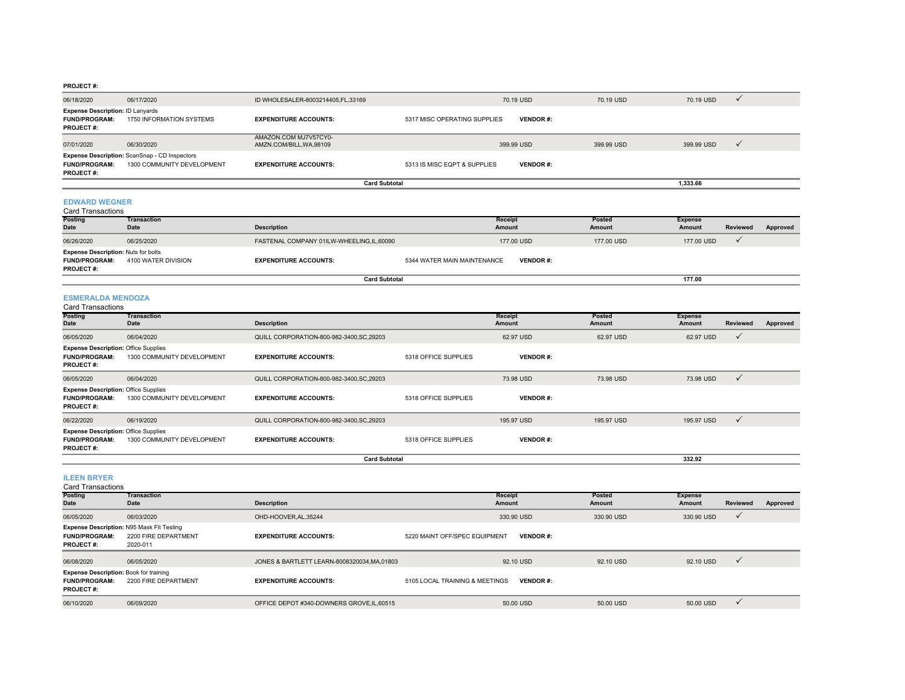#### **PROJECT #:**

|                                                                                     |                                                                                    | <b>Card Subtotal</b>                              |                              |                 |            | 1.333.66   |              |
|-------------------------------------------------------------------------------------|------------------------------------------------------------------------------------|---------------------------------------------------|------------------------------|-----------------|------------|------------|--------------|
| <b>FUND/PROGRAM:</b><br><b>PROJECT#:</b>                                            | <b>Expense Description:</b> ScanSnap - CD Inspectors<br>1300 COMMUNITY DEVELOPMENT | <b>EXPENDITURE ACCOUNTS:</b>                      | 5313 IS MISC EQPT & SUPPLIES | <b>VENDOR#:</b> |            |            |              |
| 07/01/2020                                                                          | 06/30/2020                                                                         | AMAZON.COM MJ7V57CY0-<br>AMZN.COM/BILL, WA, 98109 |                              | 399.99 USD      | 399.99 USD | 399.99 USD | $\checkmark$ |
| <b>Expense Description: ID Lanyards</b><br><b>FUND/PROGRAM:</b><br><b>PROJECT#:</b> | 1750 INFORMATION SYSTEMS                                                           | <b>EXPENDITURE ACCOUNTS:</b>                      | 5317 MISC OPERATING SUPPLIES | <b>VENDOR#:</b> |            |            |              |
| 06/18/2020                                                                          | 06/17/2020                                                                         | ID WHOLESALER-8003214405, FL, 33169               |                              | 70.19 USD       | 70.19 USD  | 70.19 USD  |              |

#### **EDWARD WEGNER**

| Card Transactions                                                                      |                                   |                                          |                             |                 |                  |                          |                 |          |
|----------------------------------------------------------------------------------------|-----------------------------------|------------------------------------------|-----------------------------|-----------------|------------------|--------------------------|-----------------|----------|
| <b>Posting</b><br><b>Date</b>                                                          | <b>Transaction</b><br><b>Date</b> | <b>Description</b>                       | Receipt<br>Amount           |                 | Posted<br>Amount | <b>Expense</b><br>Amount | <b>Reviewed</b> | Approved |
| 06/26/2020                                                                             | 06/25/2020                        | FASTENAL COMPANY 01ILW-WHEELING,IL,60090 |                             | 177,00 USD      | 177,00 USD       | 177,00 USD               |                 |          |
| <b>Expense Description: Nuts for bolts</b><br><b>FUND/PROGRAM:</b><br><b>PROJECT#:</b> | 4100 WATER DIVISION               | <b>EXPENDITURE ACCOUNTS:</b>             | 5344 WATER MAIN MAINTENANCE | <b>VENDOR#:</b> |                  |                          |                 |          |
| <b>Card Subtotal</b>                                                                   |                                   |                                          |                             |                 |                  | 177.00                   |                 |          |

#### **ESMERALDA MENDOZA**

| <b>Card Transactions</b>                                                                |                            |                                           |                      |                   |                  |                          |              |          |
|-----------------------------------------------------------------------------------------|----------------------------|-------------------------------------------|----------------------|-------------------|------------------|--------------------------|--------------|----------|
| <b>Posting</b><br>Date                                                                  | Transaction<br>Date        | <b>Description</b>                        |                      | Receipt<br>Amount | Posted<br>Amount | <b>Expense</b><br>Amount | Reviewed     | Approved |
| 06/05/2020                                                                              | 06/04/2020                 | QUILL CORPORATION-800-982-3400, SC, 29203 |                      | 62.97 USD         | 62.97 USD        | 62.97 USD                | $\checkmark$ |          |
| <b>Expense Description: Office Supplies</b><br><b>FUND/PROGRAM:</b><br><b>PROJECT#:</b> | 1300 COMMUNITY DEVELOPMENT | <b>EXPENDITURE ACCOUNTS:</b>              | 5318 OFFICE SUPPLIES | <b>VENDOR#:</b>   |                  |                          |              |          |
| 06/05/2020                                                                              | 06/04/2020                 | QUILL CORPORATION-800-982-3400, SC, 29203 |                      | 73.98 USD         | 73.98 USD        | 73.98 USD                | $\checkmark$ |          |
| <b>Expense Description: Office Supplies</b><br><b>FUND/PROGRAM:</b><br><b>PROJECT#:</b> | 1300 COMMUNITY DEVELOPMENT | <b>EXPENDITURE ACCOUNTS:</b>              | 5318 OFFICE SUPPLIES | <b>VENDOR#:</b>   |                  |                          |              |          |
| 06/22/2020                                                                              | 06/19/2020                 | QUILL CORPORATION-800-982-3400, SC, 29203 |                      | 195.97 USD        | 195.97 USD       | 195.97 USD               | $\checkmark$ |          |
| <b>Expense Description: Office Supplies</b><br><b>FUND/PROGRAM:</b><br><b>PROJECT#:</b> | 1300 COMMUNITY DEVELOPMENT | <b>EXPENDITURE ACCOUNTS:</b>              | 5318 OFFICE SUPPLIES | <b>VENDOR#:</b>   |                  |                          |              |          |
|                                                                                         |                            | <b>Card Subtotal</b>                      |                      |                   |                  | 332.92                   |              |          |

| <b>ILEEN BRYER</b><br><b>Card Transactions</b>                                            |                                                                                      |                                            |                                |                 |                  |                          |              |          |
|-------------------------------------------------------------------------------------------|--------------------------------------------------------------------------------------|--------------------------------------------|--------------------------------|-----------------|------------------|--------------------------|--------------|----------|
| <b>Posting</b><br><b>Date</b>                                                             | <b>Transaction</b><br>Date                                                           | <b>Description</b>                         | Receipt<br>Amount              |                 | Posted<br>Amount | <b>Expense</b><br>Amount | Reviewed     | Approved |
| 06/05/2020                                                                                | 06/03/2020                                                                           | OHD-HOOVER, AL, 35244                      |                                | 330.90 USD      | 330.90 USD       | 330.90 USD               |              |          |
| <b>FUND/PROGRAM:</b><br><b>PROJECT#:</b>                                                  | <b>Expense Description: N95 Mask Fit Testing</b><br>2200 FIRE DEPARTMENT<br>2020-011 | <b>EXPENDITURE ACCOUNTS:</b>               | 5220 MAINT OFF/SPEC EQUIPMENT  | <b>VENDOR#:</b> |                  |                          |              |          |
| 06/08/2020                                                                                | 06/05/2020                                                                           | JONES & BARTLETT LEARN-8008320034.MA.01803 |                                | 92.10 USD       | 92.10 USD        | 92.10 USD                | $\checkmark$ |          |
| <b>Expense Description: Book for training</b><br><b>FUND/PROGRAM:</b><br><b>PROJECT#:</b> | 2200 FIRE DEPARTMENT                                                                 | <b>EXPENDITURE ACCOUNTS:</b>               | 5105 LOCAL TRAINING & MEETINGS | <b>VENDOR#:</b> |                  |                          |              |          |
| 06/10/2020                                                                                | 06/09/2020                                                                           | OFFICE DEPOT #340-DOWNERS GROVE, IL, 60515 |                                | 50.00 USD       | 50.00 USD        | 50.00 USD                |              |          |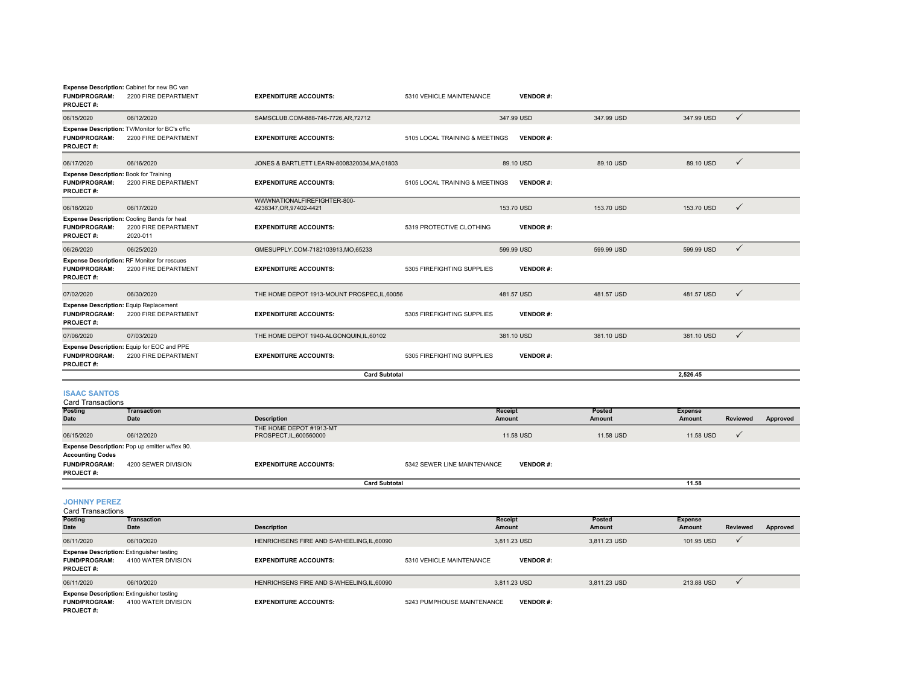| <b>FUND/PROGRAM:</b><br><b>PROJECT#:</b>                                                  | Expense Description: Cabinet for new BC van<br>2200 FIRE DEPARTMENT                    | <b>EXPENDITURE ACCOUNTS:</b>                           | 5310 VEHICLE MAINTENANCE       | <b>VENDOR#:</b> |                  |                          |                 |          |
|-------------------------------------------------------------------------------------------|----------------------------------------------------------------------------------------|--------------------------------------------------------|--------------------------------|-----------------|------------------|--------------------------|-----------------|----------|
| 06/15/2020                                                                                | 06/12/2020                                                                             | SAMSCLUB.COM-888-746-7726,AR,72712                     |                                | 347.99 USD      | 347.99 USD       | 347.99 USD               | $\checkmark$    |          |
| <b>FUND/PROGRAM:</b><br><b>PROJECT#:</b>                                                  | Expense Description: TV/Monitor for BC's offic<br>2200 FIRE DEPARTMENT                 | <b>EXPENDITURE ACCOUNTS:</b>                           | 5105 LOCAL TRAINING & MEETINGS | <b>VENDOR#:</b> |                  |                          |                 |          |
| 06/17/2020                                                                                | 06/16/2020                                                                             | JONES & BARTLETT LEARN-8008320034, MA, 01803           |                                | 89.10 USD       | 89.10 USD        | 89.10 USD                | $\checkmark$    |          |
| <b>Expense Description: Book for Training</b><br><b>FUND/PROGRAM:</b><br><b>PROJECT#:</b> | 2200 FIRE DEPARTMENT                                                                   | <b>EXPENDITURE ACCOUNTS:</b>                           | 5105 LOCAL TRAINING & MEETINGS | <b>VENDOR#:</b> |                  |                          |                 |          |
| 06/18/2020                                                                                | 06/17/2020                                                                             | WWWNATIONALFIREFIGHTER-800-<br>4238347, OR, 97402-4421 |                                | 153.70 USD      | 153.70 USD       | 153.70 USD               | $\checkmark$    |          |
| <b>FUND/PROGRAM:</b><br><b>PROJECT#:</b>                                                  | <b>Expense Description: Cooling Bands for heat</b><br>2200 FIRE DEPARTMENT<br>2020-011 | <b>EXPENDITURE ACCOUNTS:</b>                           | 5319 PROTECTIVE CLOTHING       | <b>VENDOR#:</b> |                  |                          |                 |          |
| 06/26/2020                                                                                | 06/25/2020                                                                             | GMESUPPLY.COM-7182103913,MO,65233                      |                                | 599.99 USD      | 599.99 USD       | 599.99 USD               | $\checkmark$    |          |
| <b>FUND/PROGRAM:</b><br><b>PROJECT#:</b>                                                  | Expense Description: RF Monitor for rescues<br>2200 FIRE DEPARTMENT                    | <b>EXPENDITURE ACCOUNTS:</b>                           | 5305 FIREFIGHTING SUPPLIES     | <b>VENDOR#:</b> |                  |                          |                 |          |
| 07/02/2020                                                                                | 06/30/2020                                                                             | THE HOME DEPOT 1913-MOUNT PROSPEC.IL.60056             |                                | 481.57 USD      | 481.57 USD       | 481.57 USD               | $\checkmark$    |          |
| <b>Expense Description:</b> Equip Replacement<br><b>FUND/PROGRAM:</b><br><b>PROJECT#:</b> | 2200 FIRE DEPARTMENT                                                                   | <b>EXPENDITURE ACCOUNTS:</b>                           | 5305 FIREFIGHTING SUPPLIES     | <b>VENDOR#:</b> |                  |                          |                 |          |
| 07/06/2020                                                                                | 07/03/2020                                                                             | THE HOME DEPOT 1940-ALGONQUIN.IL.60102                 |                                | 381.10 USD      | 381.10 USD       | 381.10 USD               | $\checkmark$    |          |
| <b>FUND/PROGRAM:</b><br><b>PROJECT#:</b>                                                  | Expense Description: Equip for EOC and PPE<br>2200 FIRE DEPARTMENT                     | <b>EXPENDITURE ACCOUNTS:</b>                           | 5305 FIREFIGHTING SUPPLIES     | <b>VENDOR#:</b> |                  |                          |                 |          |
|                                                                                           |                                                                                        | <b>Card Subtotal</b>                                   |                                |                 |                  | 2,526.45                 |                 |          |
| <b>ISAAC SANTOS</b><br><b>Card Transactions</b>                                           |                                                                                        |                                                        |                                |                 |                  |                          |                 |          |
| Posting<br>Date                                                                           | <b>Transaction</b><br><b>Date</b>                                                      | <b>Description</b>                                     | Receipt<br><b>Amount</b>       |                 | Posted<br>Amount | <b>Expense</b><br>Amount | <b>Reviewed</b> | Approved |
| 06/15/2020                                                                                | 06/12/2020                                                                             | THE HOME DEPOT #1913-MT<br>PROSPECT, IL, 600560000     |                                | 11.58 USD       | 11.58 USD        | 11.58 USD                | $\checkmark$    |          |
| <b>Accounting Codes</b><br><b>FUND/PROGRAM:</b>                                           | Expense Description: Pop up emitter w/flex 90.<br>4200 SEWER DIVISION                  | <b>EXPENDITURE ACCOUNTS:</b>                           | 5342 SEWER LINE MAINTENANCE    | <b>VENDOR#:</b> |                  |                          |                 |          |
| <b>PROJECT#:</b>                                                                          |                                                                                        | <b>Card Subtotal</b>                                   |                                |                 |                  | 11.58                    |                 |          |

**JOHNNY PEREZ**

| <b>Card Transactions</b>                 |                                                                         |                                          |                            |                 |              |                |          |          |
|------------------------------------------|-------------------------------------------------------------------------|------------------------------------------|----------------------------|-----------------|--------------|----------------|----------|----------|
| <b>Posting</b>                           | Transaction                                                             |                                          |                            | Receipt         | Posted       | <b>Expense</b> |          |          |
| Date                                     | Date                                                                    | <b>Description</b>                       |                            | Amount          | Amount       | Amount         | Reviewed | Approved |
| 06/11/2020                               | 06/10/2020                                                              | HENRICHSENS FIRE AND S-WHEELING.IL.60090 |                            | 3.811.23 USD    | 3.811.23 USD | 101.95 USD     |          |          |
| <b>FUND/PROGRAM:</b><br><b>PROJECT#:</b> | <b>Expense Description: Extinguisher testing</b><br>4100 WATER DIVISION | <b>EXPENDITURE ACCOUNTS:</b>             | 5310 VEHICLE MAINTENANCE   | <b>VENDOR#:</b> |              |                |          |          |
| 06/11/2020                               | 06/10/2020                                                              | HENRICHSENS FIRE AND S-WHEELING.IL.60090 |                            | 3.811.23 USD    | 3.811.23 USD | 213.88 USD     |          |          |
| <b>FUND/PROGRAM:</b><br>PROJECT#:        | <b>Expense Description: Extinguisher testing</b><br>4100 WATER DIVISION | <b>EXPENDITURE ACCOUNTS:</b>             | 5243 PUMPHOUSE MAINTENANCE | <b>VENDOR#:</b> |              |                |          |          |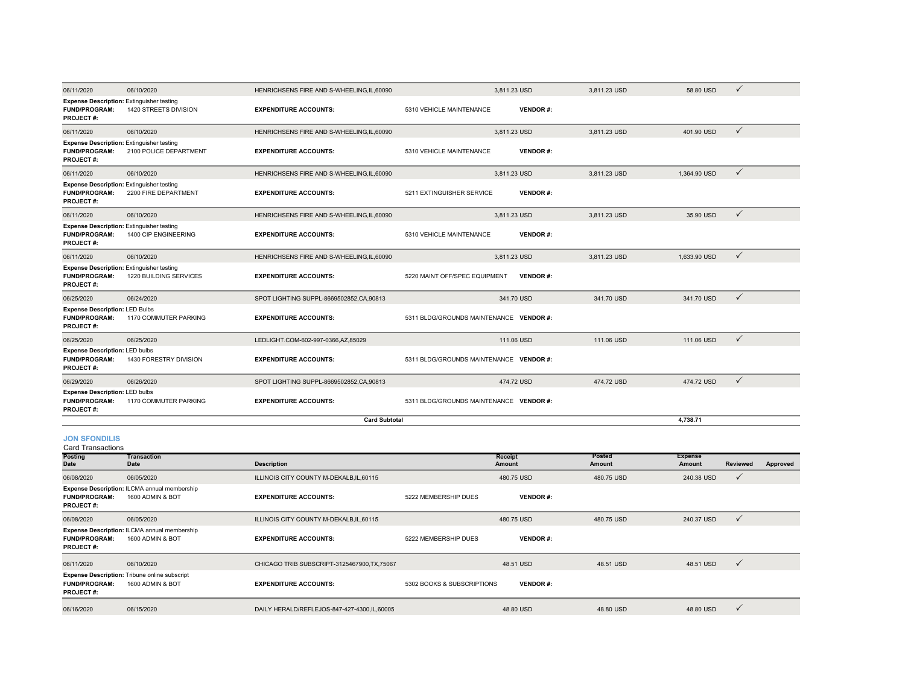|                                                                                                            |                        | <b>Card Subtotal</b>                                                     |                                                  |              | 4.738.71     |              |
|------------------------------------------------------------------------------------------------------------|------------------------|--------------------------------------------------------------------------|--------------------------------------------------|--------------|--------------|--------------|
| <b>Expense Description: LED bulbs</b><br><b>FUND/PROGRAM:</b><br>PROJECT#:                                 | 1170 COMMUTER PARKING  | <b>EXPENDITURE ACCOUNTS:</b>                                             | 5311 BLDG/GROUNDS MAINTENANCE VENDOR #:          |              |              |              |
| 06/29/2020                                                                                                 | 06/26/2020             | SPOT LIGHTING SUPPL-8669502852.CA.90813                                  | 474.72 USD                                       | 474.72 USD   | 474.72 USD   | $\checkmark$ |
| <b>Expense Description: LED bulbs</b><br><b>FUND/PROGRAM:</b><br><b>PROJECT#:</b>                          | 1430 FORESTRY DIVISION | <b>EXPENDITURE ACCOUNTS:</b>                                             | 5311 BLDG/GROUNDS MAINTENANCE VENDOR #:          |              |              |              |
| 06/25/2020                                                                                                 | 06/25/2020             | LEDLIGHT.COM-602-997-0366,AZ,85029                                       | 111.06 USD                                       | 111.06 USD   | 111.06 USD   | $\checkmark$ |
| <b>Expense Description: LED Bulbs</b><br><b>FUND/PROGRAM:</b><br><b>PROJECT#:</b>                          | 1170 COMMUTER PARKING  | <b>EXPENDITURE ACCOUNTS:</b>                                             | 5311 BLDG/GROUNDS MAINTENANCE VENDOR #:          |              |              |              |
| 06/25/2020                                                                                                 | 06/24/2020             | SPOT LIGHTING SUPPL-8669502852, CA, 90813                                | 341.70 USD                                       | 341.70 USD   | 341.70 USD   | $\checkmark$ |
| 06/11/2020<br><b>Expense Description: Extinguisher testing</b><br><b>FUND/PROGRAM:</b><br><b>PROJECT#:</b> | 1220 BUILDING SERVICES | HENRICHSENS FIRE AND S-WHEELING.IL.60090<br><b>EXPENDITURE ACCOUNTS:</b> | 5220 MAINT OFF/SPEC EQUIPMENT<br><b>VENDOR#:</b> |              |              |              |
|                                                                                                            | 06/10/2020             |                                                                          | 3.811.23 USD                                     | 3.811.23 USD | 1.633.90 USD | $\checkmark$ |
| <b>Expense Description: Extinguisher testing</b><br><b>FUND/PROGRAM:</b><br>PROJECT#:                      | 1400 CIP ENGINEERING   | <b>EXPENDITURE ACCOUNTS:</b>                                             | 5310 VEHICLE MAINTENANCE<br><b>VENDOR#:</b>      |              |              |              |
| 06/11/2020                                                                                                 | 06/10/2020             | HENRICHSENS FIRE AND S-WHEELING.IL.60090                                 | 3.811.23 USD                                     | 3.811.23 USD | 35.90 USD    | $\checkmark$ |
| <b>Expense Description: Extinguisher testing</b><br>FUND/PROGRAM:<br><b>PROJECT#:</b>                      | 2200 FIRE DEPARTMENT   | <b>EXPENDITURE ACCOUNTS:</b>                                             | 5211 EXTINGUISHER SERVICE<br><b>VENDOR#:</b>     |              |              |              |
| 06/11/2020                                                                                                 | 06/10/2020             | HENRICHSENS FIRE AND S-WHEELING.IL.60090                                 | 3.811.23 USD                                     | 3.811.23 USD | 1.364.90 USD | $\checkmark$ |
| <b>Expense Description: Extinguisher testing</b><br><b>FUND/PROGRAM:</b><br><b>PROJECT#:</b>               | 2100 POLICE DEPARTMENT | <b>EXPENDITURE ACCOUNTS:</b>                                             | 5310 VEHICLE MAINTENANCE<br><b>VENDOR#:</b>      |              |              |              |
| 06/11/2020                                                                                                 | 06/10/2020             | HENRICHSENS FIRE AND S-WHEELING.IL.60090                                 | 3,811.23 USD                                     | 3.811.23 USD | 401.90 USD   | $\checkmark$ |
| <b>Expense Description: Extinguisher testing</b><br><b>FUND/PROGRAM:</b><br><b>PROJECT#:</b>               | 1420 STREETS DIVISION  | <b>EXPENDITURE ACCOUNTS:</b>                                             | 5310 VEHICLE MAINTENANCE<br><b>VENDOR#:</b>      |              |              |              |
| 06/11/2020                                                                                                 | 06/10/2020             | HENRICHSENS FIRE AND S-WHEELING,IL,60090                                 | 3,811.23 USD                                     | 3,811.23 USD | 58.80 USD    | $\checkmark$ |

### **JON SFONDILIS**

| <b>Card Transactions</b>                 |                                                                          |                                              |                            |                          |                         |                          |              |          |
|------------------------------------------|--------------------------------------------------------------------------|----------------------------------------------|----------------------------|--------------------------|-------------------------|--------------------------|--------------|----------|
| <b>Posting</b><br>Date                   | Transaction<br>Date                                                      | <b>Description</b>                           |                            | <b>Receipt</b><br>Amount | <b>Posted</b><br>Amount | <b>Expense</b><br>Amount | Reviewed     | Approved |
| 06/08/2020                               | 06/05/2020                                                               | ILLINOIS CITY COUNTY M-DEKALB, IL, 60115     |                            | 480.75 USD               | 480.75 USD              | 240.38 USD               | $\checkmark$ |          |
| <b>FUND/PROGRAM:</b><br><b>PROJECT#:</b> | <b>Expense Description: ILCMA annual membership</b><br>1600 ADMIN & BOT  | <b>EXPENDITURE ACCOUNTS:</b>                 | 5222 MEMBERSHIP DUES       | <b>VENDOR#:</b>          |                         |                          |              |          |
| 06/08/2020                               | 06/05/2020                                                               | ILLINOIS CITY COUNTY M-DEKALB, IL, 60115     |                            | 480.75 USD               | 480.75 USD              | 240.37 USD               | $\checkmark$ |          |
| <b>FUND/PROGRAM:</b><br><b>PROJECT#:</b> | Expense Description: ILCMA annual membership<br>1600 ADMIN & BOT         | <b>EXPENDITURE ACCOUNTS:</b>                 | 5222 MEMBERSHIP DUES       | <b>VENDOR#:</b>          |                         |                          |              |          |
| 06/11/2020                               | 06/10/2020                                                               | CHICAGO TRIB SUBSCRIPT-3125467900, TX, 75067 |                            | 48.51 USD                | 48.51 USD               | 48.51 USD                | $\checkmark$ |          |
| <b>FUND/PROGRAM:</b><br><b>PROJECT#:</b> | <b>Expense Description:</b> Tribune online subscript<br>1600 ADMIN & BOT | <b>EXPENDITURE ACCOUNTS:</b>                 | 5302 BOOKS & SUBSCRIPTIONS | <b>VENDOR#:</b>          |                         |                          |              |          |
| 06/16/2020                               | 06/15/2020                                                               | DAILY HERALD/REFLEJOS-847-427-4300,IL,60005  |                            | 48.80 USD                | 48.80 USD               | 48.80 USD                | $\checkmark$ |          |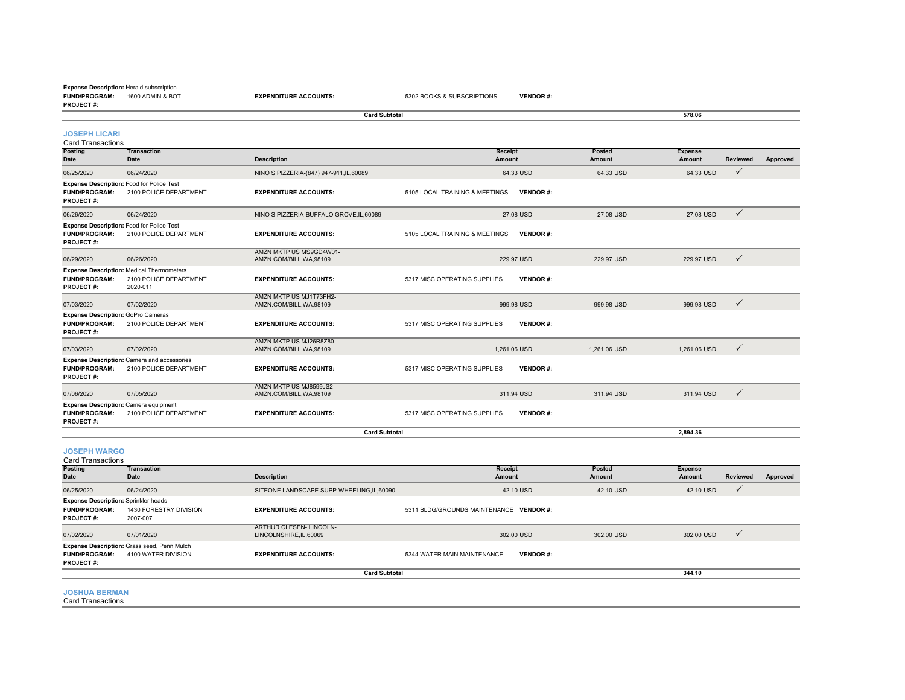#### **FUND/PROGRAM:** 1600 ADMIN & BOT**Expense Description:** Herald subscription

|                                                                                          |                                                                                        | <b>Card Subtotal</b>                                |                                |                  | 578.06                   |                             |
|------------------------------------------------------------------------------------------|----------------------------------------------------------------------------------------|-----------------------------------------------------|--------------------------------|------------------|--------------------------|-----------------------------|
| <b>JOSEPH LICARI</b><br><b>Card Transactions</b>                                         |                                                                                        |                                                     |                                |                  |                          |                             |
| Posting<br>Date                                                                          | <b>Transaction</b><br>Date                                                             | <b>Description</b>                                  | Receipt<br><b>Amount</b>       | Posted<br>Amount | <b>Expense</b><br>Amount | <b>Reviewed</b><br>Approved |
| 06/25/2020                                                                               | 06/24/2020                                                                             | NINO S PIZZERIA-(847) 947-911, IL, 60089            | 64.33 USD                      | 64.33 USD        | 64.33 USD                | $\checkmark$                |
| <b>FUND/PROGRAM:</b><br><b>PROJECT#:</b>                                                 | Expense Description: Food for Police Test<br>2100 POLICE DEPARTMENT                    | <b>EXPENDITURE ACCOUNTS:</b>                        | 5105 LOCAL TRAINING & MEETINGS | <b>VENDOR#:</b>  |                          |                             |
| 06/26/2020                                                                               | 06/24/2020                                                                             | NINO S PIZZERIA-BUFFALO GROVE, IL, 60089            | 27.08 USD                      | 27.08 USD        | 27.08 USD                | $\checkmark$                |
| <b>FUND/PROGRAM:</b><br>PROJECT#:                                                        | Expense Description: Food for Police Test<br>2100 POLICE DEPARTMENT                    | <b>EXPENDITURE ACCOUNTS:</b>                        | 5105 LOCAL TRAINING & MEETINGS | <b>VENDOR#:</b>  |                          |                             |
| 06/29/2020                                                                               | 06/26/2020                                                                             | AMZN MKTP US MS9GD4W01-<br>AMZN.COM/BILL, WA, 98109 | 229.97 USD                     | 229.97 USD       | 229.97 USD               | $\checkmark$                |
| <b>FUND/PROGRAM:</b><br>PROJECT#:                                                        | <b>Expense Description: Medical Thermometers</b><br>2100 POLICE DEPARTMENT<br>2020-011 | <b>EXPENDITURE ACCOUNTS:</b>                        | 5317 MISC OPERATING SUPPLIES   | <b>VENDOR#:</b>  |                          |                             |
| 07/03/2020                                                                               | 07/02/2020                                                                             | AMZN MKTP US MJ1T73FH2-<br>AMZN.COM/BILL, WA, 98109 | 999.98 USD                     | 999.98 USD       | 999.98 USD               | $\checkmark$                |
| Expense Description: GoPro Cameras<br><b>FUND/PROGRAM:</b><br><b>PROJECT#:</b>           | 2100 POLICE DEPARTMENT                                                                 | <b>EXPENDITURE ACCOUNTS:</b>                        | 5317 MISC OPERATING SUPPLIES   | <b>VENDOR#:</b>  |                          |                             |
| 07/03/2020                                                                               | 07/02/2020                                                                             | AMZN MKTP US MJ26R8Z80-<br>AMZN.COM/BILL, WA, 98109 | 1.261.06 USD                   | 1.261.06 USD     | 1.261.06 USD             | $\checkmark$                |
| <b>FUND/PROGRAM:</b><br>PROJECT#:                                                        | <b>Expense Description:</b> Camera and accessories<br>2100 POLICE DEPARTMENT           | <b>EXPENDITURE ACCOUNTS:</b>                        | 5317 MISC OPERATING SUPPLIES   | <b>VENDOR#:</b>  |                          |                             |
| 07/06/2020                                                                               | 07/05/2020                                                                             | AMZN MKTP US MJ8599JS2-<br>AMZN.COM/BILL, WA, 98109 | 311.94 USD                     | 311.94 USD       | 311.94 USD               | $\checkmark$                |
| <b>Expense Description: Camera equipment</b><br><b>FUND/PROGRAM:</b><br><b>PROJECT#:</b> | 2100 POLICE DEPARTMENT                                                                 | <b>EXPENDITURE ACCOUNTS:</b>                        | 5317 MISC OPERATING SUPPLIES   | <b>VENDOR#:</b>  |                          |                             |
|                                                                                          |                                                                                        | <b>Card Subtotal</b>                                |                                |                  | 2.894.36                 |                             |

#### **JOSEPH WARGO**

| <b>Card Transactions</b>                                                                |                                                                           |                                                 |                                                |                  |                          |                 |          |
|-----------------------------------------------------------------------------------------|---------------------------------------------------------------------------|-------------------------------------------------|------------------------------------------------|------------------|--------------------------|-----------------|----------|
| <b>Posting</b><br>Date                                                                  | <b>Transaction</b><br>Date                                                | <b>Description</b>                              | Receipt<br>Amount                              | Posted<br>Amount | <b>Expense</b><br>Amount | <b>Reviewed</b> | Approved |
| 06/25/2020                                                                              | 06/24/2020                                                                | SITEONE LANDSCAPE SUPP-WHEELING.IL.60090        | 42.10 USD                                      | 42.10 USD        | 42.10 USD                | $\checkmark$    |          |
| <b>Expense Description: Sprinkler heads</b><br><b>FUND/PROGRAM:</b><br><b>PROJECT#:</b> | 1430 FORESTRY DIVISION<br>2007-007                                        | <b>EXPENDITURE ACCOUNTS:</b>                    | 5311 BLDG/GROUNDS MAINTENANCE VENDOR #:        |                  |                          |                 |          |
| 07/02/2020                                                                              | 07/01/2020                                                                | ARTHUR CLESEN-LINCOLN-<br>LINCOLNSHIRE.IL.60069 | 302.00 USD                                     | 302.00 USD       | 302.00 USD               | $\checkmark$    |          |
| <b>FUND/PROGRAM:</b><br><b>PROJECT#:</b>                                                | <b>Expense Description: Grass seed, Penn Mulch</b><br>4100 WATER DIVISION | <b>EXPENDITURE ACCOUNTS:</b>                    | 5344 WATER MAIN MAINTENANCE<br><b>VENDOR#:</b> |                  |                          |                 |          |
|                                                                                         |                                                                           | <b>Card Subtotal</b>                            |                                                |                  | 344.10                   |                 |          |

#### **JOSHUA BERMAN**

Card Transactions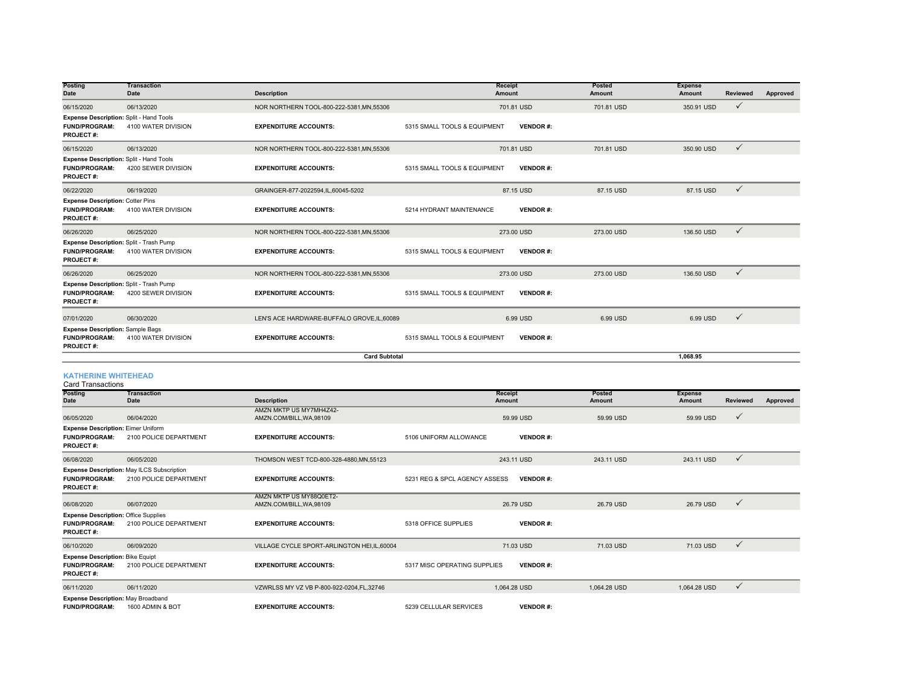| <b>Posting</b><br><b>Date</b>                                                              | <b>Transaction</b><br>Date | <b>Description</b>                          | <b>Receipt</b><br>Amount                        | Posted<br><b>Amount</b> | <b>Expense</b><br>Amount | <b>Reviewed</b> | Approved |
|--------------------------------------------------------------------------------------------|----------------------------|---------------------------------------------|-------------------------------------------------|-------------------------|--------------------------|-----------------|----------|
| 06/15/2020                                                                                 | 06/13/2020                 | NOR NORTHERN TOOL-800-222-5381, MN, 55306   | 701.81 USD                                      | 701.81 USD              | 350.91 USD               | $\checkmark$    |          |
| Expense Description: Split - Hand Tools<br><b>FUND/PROGRAM:</b><br><b>PROJECT#:</b>        | 4100 WATER DIVISION        | <b>EXPENDITURE ACCOUNTS:</b>                | 5315 SMALL TOOLS & EQUIPMENT<br><b>VENDOR#:</b> |                         |                          |                 |          |
| 06/15/2020                                                                                 | 06/13/2020                 | NOR NORTHERN TOOL-800-222-5381.MN.55306     | 701.81 USD                                      | 701.81 USD              | 350.90 USD               | $\checkmark$    |          |
| <b>Expense Description: Split - Hand Tools</b><br><b>FUND/PROGRAM:</b><br><b>PROJECT#:</b> | 4200 SEWER DIVISION        | <b>EXPENDITURE ACCOUNTS:</b>                | 5315 SMALL TOOLS & EQUIPMENT<br><b>VENDOR#:</b> |                         |                          |                 |          |
| 06/22/2020                                                                                 | 06/19/2020                 | GRAINGER-877-2022594,IL,60045-5202          | 87.15 USD                                       | 87.15 USD               | 87.15 USD                | $\checkmark$    |          |
| <b>Expense Description: Cotter Pins</b><br><b>FUND/PROGRAM:</b><br><b>PROJECT#:</b>        | 4100 WATER DIVISION        | <b>EXPENDITURE ACCOUNTS:</b>                | <b>VENDOR#:</b><br>5214 HYDRANT MAINTENANCE     |                         |                          |                 |          |
| 06/26/2020                                                                                 | 06/25/2020                 | NOR NORTHERN TOOL-800-222-5381, MN, 55306   | 273.00 USD                                      | 273.00 USD              | 136.50 USD               | $\checkmark$    |          |
| Expense Description: Split - Trash Pump<br><b>FUND/PROGRAM:</b><br><b>PROJECT#:</b>        | 4100 WATER DIVISION        | <b>EXPENDITURE ACCOUNTS:</b>                | <b>VENDOR#:</b><br>5315 SMALL TOOLS & EQUIPMENT |                         |                          |                 |          |
| 06/26/2020                                                                                 | 06/25/2020                 | NOR NORTHERN TOOL-800-222-5381, MN, 55306   | 273.00 USD                                      | 273.00 USD              | 136,50 USD               | $\checkmark$    |          |
| Expense Description: Split - Trash Pump<br><b>FUND/PROGRAM:</b><br><b>PROJECT#:</b>        | 4200 SEWER DIVISION        | <b>EXPENDITURE ACCOUNTS:</b>                | 5315 SMALL TOOLS & EQUIPMENT<br><b>VENDOR#:</b> |                         |                          |                 |          |
| 07/01/2020                                                                                 | 06/30/2020                 | LEN'S ACE HARDWARE-BUFFALO GROVE, IL, 60089 | 6.99 USD                                        | 6.99 USD                | 6.99 USD                 | ✓               |          |
| <b>Expense Description: Sample Bags</b><br><b>FUND/PROGRAM:</b><br><b>PROJECT#:</b>        | 4100 WATER DIVISION        | <b>EXPENDITURE ACCOUNTS:</b>                | <b>VENDOR#:</b><br>5315 SMALL TOOLS & EQUIPMENT |                         |                          |                 |          |
|                                                                                            |                            | <b>Card Subtotal</b>                        |                                                 |                         | 1.068.95                 |                 |          |

#### **KATHERINE WHITEHEAD**

| Card Transactions                                                                       |                                                                      |                                                     |                               |                 |              |                |                 |          |
|-----------------------------------------------------------------------------------------|----------------------------------------------------------------------|-----------------------------------------------------|-------------------------------|-----------------|--------------|----------------|-----------------|----------|
| <b>Posting</b>                                                                          | <b>Transaction</b>                                                   |                                                     |                               | Receipt         | Posted       | <b>Expense</b> |                 |          |
| <b>Date</b>                                                                             | Date                                                                 | <b>Description</b>                                  |                               | <b>Amount</b>   | Amount       | Amount         | <b>Reviewed</b> | Approved |
| 06/05/2020                                                                              | 06/04/2020                                                           | AMZN MKTP US MY7MH4Z42-<br>AMZN.COM/BILL, WA, 98109 |                               | 59.99 USD       | 59.99 USD    | 59.99 USD      | $\checkmark$    |          |
| <b>Expense Description: Eimer Uniform</b><br><b>FUND/PROGRAM:</b><br><b>PROJECT#:</b>   | 2100 POLICE DEPARTMENT                                               | <b>EXPENDITURE ACCOUNTS:</b>                        | 5106 UNIFORM ALLOWANCE        | <b>VENDOR#:</b> |              |                |                 |          |
| 06/08/2020                                                                              | 06/05/2020                                                           | THOMSON WEST TCD-800-328-4880.MN.55123              |                               | 243.11 USD      | 243.11 USD   | 243.11 USD     | $\checkmark$    |          |
| <b>FUND/PROGRAM:</b><br><b>PROJECT#:</b>                                                | Expense Description: May ILCS Subscription<br>2100 POLICE DEPARTMENT | <b>EXPENDITURE ACCOUNTS:</b>                        | 5231 REG & SPCL AGENCY ASSESS | <b>VENDOR#:</b> |              |                |                 |          |
| 06/08/2020                                                                              | 06/07/2020                                                           | AMZN MKTP US MY88Q0ET2-<br>AMZN.COM/BILL, WA, 98109 |                               | 26.79 USD       | 26.79 USD    | 26.79 USD      | $\checkmark$    |          |
| <b>Expense Description: Office Supplies</b><br><b>FUND/PROGRAM:</b><br><b>PROJECT#:</b> | 2100 POLICE DEPARTMENT                                               | <b>EXPENDITURE ACCOUNTS:</b>                        | 5318 OFFICE SUPPLIES          | <b>VENDOR#:</b> |              |                |                 |          |
| 06/10/2020                                                                              | 06/09/2020                                                           | VILLAGE CYCLE SPORT-ARLINGTON HEI, IL, 60004        |                               | 71.03 USD       | 71.03 USD    | 71.03 USD      | $\checkmark$    |          |
| <b>Expense Description: Bike Equipt</b><br><b>FUND/PROGRAM:</b><br><b>PROJECT#:</b>     | 2100 POLICE DEPARTMENT                                               | <b>EXPENDITURE ACCOUNTS:</b>                        | 5317 MISC OPERATING SUPPLIES  | <b>VENDOR#:</b> |              |                |                 |          |
| 06/11/2020                                                                              | 06/11/2020                                                           | VZWRLSS MY VZ VB P-800-922-0204.FL.32746            |                               | 1.064.28 USD    | 1.064.28 USD | 1.064.28 USD   | $\checkmark$    |          |
| <b>Expense Description: May Broadband</b><br><b>FUND/PROGRAM:</b>                       | 1600 ADMIN & BOT                                                     | <b>EXPENDITURE ACCOUNTS:</b>                        | 5239 CELLULAR SERVICES        | <b>VENDOR#:</b> |              |                |                 |          |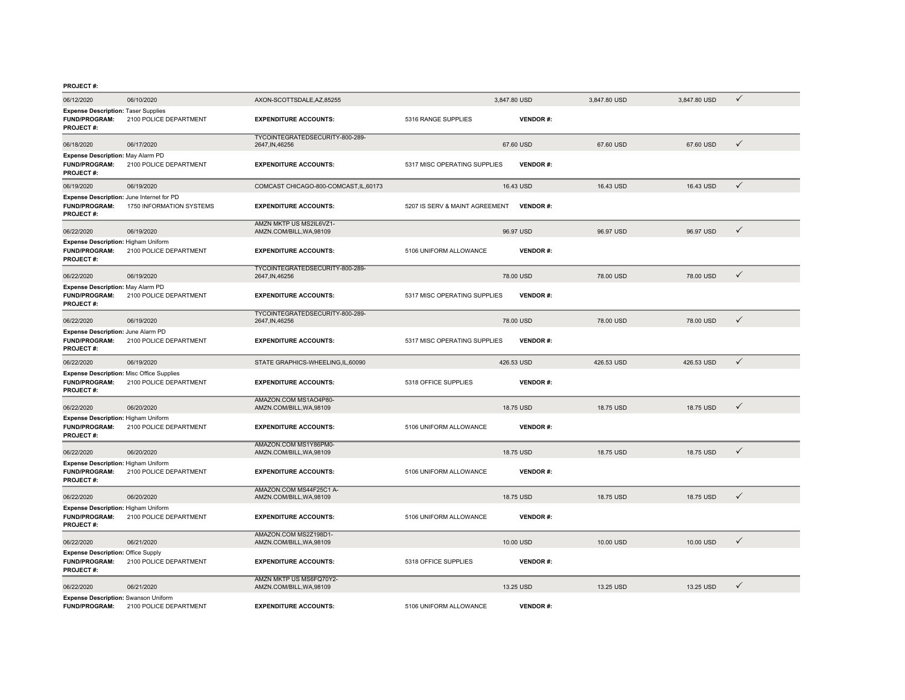#### **PROJECT #:**

| 06/12/2020                                                                                   | 06/10/2020               | AXON-SCOTTSDALE, AZ, 85255                          |                                | 3,847.80 USD    | 3,847.80 USD | 3,847.80 USD | ✓            |  |
|----------------------------------------------------------------------------------------------|--------------------------|-----------------------------------------------------|--------------------------------|-----------------|--------------|--------------|--------------|--|
| <b>Expense Description: Taser Supplies</b><br><b>FUND/PROGRAM:</b><br><b>PROJECT#:</b>       | 2100 POLICE DEPARTMENT   | <b>EXPENDITURE ACCOUNTS:</b>                        | 5316 RANGE SUPPLIES            | <b>VENDOR#:</b> |              |              |              |  |
| 06/18/2020                                                                                   | 06/17/2020               | TYCOINTEGRATEDSECURITY-800-289-<br>2647, IN, 46256  |                                | 67.60 USD       | 67.60 USD    | 67.60 USD    | $\checkmark$ |  |
| Expense Description: May Alarm PD<br><b>FUND/PROGRAM:</b><br><b>PROJECT#:</b>                | 2100 POLICE DEPARTMENT   | <b>EXPENDITURE ACCOUNTS:</b>                        | 5317 MISC OPERATING SUPPLIES   | <b>VENDOR#:</b> |              |              |              |  |
| 06/19/2020                                                                                   | 06/19/2020               | COMCAST CHICAGO-800-COMCAST, IL, 60173              |                                | 16.43 USD       | 16.43 USD    | 16.43 USD    | $\checkmark$ |  |
| Expense Description: June Internet for PD<br><b>FUND/PROGRAM:</b><br><b>PROJECT#:</b>        | 1750 INFORMATION SYSTEMS | <b>EXPENDITURE ACCOUNTS:</b>                        | 5207 IS SERV & MAINT AGREEMENT | <b>VENDOR#:</b> |              |              |              |  |
| 06/22/2020                                                                                   | 06/19/2020               | AMZN MKTP US MS2IL6VZ1-<br>AMZN.COM/BILL, WA, 98109 |                                | 96.97 USD       | 96.97 USD    | 96.97 USD    | ✓            |  |
| Expense Description: Higham Uniform<br><b>FUND/PROGRAM:</b><br><b>PROJECT#:</b>              | 2100 POLICE DEPARTMENT   | <b>EXPENDITURE ACCOUNTS:</b>                        | 5106 UNIFORM ALLOWANCE         | <b>VENDOR#:</b> |              |              |              |  |
| 06/22/2020                                                                                   | 06/19/2020               | TYCOINTEGRATEDSECURITY-800-289-<br>2647, IN, 46256  |                                | 78.00 USD       | 78.00 USD    | 78,00 USD    | $\checkmark$ |  |
| Expense Description: May Alarm PD<br><b>FUND/PROGRAM:</b><br><b>PROJECT#:</b>                | 2100 POLICE DEPARTMENT   | <b>EXPENDITURE ACCOUNTS:</b>                        | 5317 MISC OPERATING SUPPLIES   | <b>VENDOR#:</b> |              |              |              |  |
| 06/22/2020                                                                                   | 06/19/2020               | TYCOINTEGRATEDSECURITY-800-289-<br>2647, IN, 46256  |                                | 78.00 USD       | 78.00 USD    | 78.00 USD    | ✓            |  |
| Expense Description: June Alarm PD<br><b>FUND/PROGRAM:</b><br><b>PROJECT#:</b>               | 2100 POLICE DEPARTMENT   | <b>EXPENDITURE ACCOUNTS:</b>                        | 5317 MISC OPERATING SUPPLIES   | <b>VENDOR#:</b> |              |              |              |  |
| 06/22/2020                                                                                   | 06/19/2020               | STATE GRAPHICS-WHEELING,IL,60090                    |                                | 426.53 USD      | 426.53 USD   | 426.53 USD   | $\checkmark$ |  |
| <b>Expense Description: Misc Office Supplies</b><br><b>FUND/PROGRAM:</b><br><b>PROJECT#:</b> | 2100 POLICE DEPARTMENT   | <b>EXPENDITURE ACCOUNTS:</b>                        | 5318 OFFICE SUPPLIES           | <b>VENDOR#:</b> |              |              |              |  |
| 06/22/2020                                                                                   | 06/20/2020               | AMAZON.COM MS1AO4P80-<br>AMZN.COM/BILL, WA, 98109   |                                | 18.75 USD       | 18.75 USD    | 18.75 USD    | $\checkmark$ |  |
| <b>Expense Description: Higham Uniform</b><br><b>FUND/PROGRAM:</b><br><b>PROJECT#:</b>       | 2100 POLICE DEPARTMENT   | <b>EXPENDITURE ACCOUNTS:</b>                        | 5106 UNIFORM ALLOWANCE         | <b>VENDOR#:</b> |              |              |              |  |
| 06/22/2020                                                                                   | 06/20/2020               | AMAZON.COM MS1Y86PM0-<br>AMZN.COM/BILL, WA, 98109   |                                | 18.75 USD       | 18.75 USD    | 18.75 USD    | ✓            |  |
| <b>Expense Description: Higham Uniform</b><br><b>FUND/PROGRAM:</b><br><b>PROJECT#:</b>       | 2100 POLICE DEPARTMENT   | <b>EXPENDITURE ACCOUNTS:</b>                        | 5106 UNIFORM ALLOWANCE         | <b>VENDOR#:</b> |              |              |              |  |
| 06/22/2020                                                                                   | 06/20/2020               | AMAZON.COM MS44F25C1 A-<br>AMZN.COM/BILL.WA.98109   |                                | 18.75 USD       | 18.75 USD    | 18,75 USD    | $\checkmark$ |  |
| Expense Description: Higham Uniform<br><b>FUND/PROGRAM:</b><br><b>PROJECT#:</b>              | 2100 POLICE DEPARTMENT   | <b>EXPENDITURE ACCOUNTS:</b>                        | 5106 UNIFORM ALLOWANCE         | <b>VENDOR#:</b> |              |              |              |  |
| 06/22/2020                                                                                   | 06/21/2020               | AMAZON.COM MS2Z198D1-<br>AMZN.COM/BILL, WA, 98109   |                                | 10.00 USD       | 10.00 USD    | 10.00 USD    | $\checkmark$ |  |
| <b>Expense Description: Office Supply</b><br><b>FUND/PROGRAM:</b><br><b>PROJECT#:</b>        | 2100 POLICE DEPARTMENT   | <b>EXPENDITURE ACCOUNTS:</b>                        | 5318 OFFICE SUPPLIES           | <b>VENDOR#:</b> |              |              |              |  |
| 06/22/2020                                                                                   | 06/21/2020               | AMZN MKTP US MS6FQ70Y2-<br>AMZN.COM/BILL, WA, 98109 |                                | 13.25 USD       | 13.25 USD    | 13.25 USD    | $\checkmark$ |  |
| <b>Expense Description: Swanson Uniform</b><br><b>FUND/PROGRAM:</b>                          | 2100 POLICE DEPARTMENT   | <b>EXPENDITURE ACCOUNTS:</b>                        | 5106 UNIFORM ALLOWANCE         | <b>VENDOR#:</b> |              |              |              |  |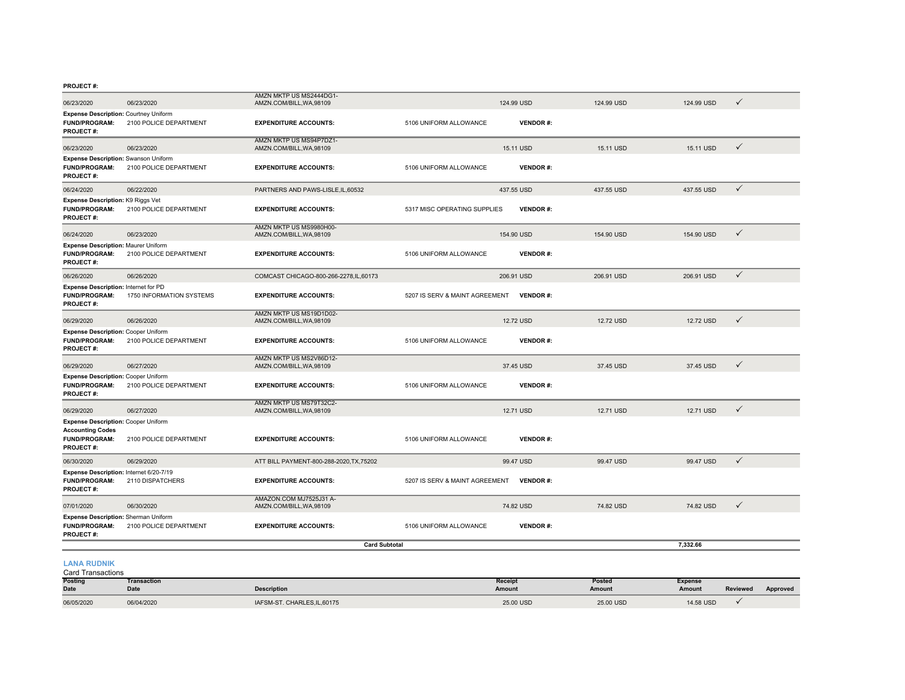**PROJECT #:**

| 06/23/2020                                                                                                        | 06/23/2020               | AMZN MKTP US MS2444DG1-<br>AMZN.COM/BILL, WA, 98109 |                                | 124.99 USD      | 124.99 USD | 124.99 USD | $\checkmark$ |
|-------------------------------------------------------------------------------------------------------------------|--------------------------|-----------------------------------------------------|--------------------------------|-----------------|------------|------------|--------------|
| <b>Expense Description: Courtney Uniform</b><br><b>FUND/PROGRAM:</b><br><b>PROJECT#:</b>                          | 2100 POLICE DEPARTMENT   | <b>EXPENDITURE ACCOUNTS:</b>                        | 5106 UNIFORM ALLOWANCE         | <b>VENDOR#:</b> |            |            |              |
| 06/23/2020                                                                                                        | 06/23/2020               | AMZN MKTP US MS94P7DZ1-<br>AMZN.COM/BILL, WA, 98109 |                                | 15.11 USD       | 15.11 USD  | 15.11 USD  | $\checkmark$ |
| <b>Expense Description: Swanson Uniform</b><br><b>FUND/PROGRAM:</b><br><b>PROJECT#:</b>                           | 2100 POLICE DEPARTMENT   | <b>EXPENDITURE ACCOUNTS:</b>                        | 5106 UNIFORM ALLOWANCE         | <b>VENDOR#:</b> |            |            |              |
| 06/24/2020                                                                                                        | 06/22/2020               | PARTNERS AND PAWS-LISLE, IL, 60532                  |                                | 437.55 USD      | 437.55 USD | 437.55 USD | $\checkmark$ |
| <b>Expense Description: K9 Riggs Vet</b><br><b>FUND/PROGRAM:</b><br>PROJECT#:                                     | 2100 POLICE DEPARTMENT   | <b>EXPENDITURE ACCOUNTS:</b>                        | 5317 MISC OPERATING SUPPLIES   | <b>VENDOR#:</b> |            |            |              |
| 06/24/2020                                                                                                        | 06/23/2020               | AMZN MKTP US MS9980H00-<br>AMZN.COM/BILL, WA, 98109 |                                | 154.90 USD      | 154.90 USD | 154.90 USD | $\checkmark$ |
| <b>Expense Description: Maurer Uniform</b><br><b>FUND/PROGRAM:</b><br><b>PROJECT#:</b>                            | 2100 POLICE DEPARTMENT   | <b>EXPENDITURE ACCOUNTS:</b>                        | 5106 UNIFORM ALLOWANCE         | <b>VENDOR#:</b> |            |            |              |
| 06/26/2020                                                                                                        | 06/26/2020               | COMCAST CHICAGO-800-266-2278, IL, 60173             |                                | 206.91 USD      | 206.91 USD | 206.91 USD | $\checkmark$ |
| Expense Description: Internet for PD<br>FUND/PROGRAM:<br><b>PROJECT#:</b>                                         | 1750 INFORMATION SYSTEMS | <b>EXPENDITURE ACCOUNTS:</b>                        | 5207 IS SERV & MAINT AGREEMENT | <b>VENDOR#:</b> |            |            |              |
| 06/29/2020                                                                                                        | 06/26/2020               | AMZN MKTP US MS19D1D02-<br>AMZN.COM/BILL, WA, 98109 |                                | 12.72 USD       | 12.72 USD  | 12.72 USD  | $\checkmark$ |
| <b>Expense Description: Cooper Uniform</b><br><b>FUND/PROGRAM:</b><br><b>PROJECT#:</b>                            | 2100 POLICE DEPARTMENT   | <b>EXPENDITURE ACCOUNTS:</b>                        | 5106 UNIFORM ALLOWANCE         | <b>VENDOR#:</b> |            |            |              |
| 06/29/2020                                                                                                        | 06/27/2020               | AMZN MKTP US MS2V86D12-<br>AMZN.COM/BILL, WA, 98109 |                                | 37.45 USD       | 37.45 USD  | 37.45 USD  | $\checkmark$ |
| <b>Expense Description: Cooper Uniform</b><br><b>FUND/PROGRAM:</b><br><b>PROJECT#:</b>                            | 2100 POLICE DEPARTMENT   | <b>EXPENDITURE ACCOUNTS:</b>                        | 5106 UNIFORM ALLOWANCE         | <b>VENDOR#:</b> |            |            |              |
| 06/29/2020                                                                                                        | 06/27/2020               | AMZN MKTP US MS79T32C2-<br>AMZN.COM/BILL, WA, 98109 |                                | 12.71 USD       | 12.71 USD  | 12.71 USD  | $\checkmark$ |
| <b>Expense Description: Cooper Uniform</b><br><b>Accounting Codes</b><br><b>FUND/PROGRAM:</b><br><b>PROJECT#:</b> | 2100 POLICE DEPARTMENT   | <b>EXPENDITURE ACCOUNTS:</b>                        | 5106 UNIFORM ALLOWANCE         | <b>VENDOR#:</b> |            |            |              |
| 06/30/2020                                                                                                        | 06/29/2020               | ATT BILL PAYMENT-800-288-2020, TX, 75202            |                                | 99.47 USD       | 99.47 USD  | 99.47 USD  | $\checkmark$ |
| Expense Description: Internet 6/20-7/19<br><b>FUND/PROGRAM:</b><br><b>PROJECT#:</b>                               | 2110 DISPATCHERS         | <b>EXPENDITURE ACCOUNTS:</b>                        | 5207 IS SERV & MAINT AGREEMENT | <b>VENDOR#:</b> |            |            |              |
| 07/01/2020                                                                                                        | 06/30/2020               | AMAZON.COM MJ7525J31 A-<br>AMZN.COM/BILL, WA, 98109 |                                | 74.82 USD       | 74.82 USD  | 74.82 USD  | $\checkmark$ |
| Expense Description: Sherman Uniform<br><b>FUND/PROGRAM:</b><br><b>PROJECT#:</b>                                  | 2100 POLICE DEPARTMENT   | <b>EXPENDITURE ACCOUNTS:</b>                        | 5106 UNIFORM ALLOWANCE         | <b>VENDOR#:</b> |            |            |              |
|                                                                                                                   |                          | <b>Card Subtotal</b>                                |                                |                 |            | 7,332.66   |              |
| <b>LANA RUDNIK</b><br><b>Card Transactions</b>                                                                    |                          |                                                     |                                |                 |            |            |              |

| Posting<br><b>Date</b> | Transaction<br><b>Date</b> | <b>Description</b>           | Receipt<br>Amount | Posted<br>Amount | Expense<br>Amount | Reviewed | Approved |
|------------------------|----------------------------|------------------------------|-------------------|------------------|-------------------|----------|----------|
| 06/05/2020             | 06/04/2020                 | IAFSM-ST. CHARLES, IL, 60175 | 25.00 USD         | 25,00 USD        | 14.58 USD         |          |          |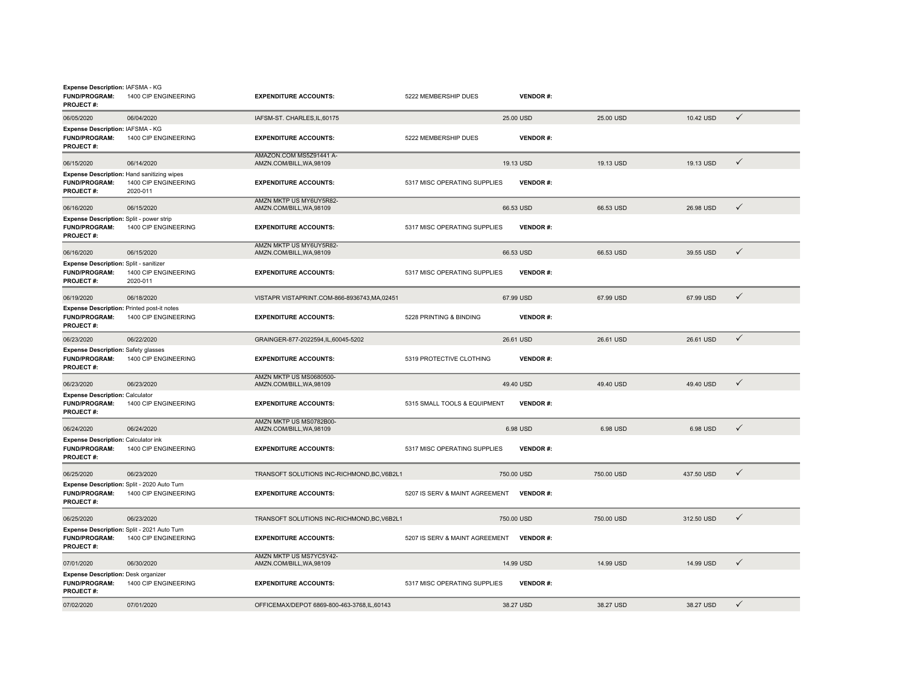| Expense Description: IAFSMA - KG<br><b>FUND/PROGRAM:</b><br><b>PROJECT#:</b>           | 1400 CIP ENGINEERING                                                           | <b>EXPENDITURE ACCOUNTS:</b>                        | 5222 MEMBERSHIP DUES           | <b>VENDOR#:</b> |            |            |              |  |
|----------------------------------------------------------------------------------------|--------------------------------------------------------------------------------|-----------------------------------------------------|--------------------------------|-----------------|------------|------------|--------------|--|
| 06/05/2020                                                                             | 06/04/2020                                                                     | IAFSM-ST. CHARLES, IL, 60175                        |                                | 25.00 USD       | 25.00 USD  | 10.42 USD  | $\checkmark$ |  |
| Expense Description: IAFSMA - KG<br><b>FUND/PROGRAM:</b><br>PROJECT#:                  | 1400 CIP ENGINEERING                                                           | <b>EXPENDITURE ACCOUNTS:</b>                        | 5222 MEMBERSHIP DUES           | <b>VENDOR#:</b> |            |            |              |  |
| 06/15/2020                                                                             | 06/14/2020                                                                     | AMAZON.COM MS5Z91441 A-<br>AMZN.COM/BILL, WA, 98109 |                                | 19.13 USD       | 19.13 USD  | 19.13 USD  | $\checkmark$ |  |
| <b>FUND/PROGRAM:</b><br>PROJECT#:                                                      | Expense Description: Hand sanitizing wipes<br>1400 CIP ENGINEERING<br>2020-011 | <b>EXPENDITURE ACCOUNTS:</b>                        | 5317 MISC OPERATING SUPPLIES   | <b>VENDOR#:</b> |            |            |              |  |
| 06/16/2020                                                                             | 06/15/2020                                                                     | AMZN MKTP US MY6UY5R82-<br>AMZN.COM/BILL, WA, 98109 |                                | 66.53 USD       | 66.53 USD  | 26.98 USD  | $\checkmark$ |  |
| <b>Expense Description: Split - power strip</b><br><b>FUND/PROGRAM:</b><br>PROJECT#:   | 1400 CIP ENGINEERING                                                           | <b>EXPENDITURE ACCOUNTS:</b>                        | 5317 MISC OPERATING SUPPLIES   | <b>VENDOR#:</b> |            |            |              |  |
| 06/16/2020                                                                             | 06/15/2020                                                                     | AMZN MKTP US MY6UY5R82-<br>AMZN.COM/BILL, WA, 98109 |                                | 66.53 USD       | 66.53 USD  | 39.55 USD  | $\checkmark$ |  |
| Expense Description: Split - sanitizer<br><b>FUND/PROGRAM:</b><br><b>PROJECT#:</b>     | 1400 CIP ENGINEERING<br>2020-011                                               | <b>EXPENDITURE ACCOUNTS:</b>                        | 5317 MISC OPERATING SUPPLIES   | <b>VENDOR#:</b> |            |            |              |  |
| 06/19/2020                                                                             | 06/18/2020                                                                     | VISTAPR VISTAPRINT.COM-866-8936743,MA,02451         |                                | 67.99 USD       | 67.99 USD  | 67.99 USD  | $\checkmark$ |  |
| Expense Description: Printed post-it notes<br><b>FUND/PROGRAM:</b><br>PROJECT#:        | 1400 CIP ENGINEERING                                                           | <b>EXPENDITURE ACCOUNTS:</b>                        | 5228 PRINTING & BINDING        | <b>VENDOR#:</b> |            |            |              |  |
| 06/23/2020                                                                             | 06/22/2020                                                                     | GRAINGER-877-2022594,IL,60045-5202                  |                                | 26.61 USD       | 26.61 USD  | 26.61 USD  | $\checkmark$ |  |
| <b>Expense Description: Safety glasses</b><br><b>FUND/PROGRAM:</b><br>PROJECT#:        | 1400 CIP ENGINEERING                                                           | <b>EXPENDITURE ACCOUNTS:</b>                        | 5319 PROTECTIVE CLOTHING       | <b>VENDOR#:</b> |            |            |              |  |
| 06/23/2020                                                                             | 06/23/2020                                                                     | AMZN MKTP US MS0680500-<br>AMZN.COM/BILL.WA.98109   |                                | 49.40 USD       | 49.40 USD  | 49.40 USD  | $\checkmark$ |  |
| <b>Expense Description: Calculator</b><br><b>FUND/PROGRAM:</b><br>PROJECT#:            | 1400 CIP ENGINEERING                                                           | <b>EXPENDITURE ACCOUNTS:</b>                        | 5315 SMALL TOOLS & EQUIPMENT   | <b>VENDOR#:</b> |            |            |              |  |
| 06/24/2020                                                                             | 06/24/2020                                                                     | AMZN MKTP US MS0782B00-<br>AMZN.COM/BILL, WA, 98109 |                                | 6.98 USD        | 6.98 USD   | 6.98 USD   | $\checkmark$ |  |
| <b>Expense Description: Calculator ink</b><br><b>FUND/PROGRAM:</b><br><b>PROJECT#:</b> | 1400 CIP ENGINEERING                                                           | <b>EXPENDITURE ACCOUNTS:</b>                        | 5317 MISC OPERATING SUPPLIES   | <b>VENDOR#:</b> |            |            |              |  |
| 06/25/2020                                                                             | 06/23/2020                                                                     | TRANSOFT SOLUTIONS INC-RICHMOND, BC, V6B2L1         |                                | 750,00 USD      | 750,00 USD | 437.50 USD | $\checkmark$ |  |
| <b>FUND/PROGRAM:</b><br>PROJECT#:                                                      | Expense Description: Split - 2020 Auto Turn<br>1400 CIP ENGINEERING            | <b>EXPENDITURE ACCOUNTS:</b>                        | 5207 IS SERV & MAINT AGREEMENT | <b>VENDOR#:</b> |            |            |              |  |
| 06/25/2020                                                                             | 06/23/2020                                                                     | TRANSOFT SOLUTIONS INC-RICHMOND.BC.V6B2L1           |                                | 750.00 USD      | 750,00 USD | 312.50 USD | $\checkmark$ |  |
| <b>FUND/PROGRAM:</b><br><b>PROJECT#:</b>                                               | Expense Description: Split - 2021 Auto Turn<br>1400 CIP ENGINEERING            | <b>EXPENDITURE ACCOUNTS:</b>                        | 5207 IS SERV & MAINT AGREEMENT | <b>VENDOR#:</b> |            |            |              |  |
| 07/01/2020                                                                             | 06/30/2020                                                                     | AMZN MKTP US MS7YC5Y42-<br>AMZN.COM/BILL, WA, 98109 |                                | 14.99 USD       | 14.99 USD  | 14.99 USD  | $\checkmark$ |  |
| <b>Expense Description: Desk organizer</b><br><b>FUND/PROGRAM:</b><br><b>PROJECT#:</b> | 1400 CIP ENGINEERING                                                           | <b>EXPENDITURE ACCOUNTS:</b>                        | 5317 MISC OPERATING SUPPLIES   | <b>VENDOR#:</b> |            |            |              |  |
| 07/02/2020                                                                             | 07/01/2020                                                                     | OFFICEMAX/DEPOT 6869-800-463-3768,IL,60143          |                                | 38.27 USD       | 38.27 USD  | 38.27 USD  | $\checkmark$ |  |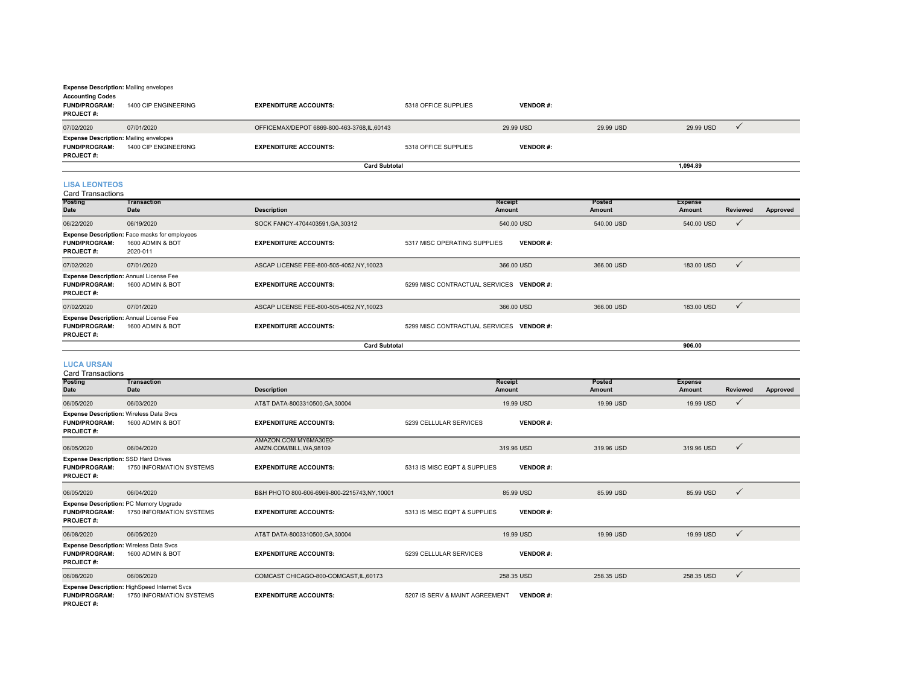| <b>Expense Description: Mailing envelopes</b>                                             |                                  |                                            |                      |                 |           |           |  |  |  |
|-------------------------------------------------------------------------------------------|----------------------------------|--------------------------------------------|----------------------|-----------------|-----------|-----------|--|--|--|
| <b>Accounting Codes</b><br><b>FUND/PROGRAM:</b><br><b>PROJECT#:</b>                       | 1400 CIP ENGINEERING             | <b>EXPENDITURE ACCOUNTS:</b>               | 5318 OFFICE SUPPLIES | <b>VENDOR#:</b> |           |           |  |  |  |
| 07/02/2020                                                                                | 07/01/2020                       | OFFICEMAX/DEPOT 6869-800-463-3768,IL,60143 |                      | 29.99 USD       | 29.99 USD | 29.99 USD |  |  |  |
| <b>Expense Description: Mailing envelopes</b><br><b>FUND/PROGRAM:</b><br><b>PROJECT#:</b> | 1400 CIP ENGINEERING             | <b>EXPENDITURE ACCOUNTS:</b>               | 5318 OFFICE SUPPLIES | <b>VENDOR#:</b> |           |           |  |  |  |
|                                                                                           | <b>Card Subtotal</b><br>1.094.89 |                                            |                      |                 |           |           |  |  |  |

#### **LISA LEONTEOS**

Card Transactions

| <b>Posting</b><br><b>Date</b>            | <b>Transaction</b><br>Date                                                           | <b>Description</b>                      | Receipt<br>Amount                               | Posted<br>Amount | <b>Expense</b><br>Amount | <b>Reviewed</b> | Approved |
|------------------------------------------|--------------------------------------------------------------------------------------|-----------------------------------------|-------------------------------------------------|------------------|--------------------------|-----------------|----------|
| 06/22/2020                               | 06/19/2020                                                                           | SOCK FANCY-4704403591, GA, 30312        | 540.00 USD                                      | 540.00 USD       | 540.00 USD               |                 |          |
| <b>FUND/PROGRAM:</b><br><b>PROJECT#:</b> | <b>Expense Description:</b> Face masks for employees<br>1600 ADMIN & BOT<br>2020-011 | <b>EXPENDITURE ACCOUNTS:</b>            | 5317 MISC OPERATING SUPPLIES<br><b>VENDOR#:</b> |                  |                          |                 |          |
| 07/02/2020                               | 07/01/2020                                                                           | ASCAP LICENSE FEE-800-505-4052,NY,10023 | 366.00 USD                                      | 366,00 USD       | 183.00 USD               |                 |          |
| <b>FUND/PROGRAM:</b><br><b>PROJECT#:</b> | <b>Expense Description: Annual License Fee</b><br>1600 ADMIN & BOT                   | <b>EXPENDITURE ACCOUNTS:</b>            | 5299 MISC CONTRACTUAL SERVICES VENDOR #:        |                  |                          |                 |          |
| 07/02/2020                               | 07/01/2020                                                                           | ASCAP LICENSE FEE-800-505-4052,NY,10023 | 366,00 USD                                      | 366,00 USD       | 183.00 USD               | ٧               |          |
| <b>FUND/PROGRAM:</b><br><b>PROJECT#:</b> | <b>Expense Description: Annual License Fee</b><br>1600 ADMIN & BOT                   | <b>EXPENDITURE ACCOUNTS:</b>            | 5299 MISC CONTRACTUAL SERVICES VENDOR #:        |                  |                          |                 |          |
|                                          |                                                                                      | <b>Card Subtotal</b>                    |                                                 |                  | 906.00                   |                 |          |

### **LUCA URSAN** Card Transactions

| Card Transactions                                                                |                                                                          |                                                 |                                |                   |                         |                          |                 |          |
|----------------------------------------------------------------------------------|--------------------------------------------------------------------------|-------------------------------------------------|--------------------------------|-------------------|-------------------------|--------------------------|-----------------|----------|
| Posting<br>Date                                                                  | Transaction<br><b>Date</b>                                               | <b>Description</b>                              |                                | Receipt<br>Amount | <b>Posted</b><br>Amount | <b>Expense</b><br>Amount | <b>Reviewed</b> | Approved |
| 06/05/2020                                                                       | 06/03/2020                                                               | AT&T DATA-8003310500.GA.30004                   |                                | 19.99 USD         | 19.99 USD               | 19.99 USD                | $\checkmark$    |          |
| <b>FUND/PROGRAM:</b><br>PROJECT#:                                                | Expense Description: Wireless Data Svcs<br>1600 ADMIN & BOT              | <b>EXPENDITURE ACCOUNTS:</b>                    | 5239 CELLULAR SERVICES         | <b>VENDOR#:</b>   |                         |                          |                 |          |
| 06/05/2020                                                                       | 06/04/2020                                                               | AMAZON.COM MY6MA30E0-<br>AMZN.COM/BILL.WA.98109 |                                | 319.96 USD        | 319.96 USD              | 319.96 USD               | $\checkmark$    |          |
| Expense Description: SSD Hard Drives<br><b>FUND/PROGRAM:</b><br><b>PROJECT#:</b> | 1750 INFORMATION SYSTEMS                                                 | <b>EXPENDITURE ACCOUNTS:</b>                    | 5313 IS MISC EQPT & SUPPLIES   | <b>VENDOR#:</b>   |                         |                          |                 |          |
| 06/05/2020                                                                       | 06/04/2020                                                               | B&H PHOTO 800-606-6969-800-2215743,NY,10001     |                                | 85.99 USD         | 85.99 USD               | 85.99 USD                | $\checkmark$    |          |
| <b>FUND/PROGRAM:</b><br><b>PROJECT#:</b>                                         | Expense Description: PC Memory Upgrade<br>1750 INFORMATION SYSTEMS       | <b>EXPENDITURE ACCOUNTS:</b>                    | 5313 IS MISC EQPT & SUPPLIES   | <b>VENDOR#:</b>   |                         |                          |                 |          |
| 06/08/2020                                                                       | 06/05/2020                                                               | AT&T DATA-8003310500, GA, 30004                 |                                | 19.99 USD         | 19.99 USD               | 19.99 USD                | $\checkmark$    |          |
| <b>FUND/PROGRAM:</b><br><b>PROJECT#:</b>                                         | Expense Description: Wireless Data Svcs<br>1600 ADMIN & BOT              | <b>EXPENDITURE ACCOUNTS:</b>                    | 5239 CELLULAR SERVICES         | <b>VENDOR#:</b>   |                         |                          |                 |          |
| 06/08/2020                                                                       | 06/06/2020                                                               | COMCAST CHICAGO-800-COMCAST.IL.60173            |                                | 258.35 USD        | 258.35 USD              | 258.35 USD               | $\checkmark$    |          |
| <b>FUND/PROGRAM:</b><br><b>PROJECT#:</b>                                         | Expense Description: HighSpeed Internet Svcs<br>1750 INFORMATION SYSTEMS | <b>EXPENDITURE ACCOUNTS:</b>                    | 5207 IS SERV & MAINT AGREEMENT | <b>VENDOR#:</b>   |                         |                          |                 |          |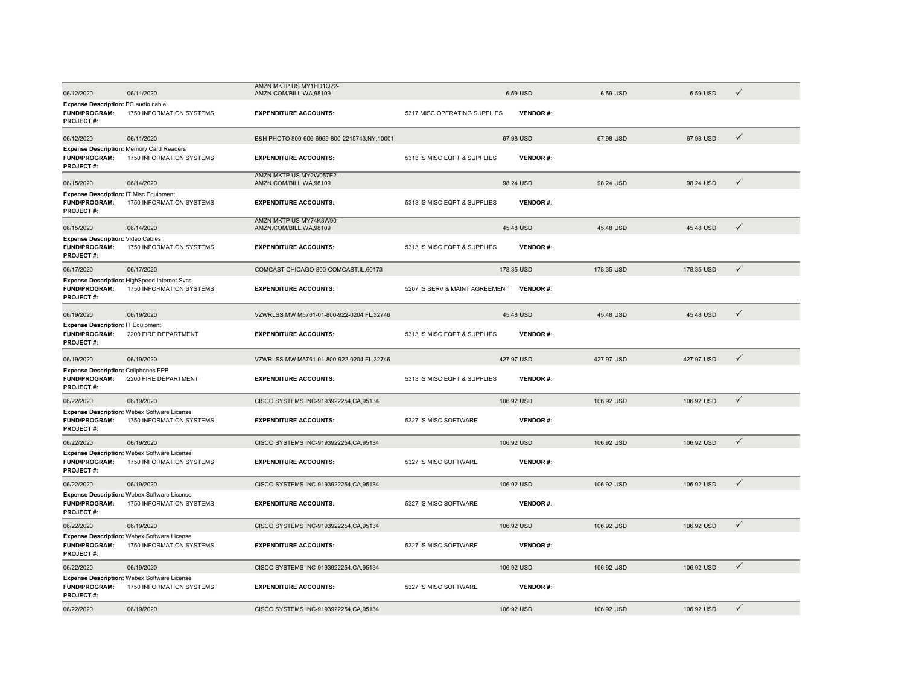| 06/12/2020                                                                                | 06/11/2020                                                                  | AMZN MKTP US MY1HD1Q22-<br>AMZN.COM/BILL, WA, 98109 |                                | 6.59 USD        | 6.59 USD   | 6.59 USD   | $\checkmark$ |  |
|-------------------------------------------------------------------------------------------|-----------------------------------------------------------------------------|-----------------------------------------------------|--------------------------------|-----------------|------------|------------|--------------|--|
| Expense Description: PC audio cable<br><b>FUND/PROGRAM:</b><br><b>PROJECT#:</b>           | 1750 INFORMATION SYSTEMS                                                    | <b>EXPENDITURE ACCOUNTS:</b>                        | 5317 MISC OPERATING SUPPLIES   | <b>VENDOR#:</b> |            |            |              |  |
| 06/12/2020                                                                                | 06/11/2020                                                                  | B&H PHOTO 800-606-6969-800-2215743,NY,10001         |                                | 67.98 USD       | 67.98 USD  | 67.98 USD  | $\checkmark$ |  |
| <b>FUND/PROGRAM:</b><br><b>PROJECT#:</b>                                                  | <b>Expense Description: Memory Card Readers</b><br>1750 INFORMATION SYSTEMS | <b>EXPENDITURE ACCOUNTS:</b>                        | 5313 IS MISC EQPT & SUPPLIES   | <b>VENDOR#:</b> |            |            |              |  |
| 06/15/2020                                                                                | 06/14/2020                                                                  | AMZN MKTP US MY2W057E2-<br>AMZN.COM/BILL, WA, 98109 |                                | 98.24 USD       | 98.24 USD  | 98.24 USD  | $\checkmark$ |  |
| <b>Expense Description: IT Misc Equipment</b><br><b>FUND/PROGRAM:</b><br><b>PROJECT#:</b> | 1750 INFORMATION SYSTEMS                                                    | <b>EXPENDITURE ACCOUNTS:</b>                        | 5313 IS MISC EQPT & SUPPLIES   | <b>VENDOR#:</b> |            |            |              |  |
| 06/15/2020                                                                                | 06/14/2020                                                                  | AMZN MKTP US MY74K8W90-<br>AMZN.COM/BILL, WA, 98109 |                                | 45.48 USD       | 45.48 USD  | 45.48 USD  | $\checkmark$ |  |
| <b>Expense Description: Video Cables</b><br><b>FUND/PROGRAM:</b><br>PROJECT#:             | 1750 INFORMATION SYSTEMS                                                    | <b>EXPENDITURE ACCOUNTS:</b>                        | 5313 IS MISC EQPT & SUPPLIES   | <b>VENDOR#:</b> |            |            |              |  |
| 06/17/2020                                                                                | 06/17/2020                                                                  | COMCAST CHICAGO-800-COMCAST, IL, 60173              |                                | 178.35 USD      | 178.35 USD | 178.35 USD | $\checkmark$ |  |
| <b>FUND/PROGRAM:</b><br><b>PROJECT#:</b>                                                  | Expense Description: HighSpeed Internet Svcs<br>1750 INFORMATION SYSTEMS    | <b>EXPENDITURE ACCOUNTS:</b>                        | 5207 IS SERV & MAINT AGREEMENT | <b>VENDOR#:</b> |            |            |              |  |
| 06/19/2020                                                                                | 06/19/2020                                                                  | VZWRLSS MW M5761-01-800-922-0204,FL,32746           |                                | 45.48 USD       | 45.48 USD  | 45.48 USD  | $\checkmark$ |  |
| <b>Expense Description: IT Equipment</b><br><b>FUND/PROGRAM:</b><br>PROJECT#:             | 2200 FIRE DEPARTMENT                                                        | <b>EXPENDITURE ACCOUNTS:</b>                        | 5313 IS MISC EQPT & SUPPLIES   | <b>VENDOR#:</b> |            |            |              |  |
| 06/19/2020                                                                                | 06/19/2020                                                                  | VZWRLSS MW M5761-01-800-922-0204,FL,32746           |                                | 427.97 USD      | 427.97 USD | 427.97 USD | $\checkmark$ |  |
| <b>Expense Description: Cellphones FPB</b><br><b>FUND/PROGRAM:</b><br>PROJECT#:           | 2200 FIRE DEPARTMENT                                                        | <b>EXPENDITURE ACCOUNTS:</b>                        | 5313 IS MISC EQPT & SUPPLIES   | <b>VENDOR#:</b> |            |            |              |  |
| 06/22/2020                                                                                | 06/19/2020                                                                  | CISCO SYSTEMS INC-9193922254, CA, 95134             |                                | 106.92 USD      | 106.92 USD | 106.92 USD | $\checkmark$ |  |
| <b>FUND/PROGRAM:</b><br><b>PROJECT#:</b>                                                  | Expense Description: Webex Software License<br>1750 INFORMATION SYSTEMS     | <b>EXPENDITURE ACCOUNTS:</b>                        | 5327 IS MISC SOFTWARE          | <b>VENDOR#:</b> |            |            |              |  |
| 06/22/2020                                                                                | 06/19/2020                                                                  | CISCO SYSTEMS INC-9193922254, CA, 95134             |                                | 106.92 USD      | 106.92 USD | 106.92 USD | $\checkmark$ |  |
| <b>FUND/PROGRAM:</b><br><b>PROJECT#:</b>                                                  | Expense Description: Webex Software License<br>1750 INFORMATION SYSTEMS     | <b>EXPENDITURE ACCOUNTS:</b>                        | 5327 IS MISC SOFTWARE          | <b>VENDOR#:</b> |            |            |              |  |
| 06/22/2020                                                                                | 06/19/2020                                                                  | CISCO SYSTEMS INC-9193922254, CA, 95134             |                                | 106.92 USD      | 106.92 USD | 106.92 USD | $\checkmark$ |  |
| <b>FUND/PROGRAM:</b><br><b>PROJECT#:</b>                                                  | Expense Description: Webex Software License<br>1750 INFORMATION SYSTEMS     | <b>EXPENDITURE ACCOUNTS:</b>                        | 5327 IS MISC SOFTWARE          | <b>VENDOR#:</b> |            |            |              |  |
| 06/22/2020                                                                                | 06/19/2020                                                                  | CISCO SYSTEMS INC-9193922254, CA, 95134             |                                | 106.92 USD      | 106.92 USD | 106.92 USD | $\checkmark$ |  |
| FUND/PROGRAM:<br>PROJECT#:                                                                | Expense Description: Webex Software License<br>1750 INFORMATION SYSTEMS     | <b>EXPENDITURE ACCOUNTS:</b>                        | 5327 IS MISC SOFTWARE          | <b>VENDOR#:</b> |            |            |              |  |
| 06/22/2020                                                                                | 06/19/2020                                                                  | CISCO SYSTEMS INC-9193922254, CA, 95134             |                                | 106.92 USD      | 106.92 USD | 106.92 USD | $\checkmark$ |  |
| <b>FUND/PROGRAM:</b><br><b>PROJECT#:</b>                                                  | Expense Description: Webex Software License<br>1750 INFORMATION SYSTEMS     | <b>EXPENDITURE ACCOUNTS:</b>                        | 5327 IS MISC SOFTWARE          | <b>VENDOR#:</b> |            |            |              |  |
| 06/22/2020                                                                                | 06/19/2020                                                                  | CISCO SYSTEMS INC-9193922254.CA.95134               |                                | 106.92 USD      | 106.92 USD | 106.92 USD | $\checkmark$ |  |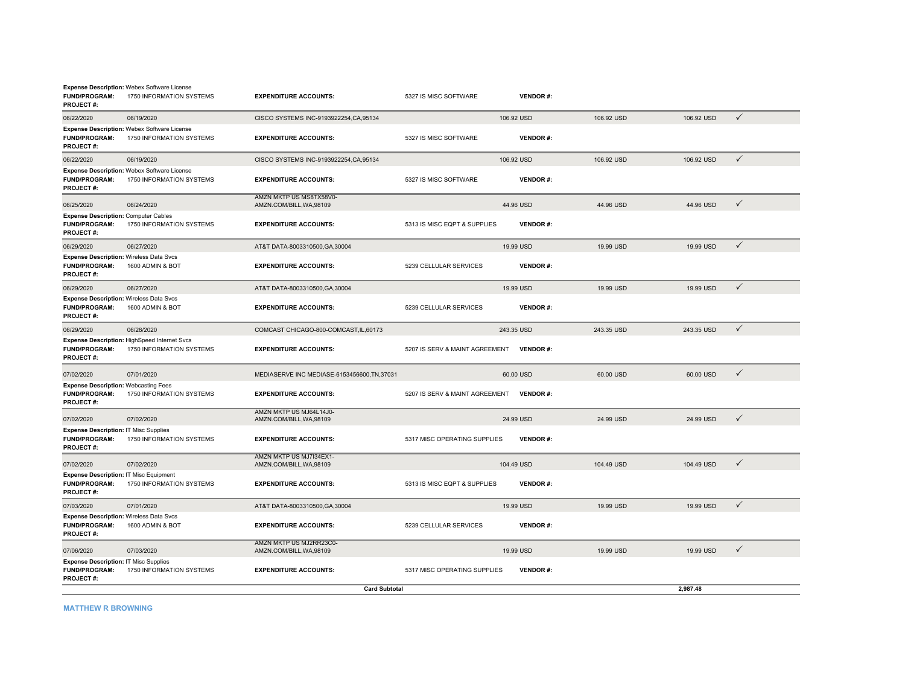| <b>FUND/PROGRAM:</b><br><b>PROJECT#:</b>                                                   | <b>Expense Description: Webex Software License</b><br>1750 INFORMATION SYSTEMS | <b>EXPENDITURE ACCOUNTS:</b>                        | 5327 IS MISC SOFTWARE          | <b>VENDOR#:</b> |            |            |              |
|--------------------------------------------------------------------------------------------|--------------------------------------------------------------------------------|-----------------------------------------------------|--------------------------------|-----------------|------------|------------|--------------|
| 06/22/2020                                                                                 | 06/19/2020                                                                     | CISCO SYSTEMS INC-9193922254, CA, 95134             |                                | 106.92 USD      | 106.92 USD | 106.92 USD | $\checkmark$ |
| <b>FUND/PROGRAM:</b><br><b>PROJECT#:</b>                                                   | Expense Description: Webex Software License<br>1750 INFORMATION SYSTEMS        | <b>EXPENDITURE ACCOUNTS:</b>                        | 5327 IS MISC SOFTWARE          | <b>VENDOR#:</b> |            |            |              |
| 06/22/2020                                                                                 | 06/19/2020                                                                     | CISCO SYSTEMS INC-9193922254, CA, 95134             |                                | 106.92 USD      | 106.92 USD | 106.92 USD | $\checkmark$ |
| <b>FUND/PROGRAM:</b><br><b>PROJECT#:</b>                                                   | Expense Description: Webex Software License<br>1750 INFORMATION SYSTEMS        | <b>EXPENDITURE ACCOUNTS:</b>                        | 5327 IS MISC SOFTWARE          | <b>VENDOR#:</b> |            |            |              |
| 06/25/2020                                                                                 | 06/24/2020                                                                     | AMZN MKTP US MS8TX58V0-<br>AMZN.COM/BILL, WA, 98109 |                                | 44.96 USD       | 44.96 USD  | 44.96 USD  | $\checkmark$ |
| <b>Expense Description: Computer Cables</b><br><b>FUND/PROGRAM:</b><br><b>PROJECT#:</b>    | 1750 INFORMATION SYSTEMS                                                       | <b>EXPENDITURE ACCOUNTS:</b>                        | 5313 IS MISC EQPT & SUPPLIES   | <b>VENDOR#:</b> |            |            |              |
| 06/29/2020                                                                                 | 06/27/2020                                                                     | AT&T DATA-8003310500.GA.30004                       |                                | 19.99 USD       | 19.99 USD  | 19.99 USD  | $\checkmark$ |
| <b>Expense Description: Wireless Data Svcs</b><br><b>FUND/PROGRAM:</b><br><b>PROJECT#:</b> | 1600 ADMIN & BOT                                                               | <b>EXPENDITURE ACCOUNTS:</b>                        | 5239 CELLULAR SERVICES         | <b>VENDOR#:</b> |            |            |              |
| 06/29/2020                                                                                 | 06/27/2020                                                                     | AT&T DATA-8003310500, GA, 30004                     |                                | 19.99 USD       | 19.99 USD  | 19.99 USD  | $\checkmark$ |
| <b>Expense Description: Wireless Data Svcs</b><br><b>FUND/PROGRAM:</b><br><b>PROJECT#:</b> | 1600 ADMIN & BOT                                                               | <b>EXPENDITURE ACCOUNTS:</b>                        | 5239 CELLULAR SERVICES         | <b>VENDOR#:</b> |            |            |              |
| 06/29/2020                                                                                 | 06/28/2020                                                                     | COMCAST CHICAGO-800-COMCAST, IL, 60173              |                                | 243.35 USD      | 243.35 USD | 243.35 USD | $\checkmark$ |
| <b>FUND/PROGRAM:</b><br><b>PROJECT#:</b>                                                   | Expense Description: HighSpeed Internet Svcs<br>1750 INFORMATION SYSTEMS       | <b>EXPENDITURE ACCOUNTS:</b>                        | 5207 IS SERV & MAINT AGREEMENT | <b>VENDOR#:</b> |            |            |              |
| 07/02/2020                                                                                 | 07/01/2020                                                                     | MEDIASERVE INC MEDIASE-6153456600, TN, 37031        |                                | 60.00 USD       | 60.00 USD  | 60.00 USD  | $\checkmark$ |
| <b>Expense Description: Webcasting Fees</b><br><b>FUND/PROGRAM:</b><br><b>PROJECT#:</b>    | 1750 INFORMATION SYSTEMS                                                       | <b>EXPENDITURE ACCOUNTS:</b>                        | 5207 IS SERV & MAINT AGREEMENT | <b>VENDOR#:</b> |            |            |              |
| 07/02/2020                                                                                 | 07/02/2020                                                                     | AMZN MKTP US MJ64L14J0-<br>AMZN.COM/BILL, WA, 98109 |                                | 24.99 USD       | 24.99 USD  | 24.99 USD  | $\checkmark$ |
| <b>Expense Description: IT Misc Supplies</b><br><b>FUND/PROGRAM:</b><br><b>PROJECT#:</b>   | 1750 INFORMATION SYSTEMS                                                       | <b>EXPENDITURE ACCOUNTS:</b>                        | 5317 MISC OPERATING SUPPLIES   | <b>VENDOR#:</b> |            |            |              |
| 07/02/2020                                                                                 | 07/02/2020                                                                     | AMZN MKTP US MJ7I34EX1-<br>AMZN.COM/BILL, WA, 98109 |                                | 104.49 USD      | 104.49 USD | 104.49 USD | $\checkmark$ |
| Expense Description: IT Misc Equipment<br><b>FUND/PROGRAM:</b><br><b>PROJECT#:</b>         | 1750 INFORMATION SYSTEMS                                                       | <b>EXPENDITURE ACCOUNTS:</b>                        | 5313 IS MISC EQPT & SUPPLIES   | <b>VENDOR#:</b> |            |            |              |
| 07/03/2020                                                                                 | 07/01/2020                                                                     | AT&T DATA-8003310500, GA, 30004                     |                                | 19.99 USD       | 19.99 USD  | 19.99 USD  | $\checkmark$ |
| <b>Expense Description: Wireless Data Svcs</b><br><b>FUND/PROGRAM:</b><br><b>PROJECT#:</b> | 1600 ADMIN & BOT                                                               | <b>EXPENDITURE ACCOUNTS:</b>                        | 5239 CELLULAR SERVICES         | <b>VENDOR#:</b> |            |            |              |
| 07/06/2020                                                                                 | 07/03/2020                                                                     | AMZN MKTP US MJ2RR23C0-<br>AMZN.COM/BILL, WA, 98109 |                                | 19.99 USD       | 19.99 USD  | 19.99 USD  | $\checkmark$ |
| <b>Expense Description: IT Misc Supplies</b><br><b>FUND/PROGRAM:</b><br><b>PROJECT#:</b>   | 1750 INFORMATION SYSTEMS                                                       | <b>EXPENDITURE ACCOUNTS:</b>                        | 5317 MISC OPERATING SUPPLIES   | <b>VENDOR#:</b> |            |            |              |
|                                                                                            |                                                                                | <b>Card Subtotal</b>                                |                                |                 |            | 2,987.48   |              |

**MATTHEW R BROWNING**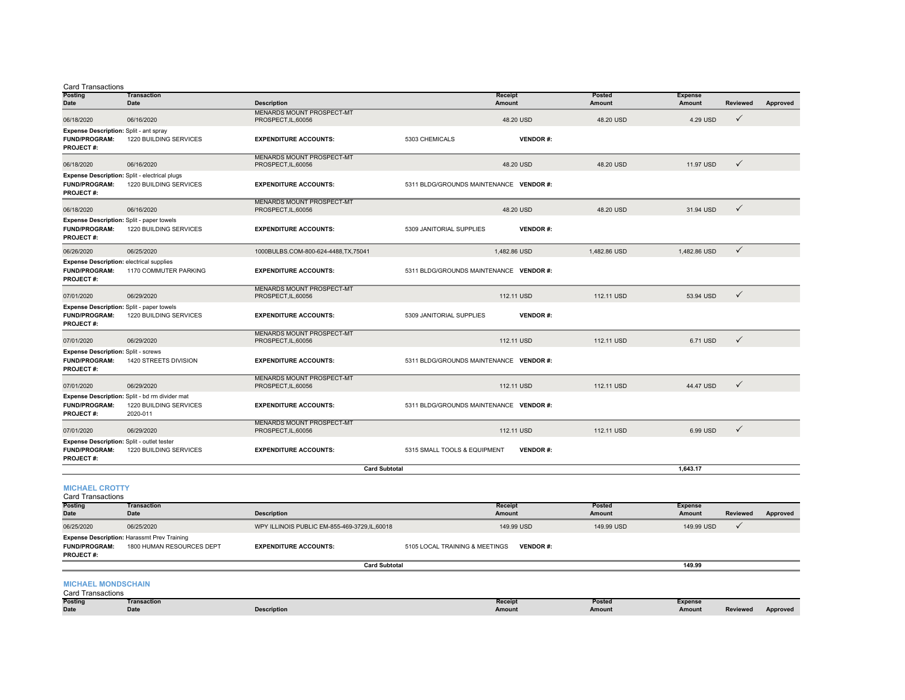|  | <b>Card Transactions</b> |
|--|--------------------------|

| Posting<br><b>Date</b>                                                                      | <b>Transaction</b><br><b>Date</b>                                                    | <b>Description</b>                                      |                                         | <b>Receipt</b><br><b>Amount</b> | Posted<br><b>Amount</b> | <b>Expense</b><br><b>Amount</b> | <b>Reviewed</b> | Approved |
|---------------------------------------------------------------------------------------------|--------------------------------------------------------------------------------------|---------------------------------------------------------|-----------------------------------------|---------------------------------|-------------------------|---------------------------------|-----------------|----------|
| 06/18/2020                                                                                  | 06/16/2020                                                                           | <b>MENARDS MOUNT PROSPECT-MT</b><br>PROSPECT, IL, 60056 |                                         | 48.20 USD                       | 48.20 USD               | 4.29 USD                        | $\checkmark$    |          |
| Expense Description: Split - ant spray<br>FUND/PROGRAM:<br><b>PROJECT#:</b>                 | 1220 BUILDING SERVICES                                                               | <b>EXPENDITURE ACCOUNTS:</b>                            | 5303 CHEMICALS                          | <b>VENDOR#:</b>                 |                         |                                 |                 |          |
| 06/18/2020                                                                                  | 06/16/2020                                                                           | <b>MENARDS MOUNT PROSPECT-MT</b><br>PROSPECT, IL, 60056 |                                         | 48.20 USD                       | 48.20 USD               | 11.97 USD                       | $\checkmark$    |          |
| <b>FUND/PROGRAM:</b><br><b>PROJECT#:</b>                                                    | Expense Description: Split - electrical plugs<br>1220 BUILDING SERVICES              | <b>EXPENDITURE ACCOUNTS:</b>                            | 5311 BLDG/GROUNDS MAINTENANCE VENDOR #: |                                 |                         |                                 |                 |          |
| 06/18/2020                                                                                  | 06/16/2020                                                                           | <b>MENARDS MOUNT PROSPECT-MT</b><br>PROSPECT, IL, 60056 |                                         | 48.20 USD                       | 48.20 USD               | 31.94 USD                       | $\checkmark$    |          |
| <b>FUND/PROGRAM:</b><br><b>PROJECT#:</b>                                                    | Expense Description: Split - paper towels<br>1220 BUILDING SERVICES                  | <b>EXPENDITURE ACCOUNTS:</b>                            | 5309 JANITORIAL SUPPLIES                | <b>VENDOR#:</b>                 |                         |                                 |                 |          |
| 06/26/2020                                                                                  | 06/25/2020                                                                           | 1000BULBS.COM-800-624-4488,TX,75041                     |                                         | 1,482.86 USD                    | 1.482.86 USD            | 1,482.86 USD                    | $\checkmark$    |          |
| <b>Expense Description: electrical supplies</b><br><b>FUND/PROGRAM:</b><br><b>PROJECT#:</b> | 1170 COMMUTER PARKING                                                                | <b>EXPENDITURE ACCOUNTS:</b>                            | 5311 BLDG/GROUNDS MAINTENANCE VENDOR #: |                                 |                         |                                 |                 |          |
| 07/01/2020                                                                                  | 06/29/2020                                                                           | <b>MENARDS MOUNT PROSPECT-MT</b><br>PROSPECT, IL, 60056 |                                         | 112.11 USD                      | 112.11 USD              | 53.94 USD                       | $\checkmark$    |          |
| <b>FUND/PROGRAM:</b><br><b>PROJECT#:</b>                                                    | <b>Expense Description: Split - paper towels</b><br>1220 BUILDING SERVICES           | <b>EXPENDITURE ACCOUNTS:</b>                            | 5309 JANITORIAL SUPPLIES                | <b>VENDOR#:</b>                 |                         |                                 |                 |          |
| 07/01/2020                                                                                  | 06/29/2020                                                                           | <b>MENARDS MOUNT PROSPECT-MT</b><br>PROSPECT, IL, 60056 |                                         | 112.11 USD                      | 112.11 USD              | 6.71 USD                        | $\checkmark$    |          |
| <b>Expense Description: Split - screws</b><br><b>FUND/PROGRAM:</b><br><b>PROJECT#:</b>      | 1420 STREETS DIVISION                                                                | <b>EXPENDITURE ACCOUNTS:</b>                            | 5311 BLDG/GROUNDS MAINTENANCE VENDOR #: |                                 |                         |                                 |                 |          |
| 07/01/2020                                                                                  | 06/29/2020                                                                           | <b>MENARDS MOUNT PROSPECT-MT</b><br>PROSPECT, IL, 60056 |                                         | 112.11 USD                      | 112.11 USD              | 44.47 USD                       | $\checkmark$    |          |
| <b>FUND/PROGRAM:</b><br>PROJECT#:                                                           | Expense Description: Split - bd rm divider mat<br>1220 BUILDING SERVICES<br>2020-011 | <b>EXPENDITURE ACCOUNTS:</b>                            | 5311 BLDG/GROUNDS MAINTENANCE VENDOR #: |                                 |                         |                                 |                 |          |
| 07/01/2020                                                                                  | 06/29/2020                                                                           | <b>MENARDS MOUNT PROSPECT-MT</b><br>PROSPECT, IL, 60056 |                                         | 112.11 USD                      | 112.11 USD              | 6.99 USD                        | $\checkmark$    |          |
| <b>FUND/PROGRAM:</b><br><b>PROJECT#:</b>                                                    | Expense Description: Split - outlet tester<br>1220 BUILDING SERVICES                 | <b>EXPENDITURE ACCOUNTS:</b>                            | 5315 SMALL TOOLS & EQUIPMENT            | <b>VENDOR#:</b>                 |                         |                                 |                 |          |
|                                                                                             |                                                                                      | <b>Card Subtotal</b>                                    |                                         |                                 |                         | 1.643.17                        |                 |          |
|                                                                                             |                                                                                      |                                                         |                                         |                                 |                         |                                 |                 |          |

**MICHAEL CROTTY**

| <b>Card Transactions</b>                 |                                                                                 |                                              |                                |                 |            |                |                 |          |  |  |  |
|------------------------------------------|---------------------------------------------------------------------------------|----------------------------------------------|--------------------------------|-----------------|------------|----------------|-----------------|----------|--|--|--|
| <b>Posting</b>                           | Transaction                                                                     |                                              | <b>Receipt</b>                 |                 | Posted     | <b>Expense</b> |                 |          |  |  |  |
| <b>Date</b>                              | <b>Date</b>                                                                     | <b>Description</b>                           | Amount                         |                 | Amount     | Amount         | <b>Reviewed</b> | Approved |  |  |  |
| 06/25/2020                               | 06/25/2020                                                                      | WPY ILLINOIS PUBLIC EM-855-469-3729.IL.60018 |                                | 149.99 USD      | 149.99 USD | 149.99 USD     |                 |          |  |  |  |
| <b>FUND/PROGRAM:</b><br><b>PROJECT#:</b> | <b>Expense Description: Harassmt Prev Training</b><br>1800 HUMAN RESOURCES DEPT | <b>EXPENDITURE ACCOUNTS:</b>                 | 5105 LOCAL TRAINING & MEETINGS | <b>VENDOR#:</b> |            |                |                 |          |  |  |  |
|                                          | <b>Card Subtotal</b>                                                            |                                              |                                |                 |            | 149.99         |                 |          |  |  |  |

#### **MICHAEL MONDSCHAIN**

|  | <b>Card Transactions</b> |
|--|--------------------------|
|--|--------------------------|

| <b>Posting</b> | Transaction |                    | Receipt | Posteo | Expense |          |          |
|----------------|-------------|--------------------|---------|--------|---------|----------|----------|
| <b>Date</b>    | $2$ ate     | <b>Description</b> | Amount  | Amount | Amount  | Reviewed | Approved |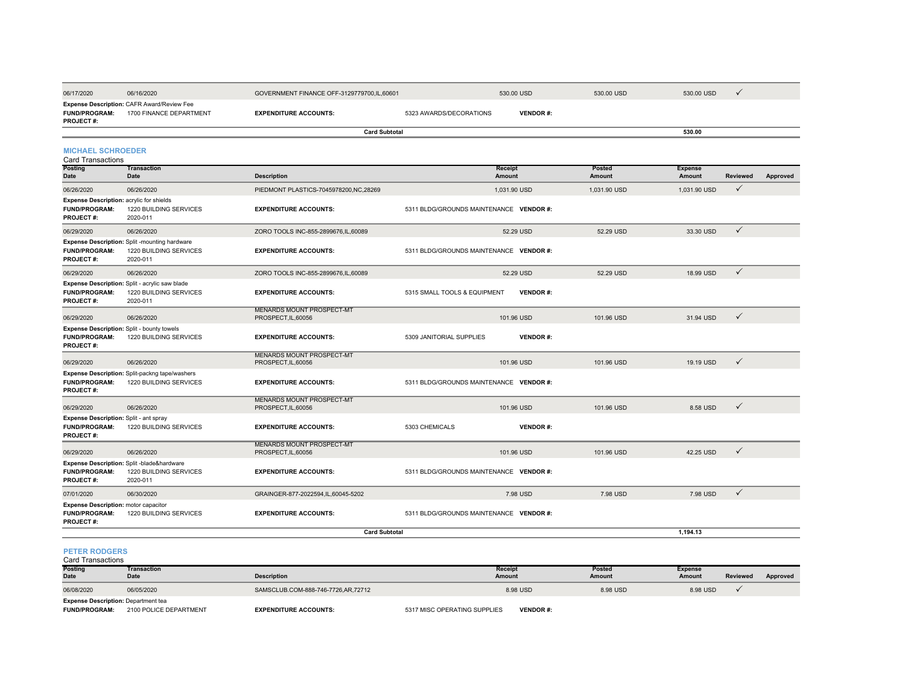| 06/17/2020                                                                              | 06/16/2020                                                                           | GOVERNMENT FINANCE OFF-3129779700,IL,60601              |                                         | 530.00 USD               | 530.00 USD              | 530.00 USD               | ✓            |          |
|-----------------------------------------------------------------------------------------|--------------------------------------------------------------------------------------|---------------------------------------------------------|-----------------------------------------|--------------------------|-------------------------|--------------------------|--------------|----------|
| <b>FUND/PROGRAM:</b><br><b>PROJECT#:</b>                                                | Expense Description: CAFR Award/Review Fee<br>1700 FINANCE DEPARTMENT                | <b>EXPENDITURE ACCOUNTS:</b>                            | 5323 AWARDS/DECORATIONS                 | <b>VENDOR#:</b>          |                         |                          |              |          |
|                                                                                         |                                                                                      | <b>Card Subtotal</b>                                    |                                         |                          |                         | 530.00                   |              |          |
| <b>MICHAEL SCHROEDER</b><br><b>Card Transactions</b>                                    |                                                                                      |                                                         |                                         |                          |                         |                          |              |          |
| <b>Posting</b><br>Date                                                                  | <b>Transaction</b><br>Date                                                           | <b>Description</b>                                      |                                         | <b>Receipt</b><br>Amount | <b>Posted</b><br>Amount | <b>Expense</b><br>Amount | Reviewed     | Approved |
| 06/26/2020                                                                              | 06/26/2020                                                                           | PIEDMONT PLASTICS-7045978200.NC.28269                   |                                         | 1.031.90 USD             | 1.031.90 USD            | 1,031.90 USD             | $\checkmark$ |          |
| Expense Description: acrylic for shields<br><b>FUND/PROGRAM:</b><br><b>PROJECT#:</b>    | 1220 BUILDING SERVICES<br>2020-011                                                   | <b>EXPENDITURE ACCOUNTS:</b>                            | 5311 BLDG/GROUNDS MAINTENANCE VENDOR #: |                          |                         |                          |              |          |
| 06/29/2020                                                                              | 06/26/2020                                                                           | ZORO TOOLS INC-855-2899676, IL, 60089                   |                                         | 52.29 USD                | 52.29 USD               | 33.30 USD                | $\checkmark$ |          |
| <b>FUND/PROGRAM:</b><br><b>PROJECT#:</b>                                                | Expense Description: Split -mounting hardware<br>1220 BUILDING SERVICES<br>2020-011  | <b>EXPENDITURE ACCOUNTS:</b>                            | 5311 BLDG/GROUNDS MAINTENANCE VENDOR #: |                          |                         |                          |              |          |
| 06/29/2020                                                                              | 06/26/2020                                                                           | ZORO TOOLS INC-855-2899676, IL, 60089                   |                                         | 52.29 USD                | 52.29 USD               | 18.99 USD                | $\checkmark$ |          |
| <b>FUND/PROGRAM:</b><br><b>PROJECT#:</b>                                                | Expense Description: Split - acrylic saw blade<br>1220 BUILDING SERVICES<br>2020-011 | <b>EXPENDITURE ACCOUNTS:</b>                            | 5315 SMALL TOOLS & EQUIPMENT            | <b>VENDOR#:</b>          |                         |                          |              |          |
| 06/29/2020                                                                              | 06/26/2020                                                                           | <b>MENARDS MOUNT PROSPECT-MT</b><br>PROSPECT, IL, 60056 |                                         | 101.96 USD               | 101.96 USD              | 31.94 USD                | $\checkmark$ |          |
| Expense Description: Split - bounty towels<br><b>FUND/PROGRAM:</b><br><b>PROJECT#:</b>  | 1220 BUILDING SERVICES                                                               | <b>EXPENDITURE ACCOUNTS:</b>                            | 5309 JANITORIAL SUPPLIES                | <b>VENDOR#:</b>          |                         |                          |              |          |
| 06/29/2020                                                                              | 06/26/2020                                                                           | <b>MENARDS MOUNT PROSPECT-MT</b><br>PROSPECT, IL, 60056 |                                         | 101.96 USD               | 101.96 USD              | 19.19 USD                | $\checkmark$ |          |
| <b>FUND/PROGRAM:</b><br><b>PROJECT#:</b>                                                | Expense Description: Split-packng tape/washers<br>1220 BUILDING SERVICES             | <b>EXPENDITURE ACCOUNTS:</b>                            | 5311 BLDG/GROUNDS MAINTENANCE VENDOR #: |                          |                         |                          |              |          |
| 06/29/2020                                                                              | 06/26/2020                                                                           | MENARDS MOUNT PROSPECT-MT<br>PROSPECT, IL, 60056        |                                         | 101.96 USD               | 101.96 USD              | 8.58 USD                 | $\checkmark$ |          |
| Expense Description: Split - ant spray<br><b>FUND/PROGRAM:</b><br><b>PROJECT#:</b>      | 1220 BUILDING SERVICES                                                               | <b>EXPENDITURE ACCOUNTS:</b>                            | 5303 CHEMICALS                          | <b>VENDOR#:</b>          |                         |                          |              |          |
| 06/29/2020                                                                              | 06/26/2020                                                                           | <b>MENARDS MOUNT PROSPECT-MT</b><br>PROSPECT, IL, 60056 |                                         | 101.96 USD               | 101.96 USD              | 42.25 USD                | $\checkmark$ |          |
| <b>FUND/PROGRAM:</b><br><b>PROJECT#:</b>                                                | Expense Description: Split -blade&hardware<br>1220 BUILDING SERVICES<br>2020-011     | <b>EXPENDITURE ACCOUNTS:</b>                            | 5311 BLDG/GROUNDS MAINTENANCE VENDOR #: |                          |                         |                          |              |          |
| 07/01/2020                                                                              | 06/30/2020                                                                           | GRAINGER-877-2022594,IL,60045-5202                      |                                         | 7.98 USD                 | 7.98 USD                | 7.98 USD                 | $\checkmark$ |          |
| <b>Expense Description: motor capacitor</b><br><b>FUND/PROGRAM:</b><br><b>PROJECT#:</b> | 1220 BUILDING SERVICES                                                               | <b>EXPENDITURE ACCOUNTS:</b>                            | 5311 BLDG/GROUNDS MAINTENANCE VENDOR #: |                          |                         |                          |              |          |
|                                                                                         |                                                                                      | <b>Card Subtotal</b>                                    |                                         |                          |                         | 1,194.13                 |              |          |

#### **PETER RODGERS**

Card Transactions

| <b>Posting</b>                             | Transaction |                                    | <b>Receipt</b> | Posted   | <b>Expense</b> |          |          |
|--------------------------------------------|-------------|------------------------------------|----------------|----------|----------------|----------|----------|
| <b>Date</b>                                | Date        | Description                        | <b>Amount</b>  | Amount   | <b>Amount</b>  | Reviewed | Approved |
| 06/08/2020                                 | 06/05/2020  | SAMSCLUB.COM-888-746-7726,AR,72712 | 8.98 USD       | 8.98 USD | 8.98 USD       |          |          |
| <b>Expense Description: Department tea</b> |             |                                    |                |          |                |          |          |

**Expense Description:** Department tea<br>FUND/PROGRAM: 2100 POLICE DEPARTMENT

**EXPENDITURE ACCOUNTS:** 5317 MISC OPERATING SUPPLIES **VENDOR #:**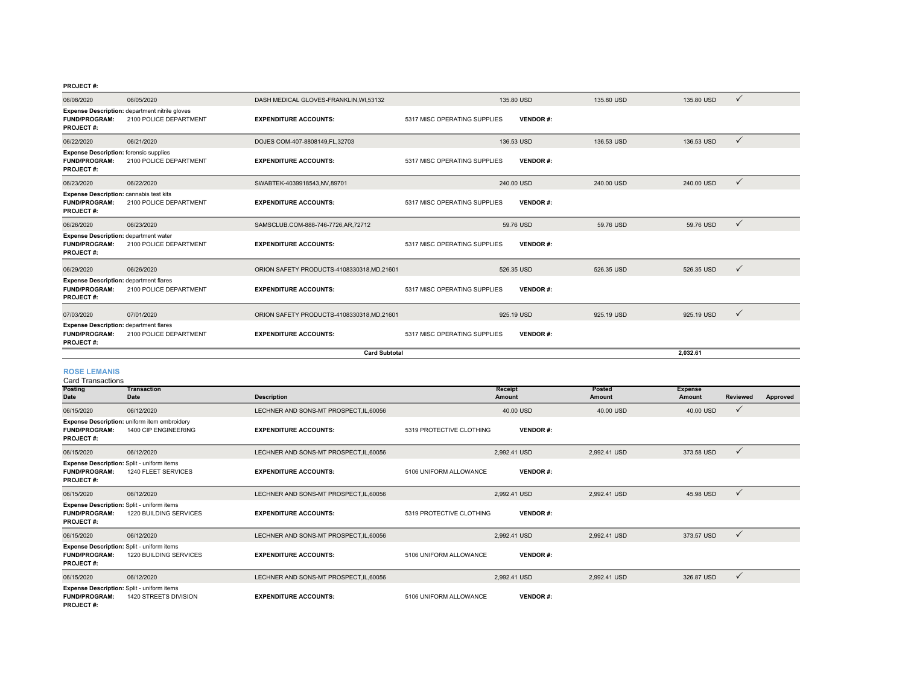#### **PROJECT #:**

| 06/08/2020                                                                                 | 06/05/2020                                                                      | DASH MEDICAL GLOVES-FRANKLIN.WI.53132     |                              | 135,80 USD |                 | 135,80 USD | 135,80 USD | $\checkmark$ |
|--------------------------------------------------------------------------------------------|---------------------------------------------------------------------------------|-------------------------------------------|------------------------------|------------|-----------------|------------|------------|--------------|
| <b>FUND/PROGRAM:</b><br><b>PROJECT#:</b>                                                   | <b>Expense Description:</b> department nitrile gloves<br>2100 POLICE DEPARTMENT | <b>EXPENDITURE ACCOUNTS:</b>              | 5317 MISC OPERATING SUPPLIES |            | <b>VENDOR#:</b> |            |            |              |
| 06/22/2020                                                                                 | 06/21/2020                                                                      | DOJES COM-407-8808149, FL, 32703          |                              | 136.53 USD |                 | 136.53 USD | 136.53 USD | $\checkmark$ |
| <b>Expense Description:</b> forensic supplies<br><b>FUND/PROGRAM:</b><br><b>PROJECT#:</b>  | 2100 POLICE DEPARTMENT                                                          | <b>EXPENDITURE ACCOUNTS:</b>              | 5317 MISC OPERATING SUPPLIES |            | <b>VENDOR#:</b> |            |            |              |
| 06/23/2020                                                                                 | 06/22/2020                                                                      | SWABTEK-4039918543,NV,89701               |                              | 240.00 USD |                 | 240.00 USD | 240.00 USD | $\checkmark$ |
| <b>Expense Description: cannabis test kits</b><br><b>FUND/PROGRAM:</b><br><b>PROJECT#:</b> | 2100 POLICE DEPARTMENT                                                          | <b>EXPENDITURE ACCOUNTS:</b>              | 5317 MISC OPERATING SUPPLIES |            | <b>VENDOR#:</b> |            |            |              |
| 06/26/2020                                                                                 | 06/23/2020                                                                      | SAMSCLUB.COM-888-746-7726,AR,72712        |                              | 59.76 USD  |                 | 59.76 USD  | 59.76 USD  | $\checkmark$ |
| <b>Expense Description: department water</b><br><b>FUND/PROGRAM:</b><br><b>PROJECT#:</b>   | 2100 POLICE DEPARTMENT                                                          | <b>EXPENDITURE ACCOUNTS:</b>              | 5317 MISC OPERATING SUPPLIES |            | <b>VENDOR#:</b> |            |            |              |
| 06/29/2020                                                                                 | 06/26/2020                                                                      | ORION SAFETY PRODUCTS-4108330318.MD.21601 |                              | 526.35 USD |                 | 526.35 USD | 526.35 USD | $\checkmark$ |
| <b>Expense Description: department flares</b><br><b>FUND/PROGRAM:</b><br><b>PROJECT#:</b>  | 2100 POLICE DEPARTMENT                                                          | <b>EXPENDITURE ACCOUNTS:</b>              | 5317 MISC OPERATING SUPPLIES |            | <b>VENDOR#:</b> |            |            |              |
| 07/03/2020                                                                                 | 07/01/2020                                                                      | ORION SAFETY PRODUCTS-4108330318,MD,21601 |                              | 925.19 USD |                 | 925.19 USD | 925.19 USD | $\checkmark$ |
| <b>Expense Description: department flares</b><br><b>FUND/PROGRAM:</b><br><b>PROJECT#:</b>  | 2100 POLICE DEPARTMENT                                                          | <b>EXPENDITURE ACCOUNTS:</b>              | 5317 MISC OPERATING SUPPLIES |            | <b>VENDOR#:</b> |            |            |              |
|                                                                                            | <b>Card Subtotal</b>                                                            |                                           |                              |            |                 |            | 2.032.61   |              |

### ROSE LEMANIS<br>Card Transactions

**PROJECT #:**

| Card Transactions                                                                      |                                                                      |                                         |                          |                 |              |                |              |          |
|----------------------------------------------------------------------------------------|----------------------------------------------------------------------|-----------------------------------------|--------------------------|-----------------|--------------|----------------|--------------|----------|
| <b>Posting</b>                                                                         | Transaction                                                          |                                         |                          | Receipt         | Posted       | <b>Expense</b> |              |          |
| Date                                                                                   | Date                                                                 | <b>Description</b>                      |                          | Amount          | Amount       | Amount         | Reviewed     | Approved |
| 06/15/2020                                                                             | 06/12/2020                                                           | LECHNER AND SONS-MT PROSPECT, IL, 60056 |                          | 40.00 USD       | 40.00 USD    | 40.00 USD      | $\checkmark$ |          |
| <b>FUND/PROGRAM:</b><br><b>PROJECT#:</b>                                               | Expense Description: uniform item embroidery<br>1400 CIP ENGINEERING | <b>EXPENDITURE ACCOUNTS:</b>            | 5319 PROTECTIVE CLOTHING | <b>VENDOR#:</b> |              |                |              |          |
| 06/15/2020                                                                             | 06/12/2020                                                           | LECHNER AND SONS-MT PROSPECT.IL.60056   |                          | 2.992.41 USD    | 2.992.41 USD | 373.58 USD     | $\checkmark$ |          |
| Expense Description: Split - uniform items<br><b>FUND/PROGRAM:</b><br><b>PROJECT#:</b> | 1240 FLEET SERVICES                                                  | <b>EXPENDITURE ACCOUNTS:</b>            | 5106 UNIFORM ALLOWANCE   | <b>VENDOR#:</b> |              |                |              |          |
| 06/15/2020                                                                             | 06/12/2020                                                           | LECHNER AND SONS-MT PROSPECT.IL.60056   |                          | 2.992.41 USD    | 2.992.41 USD | 45.98 USD      | $\checkmark$ |          |
| Expense Description: Split - uniform items<br><b>FUND/PROGRAM:</b><br><b>PROJECT#:</b> | 1220 BUILDING SERVICES                                               | <b>EXPENDITURE ACCOUNTS:</b>            | 5319 PROTECTIVE CLOTHING | <b>VENDOR#:</b> |              |                |              |          |
| 06/15/2020                                                                             | 06/12/2020                                                           | LECHNER AND SONS-MT PROSPECT.IL.60056   |                          | 2.992.41 USD    | 2,992.41 USD | 373.57 USD     | $\checkmark$ |          |
| Expense Description: Split - uniform items<br><b>FUND/PROGRAM:</b><br><b>PROJECT#:</b> | 1220 BUILDING SERVICES                                               | <b>EXPENDITURE ACCOUNTS:</b>            | 5106 UNIFORM ALLOWANCE   | <b>VENDOR#:</b> |              |                |              |          |
| 06/15/2020                                                                             | 06/12/2020                                                           | LECHNER AND SONS-MT PROSPECT.IL.60056   |                          | 2.992.41 USD    | 2.992.41 USD | 326.87 USD     | $\checkmark$ |          |
| Expense Description: Split - uniform items<br><b>FUND/PROGRAM:</b>                     | 1420 STREETS DIVISION                                                | <b>EXPENDITURE ACCOUNTS:</b>            | 5106 UNIFORM ALLOWANCE   | <b>VENDOR#:</b> |              |                |              |          |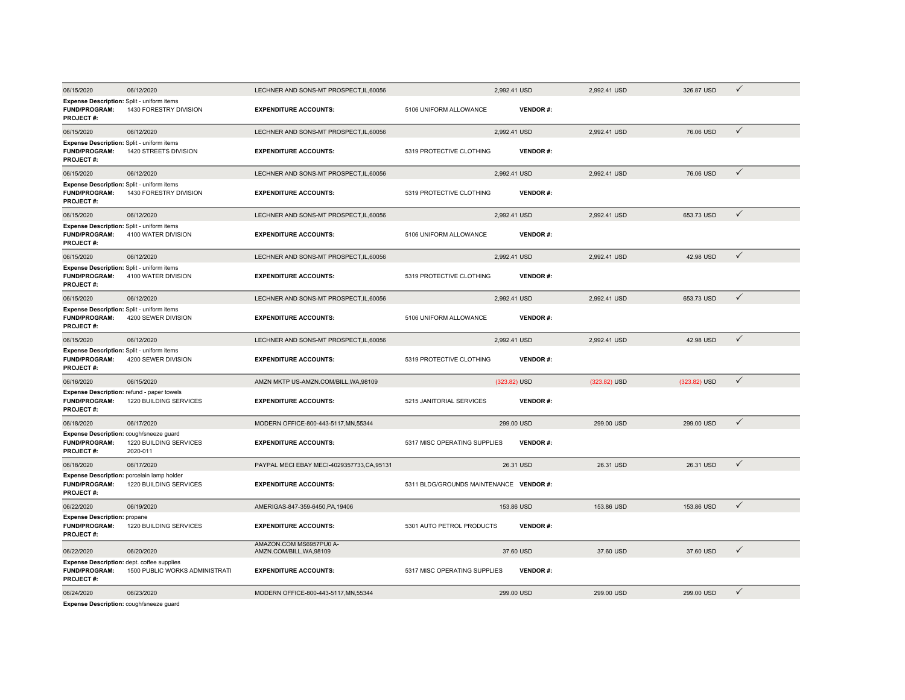| 06/15/2020                                                                             | 06/12/2020                         | LECHNER AND SONS-MT PROSPECT, IL, 60056             |                                         | 2,992.41 USD |                 | 2,992.41 USD | 326.87 USD   | $\checkmark$ |
|----------------------------------------------------------------------------------------|------------------------------------|-----------------------------------------------------|-----------------------------------------|--------------|-----------------|--------------|--------------|--------------|
| Expense Description: Split - uniform items<br><b>FUND/PROGRAM:</b><br><b>PROJECT#:</b> | 1430 FORESTRY DIVISION             | <b>EXPENDITURE ACCOUNTS:</b>                        | 5106 UNIFORM ALLOWANCE                  |              | <b>VENDOR#:</b> |              |              |              |
| 06/15/2020                                                                             | 06/12/2020                         | LECHNER AND SONS-MT PROSPECT, IL, 60056             |                                         | 2,992.41 USD |                 | 2,992.41 USD | 76.06 USD    | $\checkmark$ |
| Expense Description: Split - uniform items<br><b>FUND/PROGRAM:</b><br><b>PROJECT#:</b> | 1420 STREETS DIVISION              | <b>EXPENDITURE ACCOUNTS:</b>                        | 5319 PROTECTIVE CLOTHING                |              | <b>VENDOR#:</b> |              |              |              |
| 06/15/2020                                                                             | 06/12/2020                         | LECHNER AND SONS-MT PROSPECT, IL, 60056             |                                         | 2.992.41 USD |                 | 2.992.41 USD | 76.06 USD    | $\checkmark$ |
| Expense Description: Split - uniform items<br><b>FUND/PROGRAM:</b><br><b>PROJECT#:</b> | 1430 FORESTRY DIVISION             | <b>EXPENDITURE ACCOUNTS:</b>                        | 5319 PROTECTIVE CLOTHING                |              | <b>VENDOR#:</b> |              |              |              |
| 06/15/2020                                                                             | 06/12/2020                         | LECHNER AND SONS-MT PROSPECT, IL, 60056             |                                         | 2.992.41 USD |                 | 2.992.41 USD | 653.73 USD   | $\checkmark$ |
| Expense Description: Split - uniform items<br><b>FUND/PROGRAM:</b><br><b>PROJECT#:</b> | 4100 WATER DIVISION                | <b>EXPENDITURE ACCOUNTS:</b>                        | 5106 UNIFORM ALLOWANCE                  |              | <b>VENDOR#:</b> |              |              |              |
| 06/15/2020                                                                             | 06/12/2020                         | LECHNER AND SONS-MT PROSPECT, IL, 60056             |                                         | 2,992.41 USD |                 | 2,992.41 USD | 42.98 USD    | $\checkmark$ |
| Expense Description: Split - uniform items<br><b>FUND/PROGRAM:</b><br><b>PROJECT#:</b> | 4100 WATER DIVISION                | <b>EXPENDITURE ACCOUNTS:</b>                        | 5319 PROTECTIVE CLOTHING                |              | <b>VENDOR#:</b> |              |              |              |
| 06/15/2020                                                                             | 06/12/2020                         | LECHNER AND SONS-MT PROSPECT.IL.60056               |                                         | 2.992.41 USD |                 | 2.992.41 USD | 653.73 USD   | $\checkmark$ |
| Expense Description: Split - uniform items<br><b>FUND/PROGRAM:</b><br><b>PROJECT#:</b> | 4200 SEWER DIVISION                | <b>EXPENDITURE ACCOUNTS:</b>                        | 5106 UNIFORM ALLOWANCE                  |              | <b>VENDOR#:</b> |              |              |              |
| 06/15/2020                                                                             | 06/12/2020                         | LECHNER AND SONS-MT PROSPECT.IL.60056               |                                         | 2.992.41 USD |                 | 2.992.41 USD | 42.98 USD    | $\checkmark$ |
| Expense Description: Split - uniform items<br><b>FUND/PROGRAM:</b><br>PROJECT#:        | 4200 SEWER DIVISION                | <b>EXPENDITURE ACCOUNTS:</b>                        | 5319 PROTECTIVE CLOTHING                |              | <b>VENDOR#:</b> |              |              |              |
| 06/16/2020                                                                             | 06/15/2020                         | AMZN MKTP US-AMZN.COM/BILL.WA.98109                 |                                         | (323.82) USD |                 | (323.82) USD | (323.82) USD | $\checkmark$ |
| Expense Description: refund - paper towels<br><b>FUND/PROGRAM:</b><br><b>PROJECT#:</b> | 1220 BUILDING SERVICES             | <b>EXPENDITURE ACCOUNTS:</b>                        | 5215 JANITORIAL SERVICES                |              | <b>VENDOR#:</b> |              |              |              |
| 06/18/2020                                                                             | 06/17/2020                         | MODERN OFFICE-800-443-5117, MN, 55344               |                                         | 299.00 USD   |                 | 299.00 USD   | 299.00 USD   | $\checkmark$ |
| Expense Description: cough/sneeze guard<br><b>FUND/PROGRAM:</b><br><b>PROJECT#:</b>    | 1220 BUILDING SERVICES<br>2020-011 | <b>EXPENDITURE ACCOUNTS:</b>                        | 5317 MISC OPERATING SUPPLIES            |              | <b>VENDOR#:</b> |              |              |              |
| 06/18/2020                                                                             | 06/17/2020                         | PAYPAL MECI EBAY MECI-4029357733,CA,95131           |                                         | 26.31 USD    |                 | 26.31 USD    | 26.31 USD    | $\checkmark$ |
| Expense Description: porcelain lamp holder<br><b>FUND/PROGRAM:</b><br><b>PROJECT#:</b> | 1220 BUILDING SERVICES             | <b>EXPENDITURE ACCOUNTS:</b>                        | 5311 BLDG/GROUNDS MAINTENANCE VENDOR #: |              |                 |              |              |              |
| 06/22/2020                                                                             | 06/19/2020                         | AMERIGAS-847-359-6450, PA, 19406                    |                                         | 153.86 USD   |                 | 153.86 USD   | 153.86 USD   | $\checkmark$ |
| <b>Expense Description: propane</b><br><b>FUND/PROGRAM:</b><br><b>PROJECT#:</b>        | 1220 BUILDING SERVICES             | <b>EXPENDITURE ACCOUNTS:</b>                        | 5301 AUTO PETROL PRODUCTS               |              | <b>VENDOR#:</b> |              |              |              |
| 06/22/2020                                                                             | 06/20/2020                         | AMAZON.COM MS6957PU0 A-<br>AMZN.COM/BILL, WA, 98109 |                                         | 37.60 USD    |                 | 37.60 USD    | 37.60 USD    | $\checkmark$ |
| Expense Description: dept. coffee supplies<br><b>FUND/PROGRAM:</b><br><b>PROJECT#:</b> | 1500 PUBLIC WORKS ADMINISTRATI     | <b>EXPENDITURE ACCOUNTS:</b>                        | 5317 MISC OPERATING SUPPLIES            |              | <b>VENDOR#:</b> |              |              |              |
| 06/24/2020                                                                             | 06/23/2020                         | MODERN OFFICE-800-443-5117.MN.55344                 |                                         | 299.00 USD   |                 | 299.00 USD   | 299.00 USD   | $\checkmark$ |

**Expense Description:** cough/sneeze guard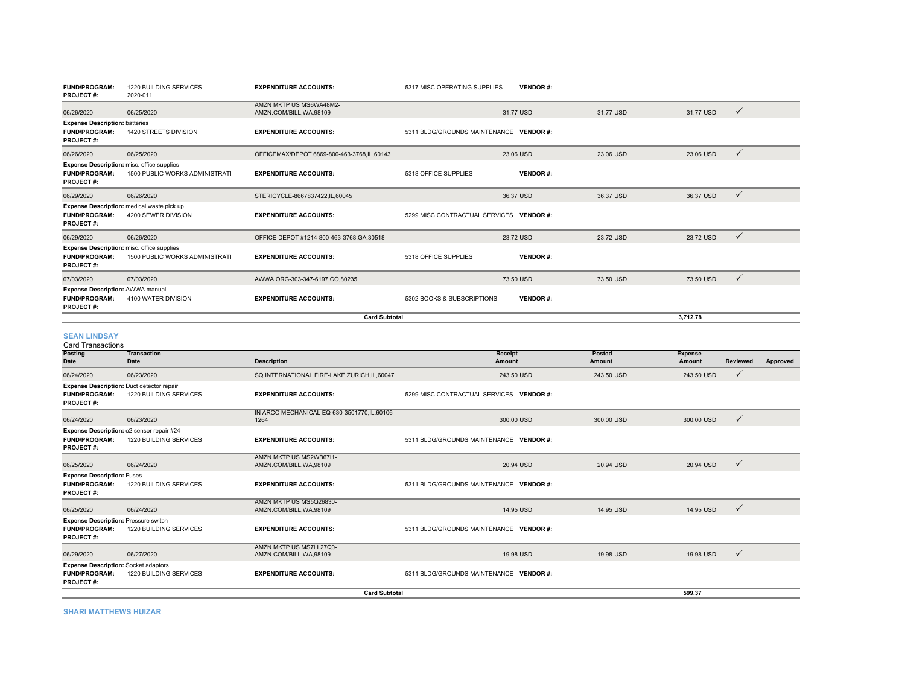| <b>FUND/PROGRAM:</b><br><b>PROJECT#:</b>                                                      | 1220 BUILDING SERVICES<br>2020-011                                | <b>EXPENDITURE ACCOUNTS:</b>                      | 5317 MISC OPERATING SUPPLIES             | <b>VENDOR#:</b> |           |           |              |
|-----------------------------------------------------------------------------------------------|-------------------------------------------------------------------|---------------------------------------------------|------------------------------------------|-----------------|-----------|-----------|--------------|
| 06/26/2020                                                                                    | 06/25/2020                                                        | AMZN MKTP US MS6WA48M2-<br>AMZN.COM/BILL.WA.98109 |                                          | 31.77 USD       | 31.77 USD | 31.77 USD | $\checkmark$ |
| <b>Expense Description: batteries</b><br><b>FUND/PROGRAM:</b><br><b>PROJECT#:</b>             | 1420 STREETS DIVISION                                             | <b>EXPENDITURE ACCOUNTS:</b>                      | 5311 BLDG/GROUNDS MAINTENANCE VENDOR #:  |                 |           |           |              |
| 06/26/2020                                                                                    | 06/25/2020                                                        | OFFICEMAX/DEPOT 6869-800-463-3768.IL.60143        |                                          | 23.06 USD       | 23.06 USD | 23.06 USD | $\checkmark$ |
| <b>Expense Description:</b> misc. office supplies<br><b>FUND/PROGRAM:</b><br><b>PROJECT#:</b> | <b>1500 PUBLIC WORKS ADMINISTRATI</b>                             | <b>EXPENDITURE ACCOUNTS:</b>                      | 5318 OFFICE SUPPLIES                     | <b>VENDOR#:</b> |           |           |              |
| 06/29/2020                                                                                    | 06/26/2020                                                        | STERICYCLE-8667837422,IL,60045                    |                                          | 36.37 USD       | 36.37 USD | 36.37 USD | $\checkmark$ |
| <b>FUND/PROGRAM:</b><br><b>PROJECT#:</b>                                                      | Expense Description: medical waste pick up<br>4200 SEWER DIVISION | <b>EXPENDITURE ACCOUNTS:</b>                      | 5299 MISC CONTRACTUAL SERVICES VENDOR #: |                 |           |           |              |
| 06/29/2020                                                                                    | 06/26/2020                                                        | OFFICE DEPOT #1214-800-463-3768.GA.30518          |                                          | 23.72 USD       | 23.72 USD | 23.72 USD | $\checkmark$ |
| <b>Expense Description:</b> misc. office supplies<br><b>FUND/PROGRAM:</b><br><b>PROJECT#:</b> | <b>1500 PUBLIC WORKS ADMINISTRATI</b>                             | <b>EXPENDITURE ACCOUNTS:</b>                      | 5318 OFFICE SUPPLIES                     | <b>VENDOR#:</b> |           |           |              |
| 07/03/2020                                                                                    | 07/03/2020                                                        | AWWA.ORG-303-347-6197.CO.80235                    |                                          | 73.50 USD       | 73.50 USD | 73.50 USD | $\checkmark$ |
| <b>Expense Description: AWWA manual</b><br><b>FUND/PROGRAM:</b><br><b>PROJECT#:</b>           | 4100 WATER DIVISION                                               | <b>EXPENDITURE ACCOUNTS:</b>                      | 5302 BOOKS & SUBSCRIPTIONS               | <b>VENDOR#:</b> |           |           |              |
|                                                                                               |                                                                   |                                                   | 3.712.78                                 |                 |           |           |              |

#### **SEAN LINDSAY**

| <b>Card Transactions</b>                                                                |                                                                     |                                                     |                                          |                  |                                 |                 |          |
|-----------------------------------------------------------------------------------------|---------------------------------------------------------------------|-----------------------------------------------------|------------------------------------------|------------------|---------------------------------|-----------------|----------|
| <b>Posting</b><br>Date                                                                  | Transaction<br>Date                                                 | <b>Description</b>                                  | <b>Receipt</b><br>Amount                 | Posted<br>Amount | <b>Expense</b><br><b>Amount</b> | <b>Reviewed</b> | Approved |
| 06/24/2020                                                                              | 06/23/2020                                                          | SQ INTERNATIONAL FIRE-LAKE ZURICH.IL.60047          | 243.50 USD                               | 243.50 USD       | 243.50 USD                      | $\checkmark$    |          |
| <b>FUND/PROGRAM:</b><br><b>PROJECT#:</b>                                                | Expense Description: Duct detector repair<br>1220 BUILDING SERVICES | <b>EXPENDITURE ACCOUNTS:</b>                        | 5299 MISC CONTRACTUAL SERVICES VENDOR #: |                  |                                 |                 |          |
| 06/24/2020                                                                              | 06/23/2020                                                          | IN ARCO MECHANICAL EQ-630-3501770,IL,60106-<br>1264 | 300.00 USD                               | 300,00 USD       | 300.00 USD                      | $\checkmark$    |          |
| <b>FUND/PROGRAM:</b><br><b>PROJECT#:</b>                                                | Expense Description: o2 sensor repair #24<br>1220 BUILDING SERVICES | <b>EXPENDITURE ACCOUNTS:</b>                        | 5311 BLDG/GROUNDS MAINTENANCE VENDOR #:  |                  |                                 |                 |          |
| 06/25/2020                                                                              | 06/24/2020                                                          | AMZN MKTP US MS2WB6711-<br>AMZN.COM/BILL, WA, 98109 | 20.94 USD                                | 20.94 USD        | 20.94 USD                       | $\checkmark$    |          |
| <b>Expense Description: Fuses</b><br><b>FUND/PROGRAM:</b><br><b>PROJECT#:</b>           | 1220 BUILDING SERVICES                                              | <b>EXPENDITURE ACCOUNTS:</b>                        | 5311 BLDG/GROUNDS MAINTENANCE VENDOR #:  |                  |                                 |                 |          |
| 06/25/2020                                                                              | 06/24/2020                                                          | AMZN MKTP US MS5Q26830-<br>AMZN.COM/BILL, WA, 98109 | 14.95 USD                                | 14.95 USD        | 14.95 USD                       | $\checkmark$    |          |
| <b>Expense Description: Pressure switch</b><br><b>FUND/PROGRAM:</b><br><b>PROJECT#:</b> | 1220 BUILDING SERVICES                                              | <b>EXPENDITURE ACCOUNTS:</b>                        | 5311 BLDG/GROUNDS MAINTENANCE VENDOR #:  |                  |                                 |                 |          |
| 06/29/2020                                                                              | 06/27/2020                                                          | AMZN MKTP US MS7LL27Q0-<br>AMZN.COM/BILL, WA, 98109 | 19.98 USD                                | 19.98 USD        | 19.98 USD                       | $\checkmark$    |          |
| <b>Expense Description: Socket adaptors</b><br><b>FUND/PROGRAM:</b><br><b>PROJECT#:</b> | 1220 BUILDING SERVICES                                              | <b>EXPENDITURE ACCOUNTS:</b>                        | 5311 BLDG/GROUNDS MAINTENANCE VENDOR #:  |                  |                                 |                 |          |
|                                                                                         |                                                                     |                                                     | 599.37                                   |                  |                                 |                 |          |

**SHARI MATTHEWS HUIZAR**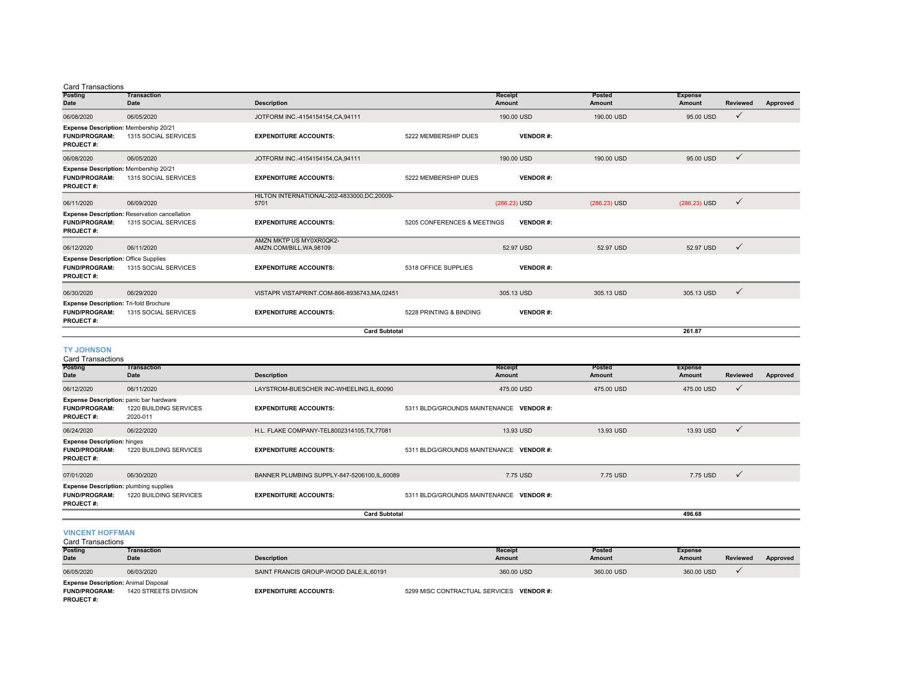#### Card Transactions

| Posting<br>Date                                                                           | <b>Transaction</b><br><b>Date</b>                                            | <b>Description</b>                                  |                             | Receipt<br><b>Amount</b> | Posted<br>Amount | <b>Expense</b><br>Amount | <b>Reviewed</b> | Approved |
|-------------------------------------------------------------------------------------------|------------------------------------------------------------------------------|-----------------------------------------------------|-----------------------------|--------------------------|------------------|--------------------------|-----------------|----------|
|                                                                                           |                                                                              |                                                     |                             | 190.00 USD               | 190.00 USD       | 95.00 USD                | $\checkmark$    |          |
| 06/08/2020                                                                                | 06/05/2020                                                                   | JOTFORM INC.-4154154154.CA.94111                    |                             |                          |                  |                          |                 |          |
| Expense Description: Membership 20/21<br><b>FUND/PROGRAM:</b><br><b>PROJECT#:</b>         | 1315 SOCIAL SERVICES                                                         | <b>EXPENDITURE ACCOUNTS:</b>                        | 5222 MEMBERSHIP DUES        | <b>VENDOR#:</b>          |                  |                          |                 |          |
| 06/08/2020                                                                                | 06/05/2020                                                                   | JOTFORM INC.-4154154154.CA.94111                    |                             | 190.00 USD               | 190,00 USD       | 95.00 USD                | $\checkmark$    |          |
| Expense Description: Membership 20/21<br><b>FUND/PROGRAM:</b><br><b>PROJECT#:</b>         | 1315 SOCIAL SERVICES                                                         | <b>EXPENDITURE ACCOUNTS:</b>                        | 5222 MEMBERSHIP DUES        | <b>VENDOR#:</b>          |                  |                          |                 |          |
| 06/11/2020                                                                                | 06/09/2020                                                                   | HILTON INTERNATIONAL-202-4833000,DC,20009-<br>5701  |                             | (286.23) USD             | (286.23) USD     | (286.23) USD             | $\checkmark$    |          |
| <b>FUND/PROGRAM:</b><br>PROJECT#:                                                         | <b>Expense Description: Reservation cancellation</b><br>1315 SOCIAL SERVICES | <b>EXPENDITURE ACCOUNTS:</b>                        | 5205 CONFERENCES & MEETINGS | <b>VENDOR#:</b>          |                  |                          |                 |          |
| 06/12/2020                                                                                | 06/11/2020                                                                   | AMZN MKTP US MY0XR0QK2-<br>AMZN.COM/BILL, WA, 98109 |                             | 52.97 USD                | 52.97 USD        | 52.97 USD                | $\checkmark$    |          |
| <b>Expense Description: Office Supplies</b><br><b>FUND/PROGRAM:</b><br>PROJECT#:          | 1315 SOCIAL SERVICES                                                         | <b>EXPENDITURE ACCOUNTS:</b>                        | 5318 OFFICE SUPPLIES        | <b>VENDOR#:</b>          |                  |                          |                 |          |
| 06/30/2020                                                                                | 06/29/2020                                                                   | VISTAPR VISTAPRINT.COM-866-8936743.MA.02451         |                             | 305.13 USD               | 305.13 USD       | 305.13 USD               | $\checkmark$    |          |
| <b>Expense Description: Tri-fold Brochure</b><br><b>FUND/PROGRAM:</b><br><b>PROJECT#:</b> | 1315 SOCIAL SERVICES                                                         | <b>EXPENDITURE ACCOUNTS:</b>                        | 5228 PRINTING & BINDING     | <b>VENDOR#:</b>          |                  |                          |                 |          |
| <b>Card Subtotal</b><br>261.87                                                            |                                                                              |                                                     |                             |                          |                  |                          |                 |          |

#### **TY JOHNSON**

| <b>Card Transactions</b>                                                       |                                                                                      |                                               |                                                  |                  |                          |              |          |
|--------------------------------------------------------------------------------|--------------------------------------------------------------------------------------|-----------------------------------------------|--------------------------------------------------|------------------|--------------------------|--------------|----------|
| <b>Posting</b><br>Date                                                         | <b>Transaction</b><br>Date                                                           | <b>Description</b>                            | Receipt<br>Amount                                | Posted<br>Amount | <b>Expense</b><br>Amount | Reviewed     | Approved |
| 06/12/2020                                                                     | 06/11/2020                                                                           | LAYSTROM-BUESCHER INC-WHEELING, IL, 60090     | 475.00 USD                                       | 475.00 USD       | 475.00 USD               | $\checkmark$ |          |
| <b>FUND/PROGRAM:</b><br><b>PROJECT#:</b>                                       | <b>Expense Description:</b> panic bar hardware<br>1220 BUILDING SERVICES<br>2020-011 | <b>EXPENDITURE ACCOUNTS:</b>                  | 5311 BLDG/GROUNDS MAINTENANCE<br><b>VENDOR#:</b> |                  |                          |              |          |
| 06/24/2020                                                                     | 06/22/2020                                                                           | H.L. FLAKE COMPANY-TEL8002314105, TX, 77081   | 13.93 USD                                        | 13.93 USD        | 13.93 USD                | $\checkmark$ |          |
| <b>Expense Description: hinges</b><br><b>FUND/PROGRAM:</b><br><b>PROJECT#:</b> | 1220 BUILDING SERVICES                                                               | <b>EXPENDITURE ACCOUNTS:</b>                  | 5311 BLDG/GROUNDS MAINTENANCE<br><b>VENDOR#:</b> |                  |                          |              |          |
| 07/01/2020                                                                     | 06/30/2020                                                                           | BANNER PLUMBING SUPPLY-847-5206100, IL, 60089 | 7.75 USD                                         | 7.75 USD         | 7.75 USD                 | $\checkmark$ |          |
| <b>FUND/PROGRAM:</b><br><b>PROJECT#:</b>                                       | <b>Expense Description: plumbing supplies</b><br>1220 BUILDING SERVICES              | <b>EXPENDITURE ACCOUNTS:</b>                  | 5311 BLDG/GROUNDS MAINTENANCE<br><b>VENDOR#:</b> |                  |                          |              |          |
|                                                                                | <b>Card Subtotal</b><br>496.68                                                       |                                               |                                                  |                  |                          |              |          |

### **VINCENT HOFFMAN** Card Transactions

| <b>Posting</b>                              | <b>Transaction</b>    |                                        | Receipt                                  | Posted     | <b>Expense</b> |          |          |
|---------------------------------------------|-----------------------|----------------------------------------|------------------------------------------|------------|----------------|----------|----------|
| <b>Date</b>                                 | Date                  | <b>Description</b>                     | Amount                                   | Amount     | <b>Amount</b>  | Reviewed | Approved |
| 06/05/2020                                  | 06/03/2020            | SAINT FRANCIS GROUP-WOOD DALE.IL.60191 | 360,00 USD                               | 360,00 USD | 360,00 USD     |          |          |
| <b>Expense Description: Animal Disposal</b> |                       |                                        |                                          |            |                |          |          |
| <b>FUND/PROGRAM:</b><br><b>PROJECT#:</b>    | 1420 STREETS DIVISION | <b>EXPENDITURE ACCOUNTS:</b>           | 5299 MISC CONTRACTUAL SERVICES VENDOR #: |            |                |          |          |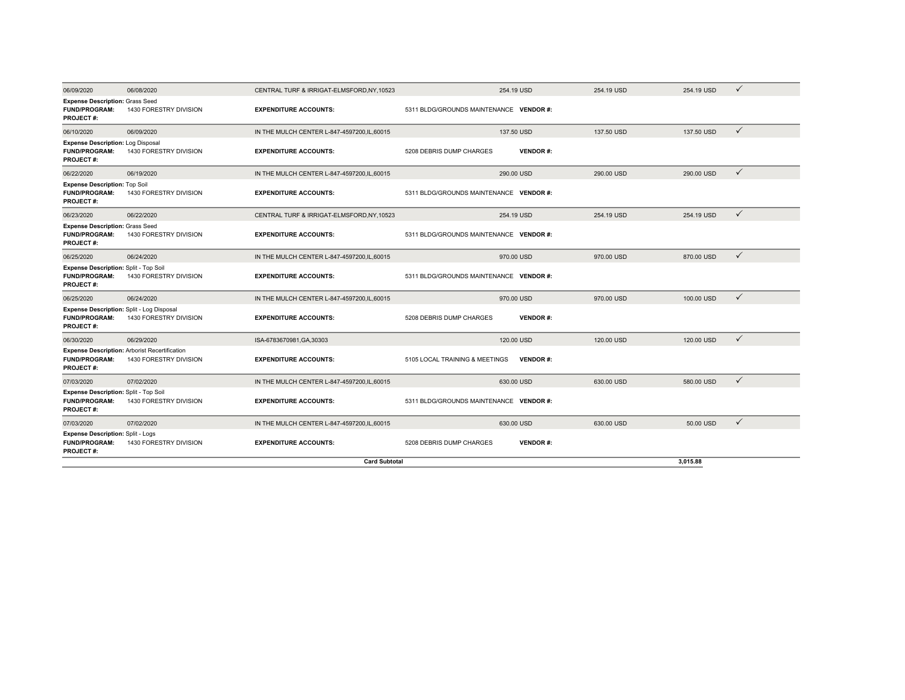| 06/09/2020                                                                                       | 06/08/2020             | CENTRAL TURF & IRRIGAT-ELMSFORD, NY, 10523           |                                         | 254.19 USD      | 254.19 USD | 254.19 USD | ✓            |
|--------------------------------------------------------------------------------------------------|------------------------|------------------------------------------------------|-----------------------------------------|-----------------|------------|------------|--------------|
| <b>Expense Description: Grass Seed</b><br><b>FUND/PROGRAM:</b><br>PROJECT#:                      | 1430 FORESTRY DIVISION | <b>EXPENDITURE ACCOUNTS:</b>                         | 5311 BLDG/GROUNDS MAINTENANCE VENDOR #: |                 |            |            |              |
| 06/10/2020                                                                                       | 06/09/2020             | IN THE MULCH CENTER L-847-4597200.IL.60015           |                                         | 137,50 USD      | 137,50 USD | 137,50 USD | $\checkmark$ |
| <b>Expense Description: Log Disposal</b><br><b>FUND/PROGRAM:</b><br><b>PROJECT#:</b>             | 1430 FORESTRY DIVISION | <b>EXPENDITURE ACCOUNTS:</b>                         | 5208 DEBRIS DUMP CHARGES                | <b>VENDOR#:</b> |            |            |              |
| 06/22/2020                                                                                       | 06/19/2020             | IN THE MULCH CENTER L-847-4597200.IL.60015           |                                         | 290.00 USD      | 290.00 USD | 290.00 USD | $\checkmark$ |
| <b>Expense Description: Top Soil</b><br><b>FUND/PROGRAM:</b><br><b>PROJECT#:</b>                 | 1430 FORESTRY DIVISION | <b>EXPENDITURE ACCOUNTS:</b>                         | 5311 BLDG/GROUNDS MAINTENANCE VENDOR #: |                 |            |            |              |
| 06/23/2020                                                                                       | 06/22/2020             | CENTRAL TURF & IRRIGAT-ELMSFORD, NY, 10523           |                                         | 254.19 USD      | 254.19 USD | 254.19 USD | $\checkmark$ |
| <b>Expense Description: Grass Seed</b><br><b>FUND/PROGRAM:</b><br><b>PROJECT#:</b>               | 1430 FORESTRY DIVISION | <b>EXPENDITURE ACCOUNTS:</b>                         | 5311 BLDG/GROUNDS MAINTENANCE VENDOR #: |                 |            |            |              |
| 06/25/2020                                                                                       | 06/24/2020             | IN THE MULCH CENTER L-847-4597200.IL.60015           |                                         | 970.00 USD      | 970.00 USD | 870.00 USD | $\checkmark$ |
| Expense Description: Split - Top Soil<br><b>FUND/PROGRAM:</b><br><b>PROJECT#:</b>                | 1430 FORESTRY DIVISION | <b>EXPENDITURE ACCOUNTS:</b>                         | 5311 BLDG/GROUNDS MAINTENANCE VENDOR #: |                 |            |            |              |
| 06/25/2020                                                                                       | 06/24/2020             | IN THE MULCH CENTER L-847-4597200, IL, 60015         |                                         | 970.00 USD      | 970.00 USD | 100.00 USD | $\checkmark$ |
| Expense Description: Split - Log Disposal<br><b>FUND/PROGRAM:</b><br>PROJECT#:                   | 1430 FORESTRY DIVISION | <b>EXPENDITURE ACCOUNTS:</b>                         | 5208 DEBRIS DUMP CHARGES                | <b>VENDOR#:</b> |            |            |              |
| 06/30/2020                                                                                       | 06/29/2020             | ISA-6783670981, GA, 30303                            |                                         | 120.00 USD      | 120.00 USD | 120.00 USD | $\checkmark$ |
| <b>Expense Description: Arborist Recertification</b><br><b>FUND/PROGRAM:</b><br><b>PROJECT#:</b> | 1430 FORESTRY DIVISION | <b>EXPENDITURE ACCOUNTS:</b>                         | 5105 LOCAL TRAINING & MEETINGS          | <b>VENDOR#:</b> |            |            |              |
| 07/03/2020                                                                                       | 07/02/2020             | IN THE MULCH CENTER L-847-4597200, IL, 60015         |                                         | 630.00 USD      | 630.00 USD | 580.00 USD | $\checkmark$ |
| Expense Description: Split - Top Soil<br><b>FUND/PROGRAM:</b><br><b>PROJECT#:</b>                | 1430 FORESTRY DIVISION | <b>EXPENDITURE ACCOUNTS:</b>                         | 5311 BLDG/GROUNDS MAINTENANCE VENDOR #: |                 |            |            |              |
| 07/03/2020                                                                                       | 07/02/2020             | IN THE MULCH CENTER L-847-4597200.IL.60015           |                                         | 630.00 USD      | 630.00 USD | 50.00 USD  | $\checkmark$ |
| <b>Expense Description: Split - Logs</b><br><b>FUND/PROGRAM:</b><br><b>PROJECT#:</b>             | 1430 FORESTRY DIVISION | <b>EXPENDITURE ACCOUNTS:</b><br><b>Card Subtotal</b> | 5208 DEBRIS DUMP CHARGES                | <b>VENDOR#:</b> |            | 3,015.88   |              |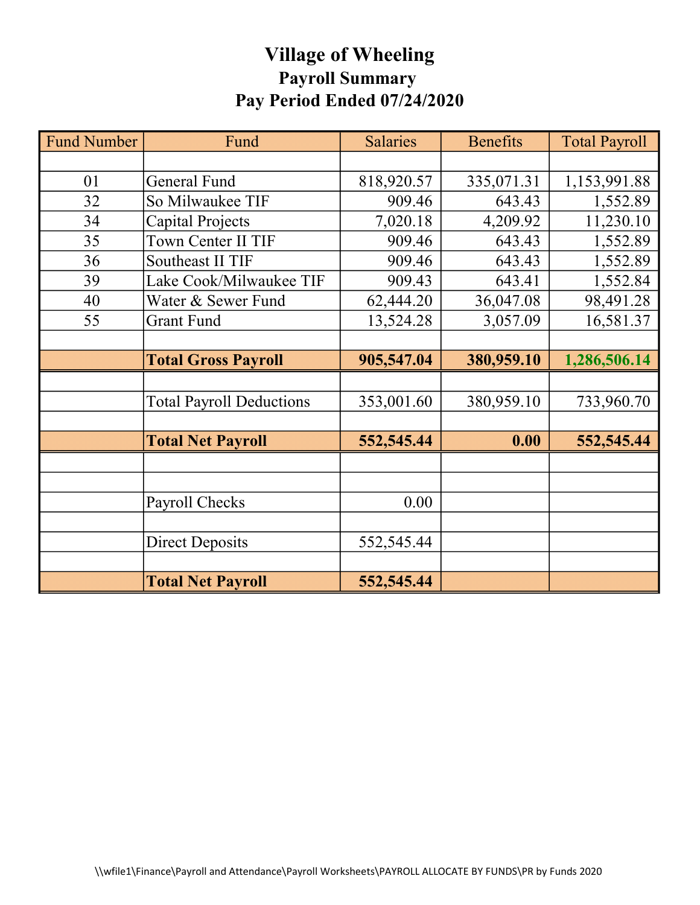# Village of Wheeling Payroll Summary Pay Period Ended 07/24/2020

| <b>Fund Number</b> | Fund                            | <b>Salaries</b> | <b>Benefits</b> | <b>Total Payroll</b> |
|--------------------|---------------------------------|-----------------|-----------------|----------------------|
|                    |                                 |                 |                 |                      |
| 01                 | <b>General Fund</b>             | 818,920.57      | 335,071.31      | 1,153,991.88         |
| 32                 | So Milwaukee TIF                | 909.46          | 643.43          | 1,552.89             |
| 34                 | Capital Projects                | 7,020.18        | 4,209.92        | 11,230.10            |
| 35                 | Town Center II TIF              | 909.46          | 643.43          | 1,552.89             |
| 36                 | Southeast II TIF                | 909.46          | 643.43          | 1,552.89             |
| 39                 | Lake Cook/Milwaukee TIF         | 909.43          | 643.41          | 1,552.84             |
| 40                 | Water & Sewer Fund              | 62,444.20       | 36,047.08       | 98,491.28            |
| 55                 | <b>Grant Fund</b>               | 13,524.28       | 3,057.09        | 16,581.37            |
|                    |                                 |                 |                 |                      |
|                    | <b>Total Gross Payroll</b>      | 905,547.04      | 380,959.10      | 1,286,506.14         |
|                    |                                 |                 |                 |                      |
|                    | <b>Total Payroll Deductions</b> | 353,001.60      | 380,959.10      | 733,960.70           |
|                    |                                 |                 |                 |                      |
|                    | <b>Total Net Payroll</b>        | 552,545.44      | 0.00            | 552,545.44           |
|                    |                                 |                 |                 |                      |
|                    |                                 |                 |                 |                      |
|                    | Payroll Checks                  | 0.00            |                 |                      |
|                    |                                 |                 |                 |                      |
|                    | <b>Direct Deposits</b>          | 552,545.44      |                 |                      |
|                    |                                 |                 |                 |                      |
|                    | <b>Total Net Payroll</b>        | 552,545.44      |                 |                      |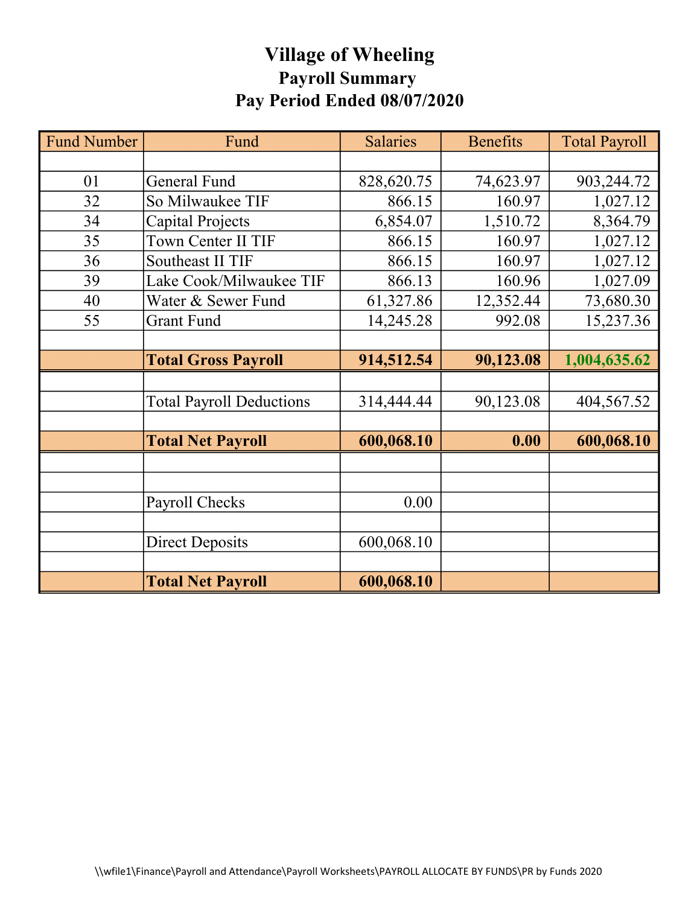# Village of Wheeling Payroll Summary Pay Period Ended 08/07/2020

| <b>Fund Number</b> | Fund                            | <b>Salaries</b> | <b>Benefits</b> | <b>Total Payroll</b> |
|--------------------|---------------------------------|-----------------|-----------------|----------------------|
|                    |                                 |                 |                 |                      |
| 01                 | <b>General Fund</b>             | 828,620.75      | 74,623.97       | 903,244.72           |
| 32                 | So Milwaukee TIF                | 866.15          | 160.97          | 1,027.12             |
| 34                 | <b>Capital Projects</b>         | 6,854.07        | 1,510.72        | 8,364.79             |
| 35                 | Town Center II TIF              | 866.15          | 160.97          | 1,027.12             |
| 36                 | Southeast II TIF                | 866.15          | 160.97          | 1,027.12             |
| 39                 | Lake Cook/Milwaukee TIF         | 866.13          | 160.96          | 1,027.09             |
| 40                 | Water & Sewer Fund              | 61,327.86       | 12,352.44       | 73,680.30            |
| 55                 | <b>Grant Fund</b>               | 14,245.28       | 992.08          | 15,237.36            |
|                    |                                 |                 |                 |                      |
|                    | <b>Total Gross Payroll</b>      | 914,512.54      | 90,123.08       | 1,004,635.62         |
|                    |                                 |                 |                 |                      |
|                    | <b>Total Payroll Deductions</b> | 314,444.44      | 90,123.08       | 404,567.52           |
|                    |                                 |                 |                 |                      |
|                    | <b>Total Net Payroll</b>        | 600,068.10      | 0.00            | 600,068.10           |
|                    |                                 |                 |                 |                      |
|                    |                                 |                 |                 |                      |
|                    | Payroll Checks                  | 0.00            |                 |                      |
|                    |                                 |                 |                 |                      |
|                    | <b>Direct Deposits</b>          | 600,068.10      |                 |                      |
|                    |                                 |                 |                 |                      |
|                    | <b>Total Net Payroll</b>        | 600,068.10      |                 |                      |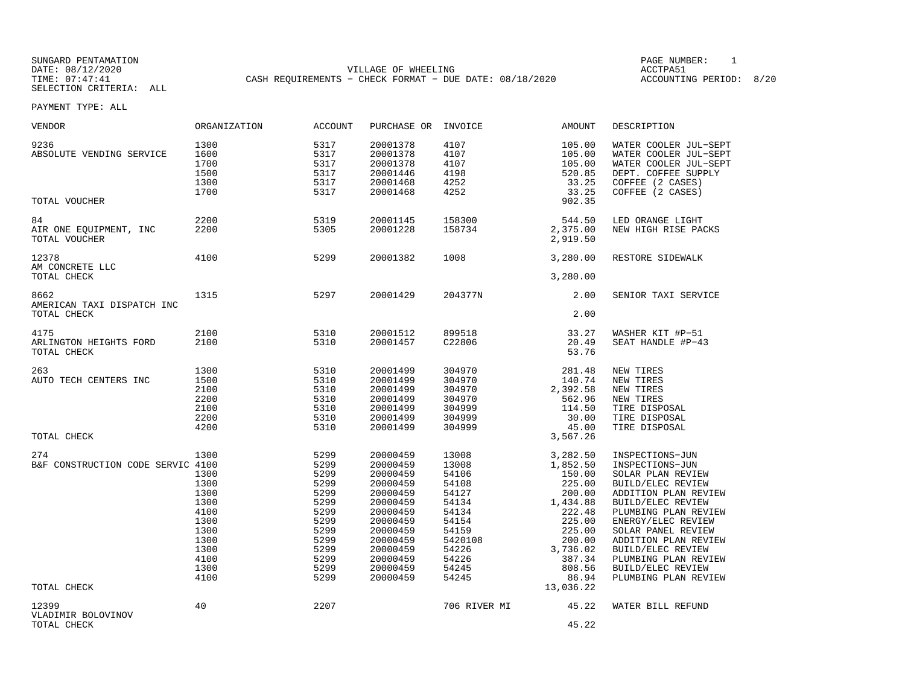SUNGARD PENTAMATION PAGE NUMBER: 1DATE: 08/12/2020 VILLAGE OF WHEELING ACCTPA51CASH REQUIREMENTS - CHECK FORMAT - DUE DATE: 08/18/2020

ACCOUNTING PERIOD: 8/20

| VENDOR                                                  | ORGANIZATION                                                                                         | ACCOUNT                                                                                                      | PURCHASE OR                                                                                                                                                          | INVOICE                                                                                                                      | AMOUNT                                                                                                                                                       | DESCRIPTION                                                                                                                                                                                                                                                                                                     |
|---------------------------------------------------------|------------------------------------------------------------------------------------------------------|--------------------------------------------------------------------------------------------------------------|----------------------------------------------------------------------------------------------------------------------------------------------------------------------|------------------------------------------------------------------------------------------------------------------------------|--------------------------------------------------------------------------------------------------------------------------------------------------------------|-----------------------------------------------------------------------------------------------------------------------------------------------------------------------------------------------------------------------------------------------------------------------------------------------------------------|
| 9236<br>ABSOLUTE VENDING SERVICE<br>TOTAL VOUCHER       | 1300<br>1600<br>1700<br>1500<br>1300<br>1700                                                         | 5317<br>5317<br>5317<br>5317<br>5317<br>5317                                                                 | 20001378<br>20001378<br>20001378<br>20001446<br>20001468<br>20001468                                                                                                 | 4107<br>4107<br>4107<br>4198<br>4252<br>4252                                                                                 | 105.00<br>105.00<br>105.00<br>520.85<br>33.25<br>33.25<br>902.35                                                                                             | WATER COOLER JUL-SEPT<br>WATER COOLER JUL-SEPT<br>WATER COOLER JUL-SEPT<br>DEPT. COFFEE SUPPLY<br>COFFEE (2 CASES)<br>COFFEE (2 CASES)                                                                                                                                                                          |
|                                                         |                                                                                                      |                                                                                                              |                                                                                                                                                                      |                                                                                                                              |                                                                                                                                                              |                                                                                                                                                                                                                                                                                                                 |
| 84<br>AIR ONE EQUIPMENT, INC<br>TOTAL VOUCHER           | 2200<br>2200                                                                                         | 5319<br>5305                                                                                                 | 20001145<br>20001228                                                                                                                                                 | 158300<br>158734                                                                                                             | 544.50<br>2,375.00<br>2,919.50                                                                                                                               | LED ORANGE LIGHT<br>NEW HIGH RISE PACKS                                                                                                                                                                                                                                                                         |
| 12378<br>AM CONCRETE LLC                                | 4100                                                                                                 | 5299                                                                                                         | 20001382                                                                                                                                                             | 1008                                                                                                                         | 3,280.00                                                                                                                                                     | RESTORE SIDEWALK                                                                                                                                                                                                                                                                                                |
| TOTAL CHECK                                             |                                                                                                      |                                                                                                              |                                                                                                                                                                      |                                                                                                                              | 3,280.00                                                                                                                                                     |                                                                                                                                                                                                                                                                                                                 |
| 8662<br>AMERICAN TAXI DISPATCH INC                      | 1315                                                                                                 | 5297                                                                                                         | 20001429                                                                                                                                                             | 204377N                                                                                                                      | 2.00                                                                                                                                                         | SENIOR TAXI SERVICE                                                                                                                                                                                                                                                                                             |
| TOTAL CHECK                                             |                                                                                                      |                                                                                                              |                                                                                                                                                                      |                                                                                                                              | 2.00                                                                                                                                                         |                                                                                                                                                                                                                                                                                                                 |
| 4175<br>ARLINGTON HEIGHTS FORD<br>TOTAL CHECK           | 2100<br>2100                                                                                         | 5310<br>5310                                                                                                 | 20001512<br>20001457                                                                                                                                                 | 899518<br>C22806                                                                                                             | 33.27<br>20.49<br>53.76                                                                                                                                      | WASHER KIT #P-51<br>SEAT HANDLE #P-43                                                                                                                                                                                                                                                                           |
| 263                                                     | 1300                                                                                                 | 5310                                                                                                         | 20001499                                                                                                                                                             | 304970                                                                                                                       | 281.48                                                                                                                                                       | NEW TIRES                                                                                                                                                                                                                                                                                                       |
| AUTO TECH CENTERS INC                                   | 1500<br>2100<br>2200<br>2100<br>2200                                                                 | 5310<br>5310<br>5310<br>5310<br>5310                                                                         | 20001499<br>20001499<br>20001499<br>20001499<br>20001499                                                                                                             | 304970<br>304970<br>304970<br>304999<br>304999                                                                               | 140.74<br>2,392.58<br>562.96<br>114.50<br>30.00                                                                                                              | NEW TIRES<br>NEW TIRES<br>NEW TIRES<br>TIRE DISPOSAL<br>TIRE DISPOSAL                                                                                                                                                                                                                                           |
| TOTAL CHECK                                             | 4200                                                                                                 | 5310                                                                                                         | 20001499                                                                                                                                                             | 304999                                                                                                                       | 45.00<br>3,567.26                                                                                                                                            | TIRE DISPOSAL                                                                                                                                                                                                                                                                                                   |
|                                                         |                                                                                                      |                                                                                                              |                                                                                                                                                                      |                                                                                                                              |                                                                                                                                                              |                                                                                                                                                                                                                                                                                                                 |
| 274<br>B&F CONSTRUCTION CODE SERVIC 4100<br>TOTAL CHECK | 1300<br>1300<br>1300<br>1300<br>1300<br>4100<br>1300<br>1300<br>1300<br>1300<br>4100<br>1300<br>4100 | 5299<br>5299<br>5299<br>5299<br>5299<br>5299<br>5299<br>5299<br>5299<br>5299<br>5299<br>5299<br>5299<br>5299 | 20000459<br>20000459<br>20000459<br>20000459<br>20000459<br>20000459<br>20000459<br>20000459<br>20000459<br>20000459<br>20000459<br>20000459<br>20000459<br>20000459 | 13008<br>13008<br>54106<br>54108<br>54127<br>54134<br>54134<br>54154<br>54159<br>5420108<br>54226<br>54226<br>54245<br>54245 | 3,282.50<br>1,852.50<br>150.00<br>225.00<br>200.00<br>1,434.88<br>222.48<br>225.00<br>225.00<br>200.00<br>3,736.02<br>387.34<br>808.56<br>86.94<br>13,036.22 | INSPECTIONS-JUN<br>INSPECTIONS-JUN<br>SOLAR PLAN REVIEW<br>BUILD/ELEC REVIEW<br>ADDITION PLAN REVIEW<br>BUILD/ELEC REVIEW<br>PLUMBING PLAN REVIEW<br>ENERGY/ELEC REVIEW<br>SOLAR PANEL REVIEW<br>ADDITION PLAN REVIEW<br>BUILD/ELEC REVIEW<br>PLUMBING PLAN REVIEW<br>BUILD/ELEC REVIEW<br>PLUMBING PLAN REVIEW |
| 12399<br>VLADIMIR BOLOVINOV<br>TOTAL CHECK              | 40                                                                                                   | 2207                                                                                                         |                                                                                                                                                                      | 706 RIVER MI                                                                                                                 | 45.22<br>45.22                                                                                                                                               | WATER BILL REFUND                                                                                                                                                                                                                                                                                               |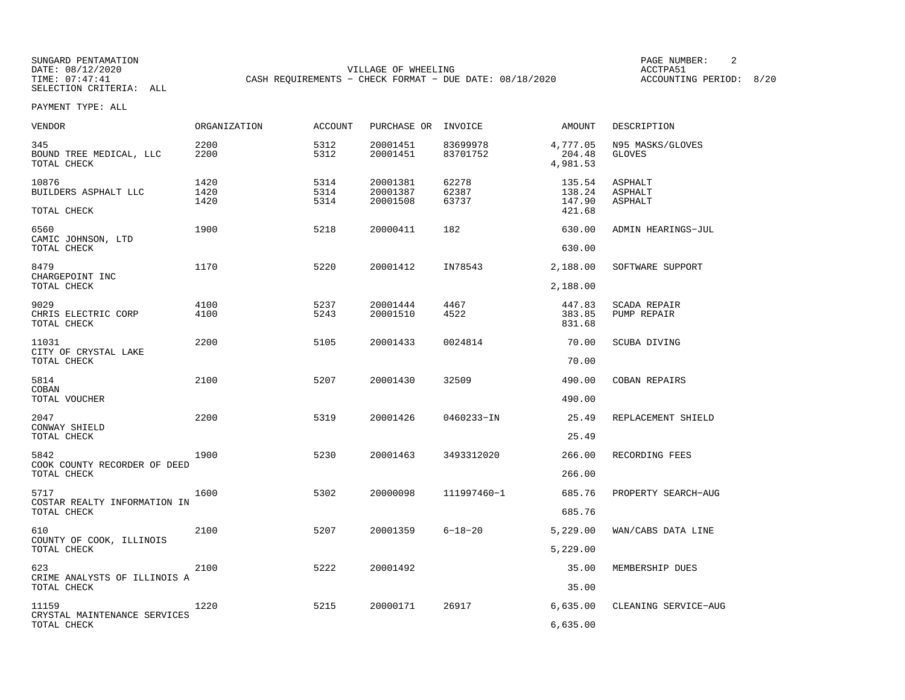SUNGARD PENTAMATION PAGE NUMBER: 2DATE: 08/12/2020 VILLAGE OF WHEELING ACCTPA51CASH REQUIREMENTS - CHECK FORMAT - DUE DATE: 08/18/2020

ACCOUNTING PERIOD: 8/20

| VENDOR                                               | ORGANIZATION         | <b>ACCOUNT</b>       | PURCHASE OR                      | INVOICE                 | AMOUNT                               | DESCRIPTION                          |
|------------------------------------------------------|----------------------|----------------------|----------------------------------|-------------------------|--------------------------------------|--------------------------------------|
| 345<br>BOUND TREE MEDICAL, LLC<br>TOTAL CHECK        | 2200<br>2200         | 5312<br>5312         | 20001451<br>20001451             | 83699978<br>83701752    | 4,777.05<br>204.48<br>4,981.53       | N95 MASKS/GLOVES<br><b>GLOVES</b>    |
| 10876<br>BUILDERS ASPHALT LLC<br>TOTAL CHECK         | 1420<br>1420<br>1420 | 5314<br>5314<br>5314 | 20001381<br>20001387<br>20001508 | 62278<br>62387<br>63737 | 135.54<br>138.24<br>147.90<br>421.68 | ASPHALT<br>ASPHALT<br><b>ASPHALT</b> |
| 6560<br>CAMIC JOHNSON, LTD<br>TOTAL CHECK            | 1900                 | 5218                 | 20000411                         | 182                     | 630.00<br>630.00                     | ADMIN HEARINGS-JUL                   |
| 8479<br>CHARGEPOINT INC<br>TOTAL CHECK               | 1170                 | 5220                 | 20001412                         | IN78543                 | 2,188.00<br>2,188.00                 | SOFTWARE SUPPORT                     |
| 9029<br>CHRIS ELECTRIC CORP<br>TOTAL CHECK           | 4100<br>4100         | 5237<br>5243         | 20001444<br>20001510             | 4467<br>4522            | 447.83<br>383.85<br>831.68           | SCADA REPAIR<br>PUMP REPAIR          |
| 11031<br>CITY OF CRYSTAL LAKE<br>TOTAL CHECK         | 2200                 | 5105                 | 20001433                         | 0024814                 | 70.00<br>70.00                       | SCUBA DIVING                         |
| 5814<br>COBAN<br>TOTAL VOUCHER                       | 2100                 | 5207                 | 20001430                         | 32509                   | 490.00<br>490.00                     | COBAN REPAIRS                        |
| 2047<br>CONWAY SHIELD<br>TOTAL CHECK                 | 2200                 | 5319                 | 20001426                         | 0460233-IN              | 25.49<br>25.49                       | REPLACEMENT SHIELD                   |
| 5842<br>COOK COUNTY RECORDER OF DEED<br>TOTAL CHECK  | 1900                 | 5230                 | 20001463                         | 3493312020              | 266.00<br>266.00                     | RECORDING FEES                       |
| 5717<br>COSTAR REALTY INFORMATION IN<br>TOTAL CHECK  | 1600                 | 5302                 | 20000098                         | 111997460-1             | 685.76<br>685.76                     | PROPERTY SEARCH-AUG                  |
| 610<br>COUNTY OF COOK, ILLINOIS<br>TOTAL CHECK       | 2100                 | 5207                 | 20001359                         | $6 - 18 - 20$           | 5,229.00<br>5,229.00                 | WAN/CABS DATA LINE                   |
| 623<br>CRIME ANALYSTS OF ILLINOIS A<br>TOTAL CHECK   | 2100                 | 5222                 | 20001492                         |                         | 35.00<br>35.00                       | MEMBERSHIP DUES                      |
| 11159<br>CRYSTAL MAINTENANCE SERVICES<br>TOTAL CHECK | 1220                 | 5215                 | 20000171                         | 26917                   | 6,635.00<br>6,635.00                 | CLEANING SERVICE-AUG                 |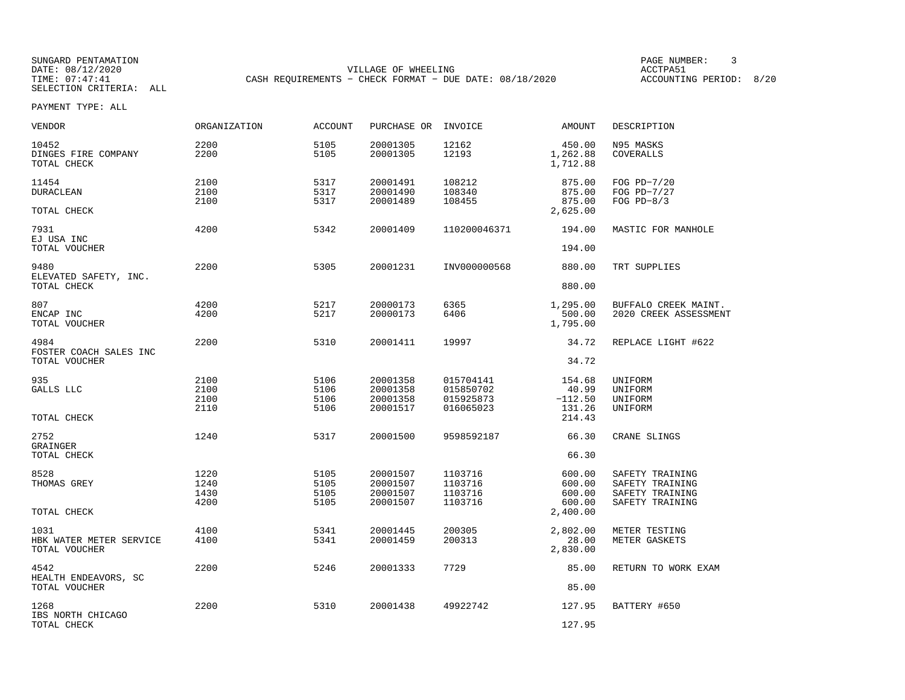SUNGARD PENTAMATION<br>
SATE: 08/12/2020<br>
DATE: 08/12/2020 DATE: 08/12/2020 VILLAGE OF WHEELING ACCTPA51CASH REQUIREMENTS - CHECK FORMAT - DUE DATE: 08/18/2020

ACCOUNTING PERIOD: 8/20

| <b>VENDOR</b>                                    | <b>ORGANIZATION</b>          | <b>ACCOUNT</b>               | PURCHASE OR                                  | INVOICE                                          | <b>AMOUNT</b>                                    | DESCRIPTION                                                              |
|--------------------------------------------------|------------------------------|------------------------------|----------------------------------------------|--------------------------------------------------|--------------------------------------------------|--------------------------------------------------------------------------|
| 10452<br>DINGES FIRE COMPANY<br>TOTAL CHECK      | 2200<br>2200                 | 5105<br>5105                 | 20001305<br>20001305                         | 12162<br>12193                                   | 450.00<br>1,262.88<br>1,712.88                   | N95 MASKS<br>COVERALLS                                                   |
| 11454<br><b>DURACLEAN</b><br>TOTAL CHECK         | 2100<br>2100<br>2100         | 5317<br>5317<br>5317         | 20001491<br>20001490<br>20001489             | 108212<br>108340<br>108455                       | 875.00<br>875.00<br>875.00<br>2,625.00           | FOG $PD-7/20$<br>FOG PD-7/27<br>FOG $PD-8/3$                             |
| 7931<br>EJ USA INC                               | 4200                         | 5342                         | 20001409                                     | 110200046371                                     | 194.00                                           | MASTIC FOR MANHOLE                                                       |
| TOTAL VOUCHER<br>9480<br>ELEVATED SAFETY, INC.   | 2200                         | 5305                         | 20001231                                     | INV000000568                                     | 194.00<br>880.00                                 | TRT SUPPLIES                                                             |
| TOTAL CHECK<br>807<br>ENCAP INC<br>TOTAL VOUCHER | 4200<br>4200                 | 5217<br>5217                 | 20000173<br>20000173                         | 6365<br>6406                                     | 880.00<br>1,295.00<br>500.00<br>1,795.00         | BUFFALO CREEK MAINT.<br>2020 CREEK ASSESSMENT                            |
| 4984<br>FOSTER COACH SALES INC<br>TOTAL VOUCHER  | 2200                         | 5310                         | 20001411                                     | 19997                                            | 34.72<br>34.72                                   | REPLACE LIGHT #622                                                       |
| 935<br>GALLS LLC<br>TOTAL CHECK                  | 2100<br>2100<br>2100<br>2110 | 5106<br>5106<br>5106<br>5106 | 20001358<br>20001358<br>20001358<br>20001517 | 015704141<br>015850702<br>015925873<br>016065023 | 154.68<br>40.99<br>$-112.50$<br>131.26<br>214.43 | UNIFORM<br>UNIFORM<br>UNIFORM<br>UNIFORM                                 |
| 2752<br><b>GRAINGER</b><br>TOTAL CHECK           | 1240                         | 5317                         | 20001500                                     | 9598592187                                       | 66.30<br>66.30                                   | CRANE SLINGS                                                             |
| 8528<br>THOMAS GREY<br>TOTAL CHECK               | 1220<br>1240<br>1430<br>4200 | 5105<br>5105<br>5105<br>5105 | 20001507<br>20001507<br>20001507<br>20001507 | 1103716<br>1103716<br>1103716<br>1103716         | 600.00<br>600.00<br>600.00<br>600.00<br>2,400.00 | SAFETY TRAINING<br>SAFETY TRAINING<br>SAFETY TRAINING<br>SAFETY TRAINING |
| 1031<br>HBK WATER METER SERVICE<br>TOTAL VOUCHER | 4100<br>4100                 | 5341<br>5341                 | 20001445<br>20001459                         | 200305<br>200313                                 | 2,802.00<br>28.00<br>2,830.00                    | METER TESTING<br>METER GASKETS                                           |
| 4542<br>HEALTH ENDEAVORS, SC<br>TOTAL VOUCHER    | 2200                         | 5246                         | 20001333                                     | 7729                                             | 85.00<br>85.00                                   | RETURN TO WORK EXAM                                                      |
| 1268<br>IBS NORTH CHICAGO<br>TOTAL CHECK         | 2200                         | 5310                         | 20001438                                     | 49922742                                         | 127.95<br>127.95                                 | BATTERY #650                                                             |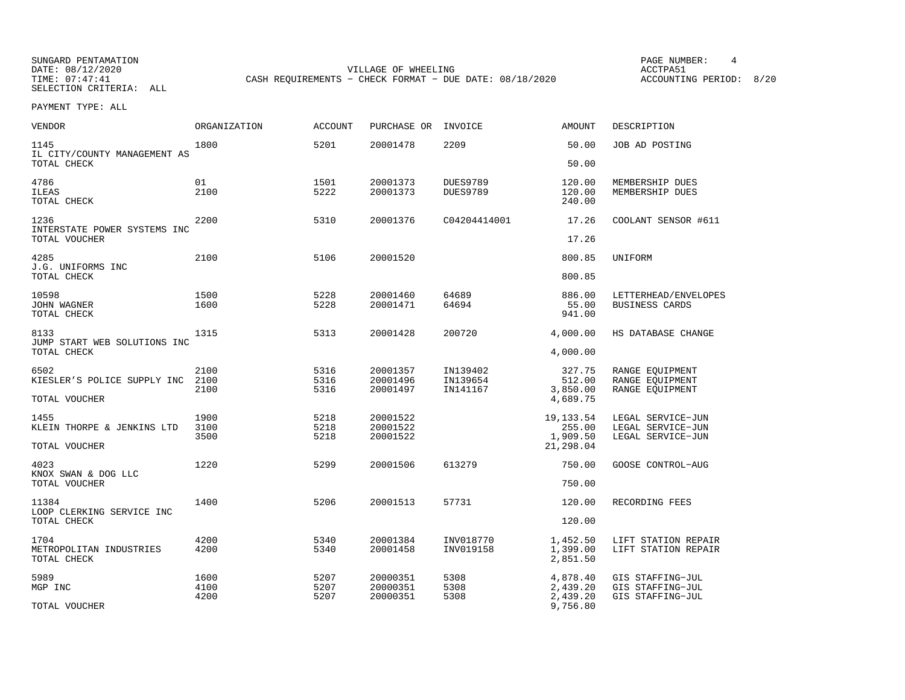SUNGARD PENTAMATION PAGE NUMBER: 4DATE: 08/12/2020 VILLAGE OF WHEELING ACCTPA51CASH REQUIREMENTS - CHECK FORMAT - DUE DATE: 08/18/2020

ACCOUNTING PERIOD: 8/20

| VENDOR                                              | <b>ORGANIZATION</b> | <b>ACCOUNT</b> | PURCHASE OR          | INVOICE                            | <b>AMOUNT</b>              | DESCRIPTION                                   |
|-----------------------------------------------------|---------------------|----------------|----------------------|------------------------------------|----------------------------|-----------------------------------------------|
| 1145<br>IL CITY/COUNTY MANAGEMENT AS                | 1800                | 5201           | 20001478             | 2209                               | 50.00                      | JOB AD POSTING                                |
| TOTAL CHECK                                         |                     |                |                      |                                    | 50.00                      |                                               |
| 4786<br><b>ILEAS</b><br>TOTAL CHECK                 | 01<br>2100          | 1501<br>5222   | 20001373<br>20001373 | <b>DUES9789</b><br><b>DUES9789</b> | 120.00<br>120.00<br>240.00 | MEMBERSHIP DUES<br>MEMBERSHIP DUES            |
| 1236<br>INTERSTATE POWER SYSTEMS INC                | 2200                | 5310           | 20001376             | C04204414001                       | 17.26                      | COOLANT SENSOR #611                           |
| TOTAL VOUCHER                                       |                     |                |                      |                                    | 17.26                      |                                               |
| 4285<br>J.G. UNIFORMS INC                           | 2100                | 5106           | 20001520             |                                    | 800.85                     | UNIFORM                                       |
| TOTAL CHECK                                         |                     |                |                      |                                    | 800.85                     |                                               |
| 10598<br><b>JOHN WAGNER</b><br>TOTAL CHECK          | 1500<br>1600        | 5228<br>5228   | 20001460<br>20001471 | 64689<br>64694                     | 886.00<br>55.00<br>941.00  | LETTERHEAD/ENVELOPES<br><b>BUSINESS CARDS</b> |
| 8133<br>JUMP START WEB SOLUTIONS INC<br>TOTAL CHECK | 1315                | 5313           | 20001428             | 200720                             | 4,000.00<br>4,000.00       | HS DATABASE CHANGE                            |
|                                                     |                     |                |                      |                                    |                            |                                               |
| 6502<br>KIESLER'S POLICE SUPPLY INC                 | 2100<br>2100        | 5316<br>5316   | 20001357<br>20001496 | IN139402<br>IN139654               | 327.75<br>512.00           | RANGE EOUIPMENT<br>RANGE EOUIPMENT            |
|                                                     | 2100                | 5316           | 20001497             | IN141167                           | 3,850.00                   | RANGE EOUIPMENT                               |
| TOTAL VOUCHER                                       |                     |                |                      |                                    | 4,689.75                   |                                               |
| 1455                                                | 1900                | 5218           | 20001522             |                                    | 19, 133.54                 | LEGAL SERVICE-JUN                             |
| KLEIN THORPE & JENKINS LTD                          | 3100                | 5218           | 20001522             |                                    | 255.00                     | LEGAL SERVICE-JUN                             |
| TOTAL VOUCHER                                       | 3500                | 5218           | 20001522             |                                    | 1,909.50<br>21,298.04      | LEGAL SERVICE-JUN                             |
| 4023<br>KNOX SWAN & DOG LLC                         | 1220                | 5299           | 20001506             | 613279                             | 750.00                     | <b>GOOSE CONTROL-AUG</b>                      |
| TOTAL VOUCHER                                       |                     |                |                      |                                    | 750.00                     |                                               |
| 11384<br>LOOP CLERKING SERVICE INC                  | 1400                | 5206           | 20001513             | 57731                              | 120.00                     | RECORDING FEES                                |
| TOTAL CHECK                                         |                     |                |                      |                                    | 120.00                     |                                               |
| 1704                                                | 4200                | 5340           | 20001384             | INV018770                          | 1,452.50                   | LIFT STATION REPAIR                           |
| METROPOLITAN INDUSTRIES<br>TOTAL CHECK              | 4200                | 5340           | 20001458             | INV019158                          | 1,399.00<br>2,851.50       | LIFT STATION REPAIR                           |
| 5989                                                | 1600                | 5207           | 20000351             | 5308                               | 4,878.40                   | GIS STAFFING-JUL                              |
| MGP INC                                             | 4100<br>4200        | 5207<br>5207   | 20000351<br>20000351 | 5308<br>5308                       | 2,439.20<br>2,439.20       | GIS STAFFING-JUL<br>GIS STAFFING-JUL          |
| TOTAL VOUCHER                                       |                     |                |                      |                                    | 9,756.80                   |                                               |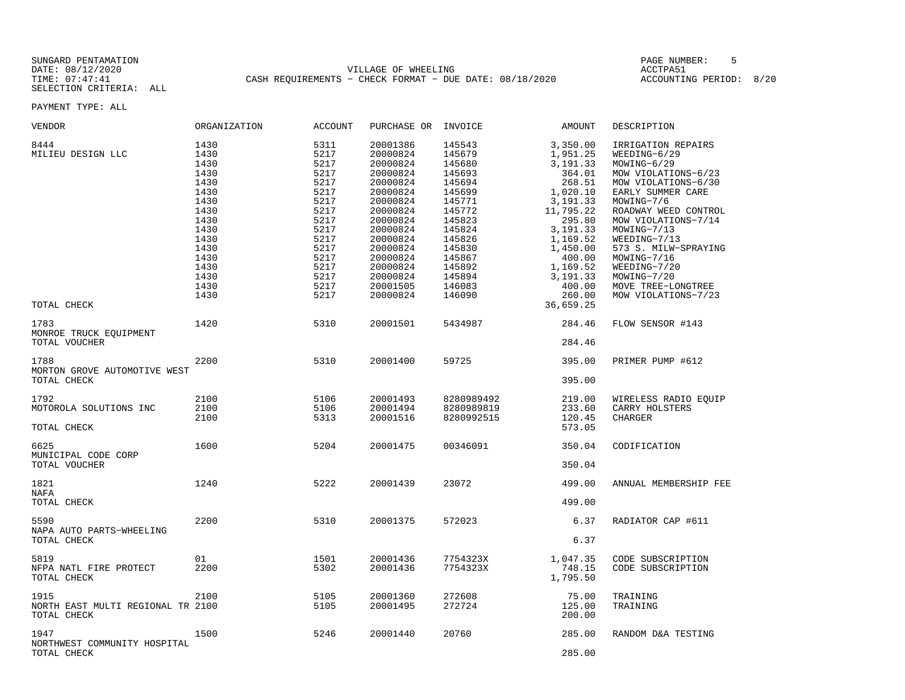SUNGARD PENTAMATION PAGE NUMBER: 5DATE: 08/12/2020 VILLAGE OF WHEELING ACCTPA51 TIME: 07:47:41 CASH REQUIREMENTS − CHECK FORMAT − DUE DATE: 08/18/2020 ACCOUNTING PERIOD: 8/20

| VENDOR                                                   | ORGANIZATION                                                                                                                 | <b>ACCOUNT</b>                                                                                                               | PURCHASE OR                                                                                                                                                                                  | INVOICE                                                                                                                                                      | AMOUNT                                                                                                                                                                                  | DESCRIPTION                                                                                                                                                                                                                                                                                                  |
|----------------------------------------------------------|------------------------------------------------------------------------------------------------------------------------------|------------------------------------------------------------------------------------------------------------------------------|----------------------------------------------------------------------------------------------------------------------------------------------------------------------------------------------|--------------------------------------------------------------------------------------------------------------------------------------------------------------|-----------------------------------------------------------------------------------------------------------------------------------------------------------------------------------------|--------------------------------------------------------------------------------------------------------------------------------------------------------------------------------------------------------------------------------------------------------------------------------------------------------------|
| 8444<br>MILIEU DESIGN LLC                                | 1430<br>1430<br>1430<br>1430<br>1430<br>1430<br>1430<br>1430<br>1430<br>1430<br>1430<br>1430<br>1430<br>1430<br>1430<br>1430 | 5311<br>5217<br>5217<br>5217<br>5217<br>5217<br>5217<br>5217<br>5217<br>5217<br>5217<br>5217<br>5217<br>5217<br>5217<br>5217 | 20001386<br>20000824<br>20000824<br>20000824<br>20000824<br>20000824<br>20000824<br>20000824<br>20000824<br>20000824<br>20000824<br>20000824<br>20000824<br>20000824<br>20000824<br>20001505 | 145543<br>145679<br>145680<br>145693<br>145694<br>145699<br>145771<br>145772<br>145823<br>145824<br>145826<br>145830<br>145867<br>145892<br>145894<br>146083 | 3,350.00<br>1,951.25<br>3,191.33<br>364.01<br>268.51<br>1,020.10<br>3, 191.33<br>11,795.22<br>295.80<br>3, 191.33<br>1,169.52<br>1,450.00<br>400.00<br>1,169.52<br>3, 191. 33<br>400.00 | IRRIGATION REPAIRS<br>WEEDING-6/29<br>MOWING-6/29<br>MOW VIOLATIONS-6/23<br>MOW VIOLATIONS-6/30<br>EARLY SUMMER CARE<br>MOWING-7/6<br>ROADWAY WEED CONTROL<br>MOW VIOLATIONS-7/14<br>MOWING-7/13<br>WEEDING-7/13<br>573 S. MILW-SPRAYING<br>MOWING-7/16<br>WEEDING-7/20<br>MOWING-7/20<br>MOVE TREE-LONGTREE |
| TOTAL CHECK                                              | 1430                                                                                                                         | 5217                                                                                                                         | 20000824                                                                                                                                                                                     | 146090                                                                                                                                                       | 260.00<br>36,659.25                                                                                                                                                                     | MOW VIOLATIONS-7/23                                                                                                                                                                                                                                                                                          |
| 1783<br>MONROE TRUCK EQUIPMENT<br>TOTAL VOUCHER          | 1420                                                                                                                         | 5310                                                                                                                         | 20001501                                                                                                                                                                                     | 5434987                                                                                                                                                      | 284.46<br>284.46                                                                                                                                                                        | FLOW SENSOR #143                                                                                                                                                                                                                                                                                             |
| 1788<br>MORTON GROVE AUTOMOTIVE WEST<br>TOTAL CHECK      | 2200                                                                                                                         | 5310                                                                                                                         | 20001400                                                                                                                                                                                     | 59725                                                                                                                                                        | 395.00<br>395.00                                                                                                                                                                        | PRIMER PUMP #612                                                                                                                                                                                                                                                                                             |
| 1792<br>MOTOROLA SOLUTIONS INC<br>TOTAL CHECK            | 2100<br>2100<br>2100                                                                                                         | 5106<br>5106<br>5313                                                                                                         | 20001493<br>20001494<br>20001516                                                                                                                                                             | 8280989492<br>8280989819<br>8280992515                                                                                                                       | 219.00<br>233.60<br>120.45<br>573.05                                                                                                                                                    | WIRELESS RADIO EQUIP<br>CARRY HOLSTERS<br>CHARGER                                                                                                                                                                                                                                                            |
| 6625<br>MUNICIPAL CODE CORP<br>TOTAL VOUCHER             | 1600                                                                                                                         | 5204                                                                                                                         | 20001475                                                                                                                                                                                     | 00346091                                                                                                                                                     | 350.04<br>350.04                                                                                                                                                                        | CODIFICATION                                                                                                                                                                                                                                                                                                 |
| 1821<br>NAFA<br>TOTAL CHECK                              | 1240                                                                                                                         | 5222                                                                                                                         | 20001439                                                                                                                                                                                     | 23072                                                                                                                                                        | 499.00<br>499.00                                                                                                                                                                        | ANNUAL MEMBERSHIP FEE                                                                                                                                                                                                                                                                                        |
| 5590<br>NAPA AUTO PARTS-WHEELING<br>TOTAL CHECK          | 2200                                                                                                                         | 5310                                                                                                                         | 20001375                                                                                                                                                                                     | 572023                                                                                                                                                       | 6.37<br>6.37                                                                                                                                                                            | RADIATOR CAP #611                                                                                                                                                                                                                                                                                            |
| 5819<br>NFPA NATL FIRE PROTECT<br>TOTAL CHECK            | 01<br>2200                                                                                                                   | 1501<br>5302                                                                                                                 | 20001436<br>20001436                                                                                                                                                                         | 7754323X<br>7754323X                                                                                                                                         | 1,047.35<br>748.15<br>1,795.50                                                                                                                                                          | CODE SUBSCRIPTION<br>CODE SUBSCRIPTION                                                                                                                                                                                                                                                                       |
| 1915<br>NORTH EAST MULTI REGIONAL TR 2100<br>TOTAL CHECK | 2100                                                                                                                         | 5105<br>5105                                                                                                                 | 20001360<br>20001495                                                                                                                                                                         | 272608<br>272724                                                                                                                                             | 75.00<br>125.00<br>200.00                                                                                                                                                               | TRAINING<br>TRAINING                                                                                                                                                                                                                                                                                         |
| 1947<br>NORTHWEST COMMUNITY HOSPITAL<br>TOTAL CHECK      | 1500                                                                                                                         | 5246                                                                                                                         | 20001440                                                                                                                                                                                     | 20760                                                                                                                                                        | 285.00<br>285.00                                                                                                                                                                        | RANDOM D&A TESTING                                                                                                                                                                                                                                                                                           |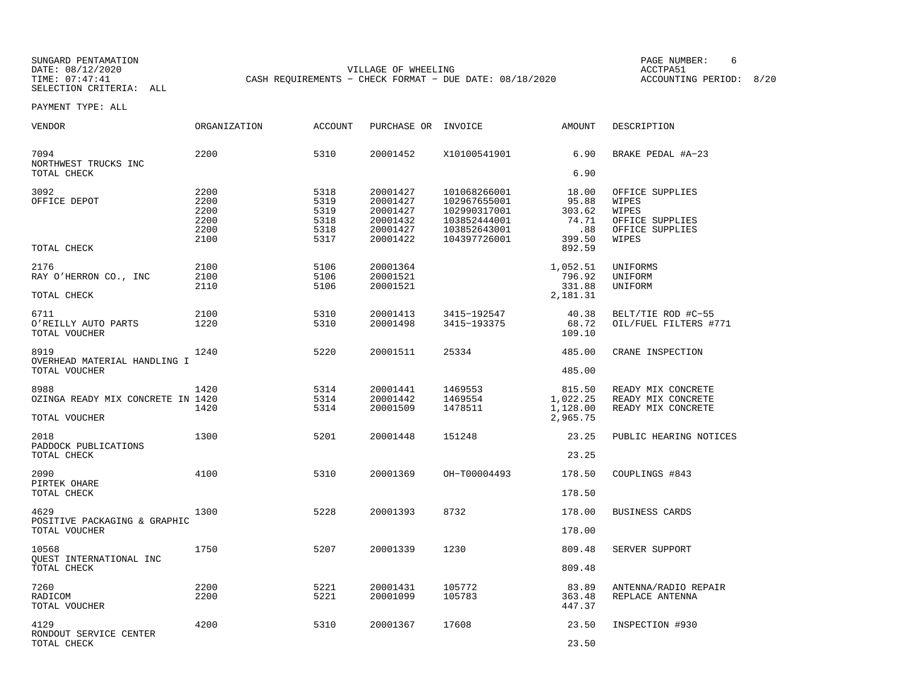SUNGARD PENTAMATION<br>
SUNGARD PENTAMATION<br>
DATE: 08/12/2020 DATE: 08/12/2020 VILLAGE OF WHEELING ACCTPA51CASH REQUIREMENTS - CHECK FORMAT - DUE DATE: 08/18/2020

ACCOUNTING PERIOD: 8/20

| VENDOR                                                     | ORGANIZATION                                 | <b>ACCOUNT</b>                               | PURCHASE OR INVOICE                                                  |                                                                                              | AMOUNT                                                       | DESCRIPTION                                                                      |
|------------------------------------------------------------|----------------------------------------------|----------------------------------------------|----------------------------------------------------------------------|----------------------------------------------------------------------------------------------|--------------------------------------------------------------|----------------------------------------------------------------------------------|
| 7094<br>NORTHWEST TRUCKS INC<br>TOTAL CHECK                | 2200                                         | 5310                                         | 20001452                                                             | X10100541901                                                                                 | 6.90<br>6.90                                                 | BRAKE PEDAL #A-23                                                                |
| 3092<br>OFFICE DEPOT<br>TOTAL CHECK                        | 2200<br>2200<br>2200<br>2200<br>2200<br>2100 | 5318<br>5319<br>5319<br>5318<br>5318<br>5317 | 20001427<br>20001427<br>20001427<br>20001432<br>20001427<br>20001422 | 101068266001<br>102967655001<br>102990317001<br>103852444001<br>103852643001<br>104397726001 | 18.00<br>95.88<br>303.62<br>74.71<br>.88<br>399.50<br>892.59 | OFFICE SUPPLIES<br>WIPES<br>WIPES<br>OFFICE SUPPLIES<br>OFFICE SUPPLIES<br>WIPES |
| 2176<br>RAY O'HERRON CO., INC<br>TOTAL CHECK               | 2100<br>2100<br>2110                         | 5106<br>5106<br>5106                         | 20001364<br>20001521<br>20001521                                     |                                                                                              | 1,052.51<br>796.92<br>331.88<br>2,181.31                     | UNIFORMS<br>UNIFORM<br>UNIFORM                                                   |
| 6711<br>O'REILLY AUTO PARTS<br>TOTAL VOUCHER               | 2100<br>1220                                 | 5310<br>5310                                 | 20001413<br>20001498                                                 | 3415-192547<br>3415-193375                                                                   | 40.38<br>68.72<br>109.10                                     | BELT/TIE ROD #C-55<br>OIL/FUEL FILTERS #771                                      |
| 8919<br>OVERHEAD MATERIAL HANDLING I<br>TOTAL VOUCHER      | 1240                                         | 5220                                         | 20001511                                                             | 25334                                                                                        | 485.00<br>485.00                                             | CRANE INSPECTION                                                                 |
| 8988<br>OZINGA READY MIX CONCRETE IN 1420<br>TOTAL VOUCHER | 1420<br>1420                                 | 5314<br>5314<br>5314                         | 20001441<br>20001442<br>20001509                                     | 1469553<br>1469554<br>1478511                                                                | 815.50<br>1,022.25<br>1,128.00<br>2,965.75                   | READY MIX CONCRETE<br>READY MIX CONCRETE<br>READY MIX CONCRETE                   |
| 2018<br>PADDOCK PUBLICATIONS<br>TOTAL CHECK                | 1300                                         | 5201                                         | 20001448                                                             | 151248                                                                                       | 23.25<br>23.25                                               | PUBLIC HEARING NOTICES                                                           |
| 2090<br>PIRTEK OHARE<br>TOTAL CHECK                        | 4100                                         | 5310                                         | 20001369                                                             | OH-T00004493                                                                                 | 178.50<br>178.50                                             | COUPLINGS #843                                                                   |
| 4629<br>POSITIVE PACKAGING & GRAPHIC<br>TOTAL VOUCHER      | 1300                                         | 5228                                         | 20001393                                                             | 8732                                                                                         | 178.00<br>178.00                                             | BUSINESS CARDS                                                                   |
| 10568<br>OUEST INTERNATIONAL INC<br>TOTAL CHECK            | 1750                                         | 5207                                         | 20001339                                                             | 1230                                                                                         | 809.48<br>809.48                                             | SERVER SUPPORT                                                                   |
| 7260<br>RADICOM<br>TOTAL VOUCHER                           | 2200<br>2200                                 | 5221<br>5221                                 | 20001431<br>20001099                                                 | 105772<br>105783                                                                             | 83.89<br>363.48<br>447.37                                    | ANTENNA/RADIO REPAIR<br>REPLACE ANTENNA                                          |
| 4129<br>RONDOUT SERVICE CENTER<br>TOTAL CHECK              | 4200                                         | 5310                                         | 20001367                                                             | 17608                                                                                        | 23.50<br>23.50                                               | INSPECTION #930                                                                  |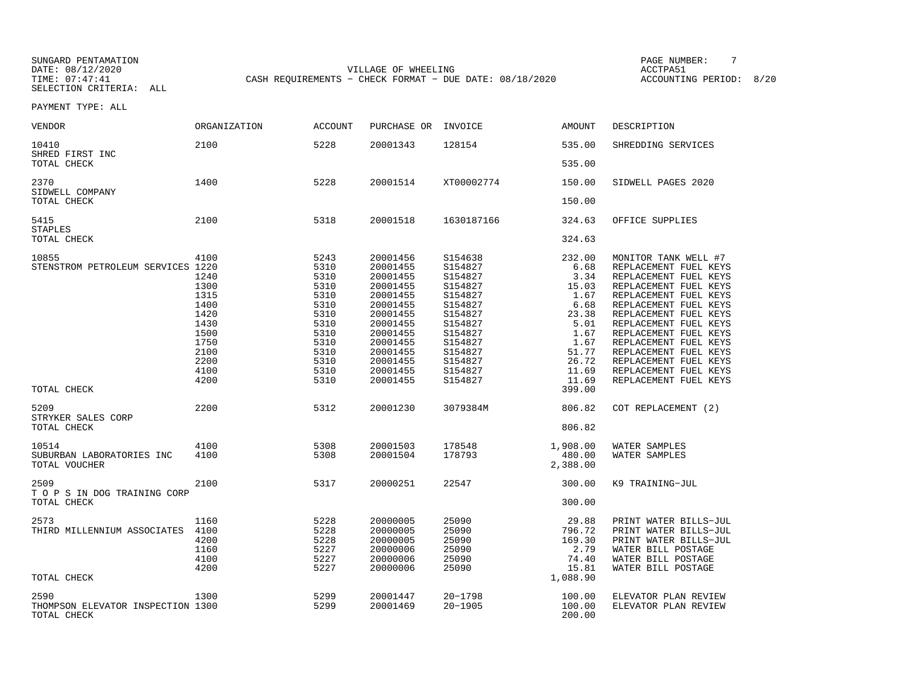SUNGARD PENTAMATION PAGE NUMBER: 7DATE: 08/12/2020 VILLAGE OF WHEELING ACCTPA51CASH REQUIREMENTS - CHECK FORMAT - DUE DATE: 08/18/2020

ACCOUNTING PERIOD: 8/20

| VENDOR                                     | ORGANIZATION         | ACCOUNT              | PURCHASE OR                      | INVOICE                       | AMOUNT                 | DESCRIPTION                                                             |
|--------------------------------------------|----------------------|----------------------|----------------------------------|-------------------------------|------------------------|-------------------------------------------------------------------------|
| 10410<br>SHRED FIRST INC                   | 2100                 | 5228                 | 20001343                         | 128154                        | 535.00                 | SHREDDING SERVICES                                                      |
| TOTAL CHECK                                |                      |                      |                                  |                               | 535.00                 |                                                                         |
| 2370<br>SIDWELL COMPANY                    | 1400                 | 5228                 | 20001514                         | XT00002774                    | 150.00                 | SIDWELL PAGES 2020                                                      |
| TOTAL CHECK                                |                      |                      |                                  |                               | 150.00                 |                                                                         |
| 5415<br><b>STAPLES</b>                     | 2100                 | 5318                 | 20001518                         | 1630187166                    | 324.63                 | OFFICE SUPPLIES                                                         |
| TOTAL CHECK                                |                      |                      |                                  |                               | 324.63                 |                                                                         |
| 10855<br>STENSTROM PETROLEUM SERVICES 1220 | 4100<br>1240         | 5243<br>5310<br>5310 | 20001456<br>20001455<br>20001455 | S154638<br>S154827<br>S154827 | 232.00<br>6.68<br>3.34 | MONITOR TANK WELL #7<br>REPLACEMENT FUEL KEYS<br>REPLACEMENT FUEL KEYS  |
|                                            | 1300<br>1315<br>1400 | 5310<br>5310<br>5310 | 20001455<br>20001455<br>20001455 | S154827<br>S154827<br>S154827 | 15.03<br>1.67<br>6.68  | REPLACEMENT FUEL KEYS<br>REPLACEMENT FUEL KEYS<br>REPLACEMENT FUEL KEYS |
|                                            | 1420<br>1430         | 5310<br>5310         | 20001455<br>20001455             | S154827<br>S154827            | 23.38<br>5.01          | REPLACEMENT FUEL KEYS<br>REPLACEMENT FUEL KEYS                          |
|                                            | 1500<br>1750<br>2100 | 5310<br>5310<br>5310 | 20001455<br>20001455<br>20001455 | S154827<br>S154827<br>S154827 | 1.67<br>1.67<br>51.77  | REPLACEMENT FUEL KEYS<br>REPLACEMENT FUEL KEYS<br>REPLACEMENT FUEL KEYS |
|                                            | 2200<br>4100         | 5310<br>5310         | 20001455<br>20001455             | S154827<br>S154827            | 26.72<br>11.69         | REPLACEMENT FUEL KEYS<br>REPLACEMENT FUEL KEYS                          |
| TOTAL CHECK                                | 4200                 | 5310                 | 20001455                         | S154827                       | 11.69<br>399.00        | REPLACEMENT FUEL KEYS                                                   |
| 5209<br>STRYKER SALES CORP                 | 2200                 | 5312                 | 20001230                         | 3079384M                      | 806.82                 | COT REPLACEMENT (2)                                                     |
| TOTAL CHECK                                |                      |                      |                                  |                               | 806.82                 |                                                                         |
| 10514<br>SUBURBAN LABORATORIES INC         | 4100<br>4100         | 5308<br>5308         | 20001503<br>20001504             | 178548<br>178793              | 1,908.00<br>480.00     | WATER SAMPLES<br>WATER SAMPLES                                          |
| TOTAL VOUCHER                              |                      |                      |                                  |                               | 2,388.00               |                                                                         |
| 2509<br>T O P S IN DOG TRAINING CORP       | 2100                 | 5317                 | 20000251                         | 22547                         | 300.00                 | K9 TRAINING-JUL                                                         |
| TOTAL CHECK                                |                      |                      |                                  |                               | 300.00                 |                                                                         |
| 2573<br>THIRD MILLENNIUM ASSOCIATES        | 1160<br>4100         | 5228<br>5228         | 20000005<br>20000005             | 25090<br>25090                | 29.88<br>796.72        | PRINT WATER BILLS-JUL<br>PRINT WATER BILLS-JUL                          |
|                                            | 4200                 | 5228                 | 20000005                         | 25090                         | 169.30                 | PRINT WATER BILLS-JUL                                                   |
|                                            | 1160<br>4100         | 5227<br>5227         | 20000006<br>20000006             | 25090<br>25090                | 2.79<br>74.40          | WATER BILL POSTAGE<br>WATER BILL POSTAGE                                |
| TOTAL CHECK                                | 4200                 | 5227                 | 20000006                         | 25090                         | 15.81<br>1,088.90      | WATER BILL POSTAGE                                                      |
| 2590<br>THOMPSON ELEVATOR INSPECTION 1300  | 1300                 | 5299<br>5299         | 20001447<br>20001469             | $20 - 1798$<br>$20 - 1905$    | 100.00<br>100.00       | ELEVATOR PLAN REVIEW<br>ELEVATOR PLAN REVIEW                            |
| TOTAL CHECK                                |                      |                      |                                  |                               | 200.00                 |                                                                         |